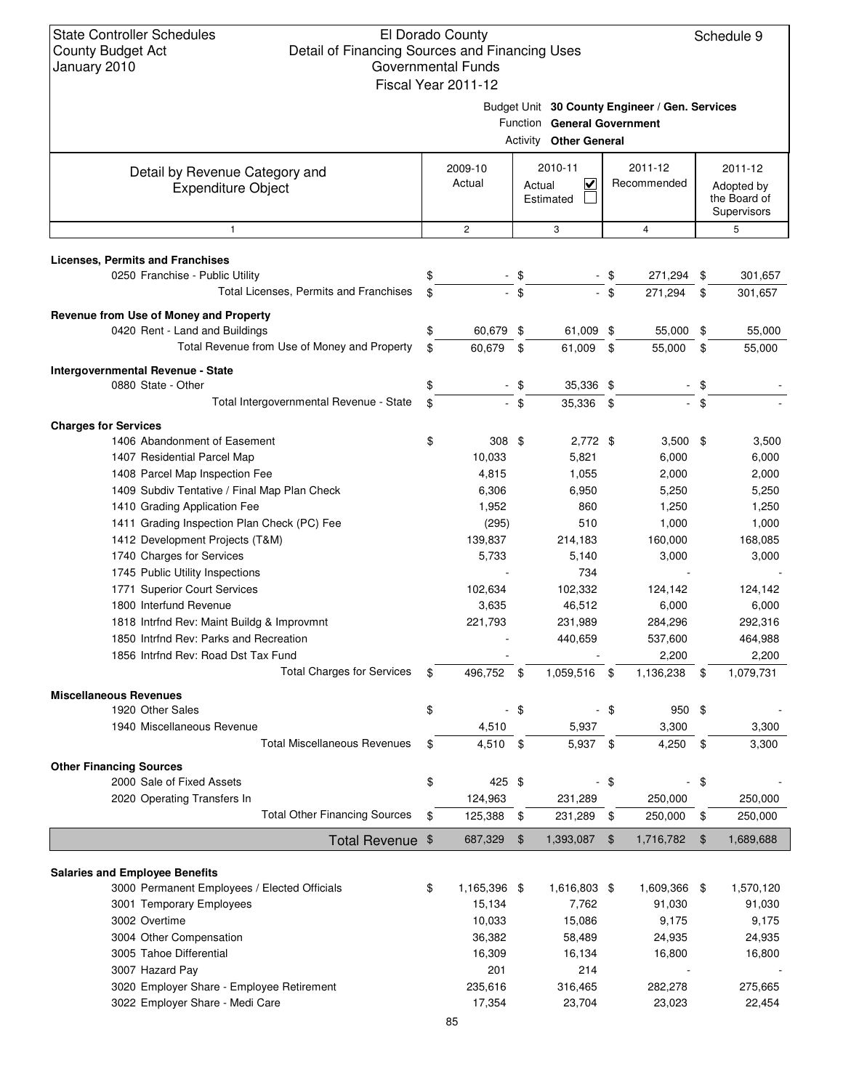#### El Dorado County Detail of Financing Sources and Financing Uses Governmental Funds Fiscal Year 2011-12

Schedule 9

Budget Unit **30 County Engineer / Gen. Services**

|                                                                                       |                    | Activity      | Function General Government<br><b>Other General</b> |      |                        |            |                                                      |
|---------------------------------------------------------------------------------------|--------------------|---------------|-----------------------------------------------------|------|------------------------|------------|------------------------------------------------------|
|                                                                                       |                    |               |                                                     |      |                        |            |                                                      |
| Detail by Revenue Category and<br><b>Expenditure Object</b>                           | 2009-10<br>Actual  |               | 2010-11<br>$\checkmark$<br>Actual<br>Estimated      |      | 2011-12<br>Recommended |            | 2011-12<br>Adopted by<br>the Board of<br>Supervisors |
| $\mathbf{1}$                                                                          | $\overline{c}$     |               | 3                                                   |      | 4                      |            | 5                                                    |
| <b>Licenses, Permits and Franchises</b>                                               |                    |               |                                                     |      |                        |            |                                                      |
| 0250 Franchise - Public Utility                                                       | \$                 | \$            |                                                     | - \$ | 271,294 \$             |            | 301,657                                              |
| Total Licenses, Permits and Franchises                                                | \$                 | $-$ \$        |                                                     | - \$ | 271,294                | \$         | 301,657                                              |
| Revenue from Use of Money and Property                                                |                    |               |                                                     |      |                        |            |                                                      |
| 0420 Rent - Land and Buildings                                                        | \$<br>60,679 \$    |               | 61,009 \$                                           |      | 55,000                 | \$         | 55,000                                               |
| Total Revenue from Use of Money and Property                                          | \$<br>60,679       | \$            | 61,009                                              | \$   | 55,000                 | \$         | 55,000                                               |
| Intergovernmental Revenue - State                                                     |                    |               |                                                     |      |                        |            |                                                      |
| 0880 State - Other                                                                    | \$                 | \$            | 35,336 \$                                           |      |                        | \$         |                                                      |
| Total Intergovernmental Revenue - State                                               | \$                 | $-$ \$        | 35,336 \$                                           |      |                        | - \$       |                                                      |
| <b>Charges for Services</b>                                                           |                    |               |                                                     |      |                        |            |                                                      |
| 1406 Abandonment of Easement                                                          | \$<br>308 \$       |               | $2,772$ \$                                          |      | $3,500$ \$             |            | 3,500                                                |
| 1407 Residential Parcel Map                                                           | 10,033             |               | 5,821                                               |      | 6,000                  |            | 6,000                                                |
| 1408 Parcel Map Inspection Fee                                                        | 4,815              |               | 1,055                                               |      | 2,000                  |            | 2,000                                                |
| 1409 Subdiv Tentative / Final Map Plan Check                                          | 6,306              |               | 6,950                                               |      | 5,250                  |            | 5,250                                                |
| 1410 Grading Application Fee                                                          | 1,952              |               | 860                                                 |      | 1,250                  |            | 1,250                                                |
| 1411 Grading Inspection Plan Check (PC) Fee                                           | (295)              |               | 510                                                 |      | 1,000                  |            | 1,000                                                |
| 1412 Development Projects (T&M)                                                       | 139,837            |               | 214,183                                             |      | 160,000                |            | 168,085                                              |
| 1740 Charges for Services                                                             | 5,733              |               | 5,140                                               |      | 3,000                  |            | 3,000                                                |
| 1745 Public Utility Inspections                                                       |                    |               | 734                                                 |      |                        |            |                                                      |
| 1771 Superior Court Services                                                          | 102,634            |               | 102,332                                             |      | 124,142                |            | 124,142                                              |
| 1800 Interfund Revenue                                                                | 3,635              |               | 46,512                                              |      | 6,000                  |            | 6,000                                                |
| 1818 Intrfnd Rev: Maint Buildg & Improvmnt                                            | 221,793            |               | 231,989                                             |      | 284,296                |            | 292,316                                              |
| 1850 Intrfnd Rev: Parks and Recreation                                                |                    |               | 440,659                                             |      | 537,600                |            | 464,988                                              |
| 1856 Intrfnd Rev: Road Dst Tax Fund                                                   |                    |               |                                                     |      | 2,200                  |            | 2,200                                                |
| <b>Total Charges for Services</b>                                                     | \$<br>496,752      | \$            | 1,059,516                                           | \$   | 1,136,238              | \$         | 1,079,731                                            |
| <b>Miscellaneous Revenues</b>                                                         |                    |               |                                                     |      |                        |            |                                                      |
| 1920 Other Sales                                                                      | \$                 | \$            |                                                     | \$   | 950 \$                 |            |                                                      |
| 1940 Miscellaneous Revenue                                                            | 4,510              |               | 5,937                                               |      | 3,300                  |            | 3,300                                                |
| <b>Total Miscellaneous Revenues</b>                                                   | \$<br>4,510 \$     |               | 5,937 \$                                            |      | 4,250                  | \$         | 3,300                                                |
| <b>Other Financing Sources</b>                                                        |                    |               |                                                     |      |                        |            |                                                      |
| 2000 Sale of Fixed Assets                                                             | \$<br>425 \$       |               |                                                     | - \$ | ÷                      | \$         |                                                      |
| 2020 Operating Transfers In                                                           | 124,963            |               | 231,289                                             |      | 250,000                |            | 250,000                                              |
| <b>Total Other Financing Sources</b>                                                  | \$<br>125,388 \$   |               | 231,289 \$                                          |      | 250,000                | $\sqrt{3}$ | 250,000                                              |
| Total Revenue \$                                                                      | 687,329            | $\frac{1}{2}$ | 1,393,087                                           | - \$ | 1,716,782              | \$         | 1,689,688                                            |
|                                                                                       |                    |               |                                                     |      |                        |            |                                                      |
| <b>Salaries and Employee Benefits</b><br>3000 Permanent Employees / Elected Officials | \$<br>1,165,396 \$ |               | 1,616,803 \$                                        |      | 1,609,366 \$           |            | 1,570,120                                            |
| 3001 Temporary Employees                                                              | 15,134             |               | 7,762                                               |      | 91,030                 |            | 91,030                                               |
| 3002 Overtime                                                                         | 10,033             |               | 15,086                                              |      | 9,175                  |            | 9,175                                                |
| 3004 Other Compensation                                                               | 36,382             |               | 58,489                                              |      | 24,935                 |            | 24,935                                               |
| 3005 Tahoe Differential                                                               | 16,309             |               | 16,134                                              |      | 16,800                 |            | 16,800                                               |
| 3007 Hazard Pay                                                                       | 201                |               | 214                                                 |      |                        |            |                                                      |
| 3020 Employer Share - Employee Retirement                                             | 235,616            |               | 316,465                                             |      | 282,278                |            | 275,665                                              |
| 3022 Employer Share - Medi Care                                                       |                    |               |                                                     |      |                        |            | 22,454                                               |
|                                                                                       | 17,354             |               | 23,704                                              |      | 23,023                 |            |                                                      |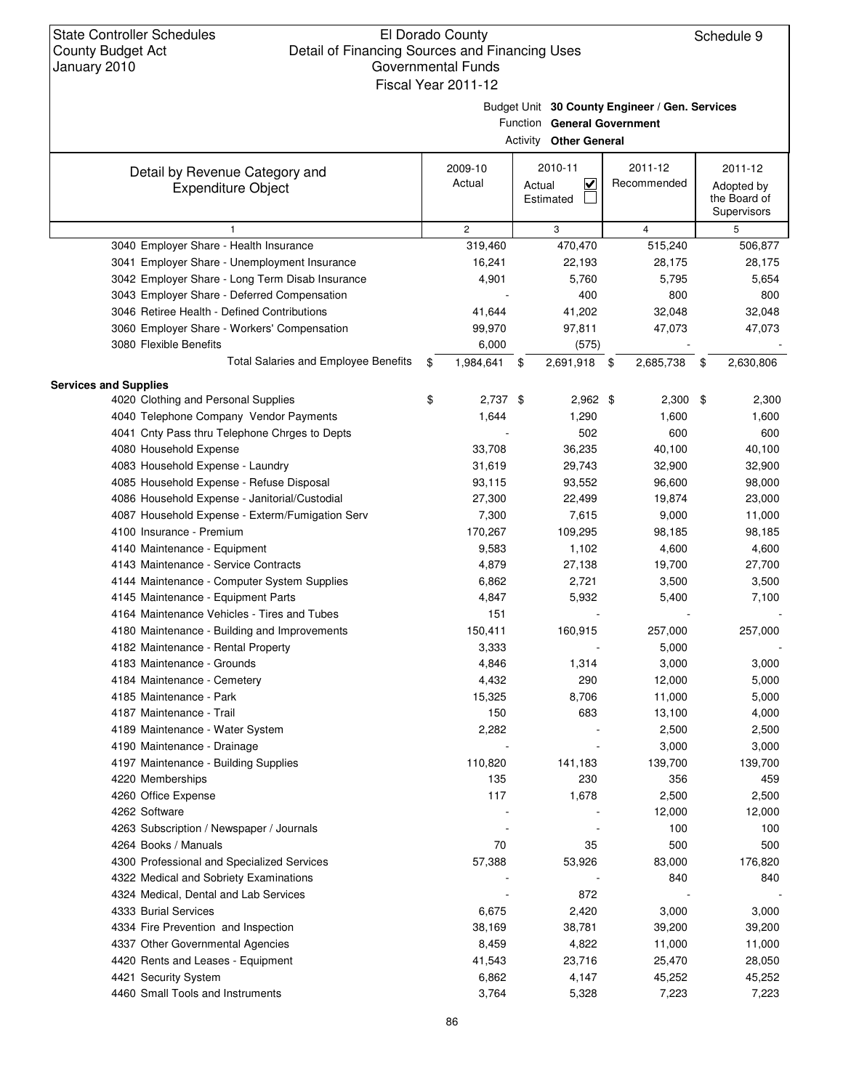Budget Unit **30 County Engineer / Gen. Services** Function **General Government**

|                                                             |                   | <b>Activity Other General</b>                             |                        |                                                      |
|-------------------------------------------------------------|-------------------|-----------------------------------------------------------|------------------------|------------------------------------------------------|
| Detail by Revenue Category and<br><b>Expenditure Object</b> | 2009-10<br>Actual | 2010-11<br>$\overline{\mathbf{v}}$<br>Actual<br>Estimated | 2011-12<br>Recommended | 2011-12<br>Adopted by<br>the Board of<br>Supervisors |
| 1                                                           | $\mathbf{2}$      | 3                                                         | $\overline{4}$         | 5                                                    |
| 3040 Employer Share - Health Insurance                      | 319,460           | 470,470                                                   | 515,240                | 506,877                                              |
| 3041 Employer Share - Unemployment Insurance                | 16,241            | 22,193                                                    | 28,175                 | 28,175                                               |
| 3042 Employer Share - Long Term Disab Insurance             | 4,901             | 5,760                                                     | 5,795                  | 5,654                                                |
| 3043 Employer Share - Deferred Compensation                 |                   | 400                                                       | 800                    | 800                                                  |
| 3046 Retiree Health - Defined Contributions                 | 41,644            | 41,202                                                    | 32,048                 | 32,048                                               |
| 3060 Employer Share - Workers' Compensation                 | 99,970            | 97,811                                                    | 47,073                 | 47,073                                               |
| 3080 Flexible Benefits                                      | 6,000             | (575)                                                     |                        |                                                      |
| <b>Total Salaries and Employee Benefits</b>                 | \$<br>1,984,641   | \$<br>2,691,918                                           | \$<br>2,685,738        | \$<br>2,630,806                                      |
| <b>Services and Supplies</b>                                |                   |                                                           |                        |                                                      |
| 4020 Clothing and Personal Supplies                         | \$<br>$2,737$ \$  | $2,962$ \$                                                | 2,300                  | \$<br>2,300                                          |
| 4040 Telephone Company Vendor Payments                      | 1,644             | 1,290                                                     | 1,600                  | 1,600                                                |
| 4041 Cnty Pass thru Telephone Chrges to Depts               |                   | 502                                                       | 600                    | 600                                                  |
| 4080 Household Expense                                      | 33,708            | 36,235                                                    | 40,100                 | 40,100                                               |
| 4083 Household Expense - Laundry                            | 31,619            | 29,743                                                    | 32,900                 | 32,900                                               |
| 4085 Household Expense - Refuse Disposal                    | 93,115            | 93,552                                                    | 96,600                 | 98,000                                               |
| 4086 Household Expense - Janitorial/Custodial               | 27,300            | 22,499                                                    | 19,874                 | 23,000                                               |
| 4087 Household Expense - Exterm/Fumigation Serv             | 7,300             | 7,615                                                     | 9,000                  | 11,000                                               |
| 4100 Insurance - Premium                                    | 170,267           | 109,295                                                   | 98,185                 | 98,185                                               |
| 4140 Maintenance - Equipment                                | 9,583             | 1,102                                                     | 4,600                  | 4,600                                                |
| 4143 Maintenance - Service Contracts                        | 4,879             | 27,138                                                    | 19,700                 | 27,700                                               |
| 4144 Maintenance - Computer System Supplies                 | 6,862             | 2,721                                                     | 3,500                  | 3,500                                                |
| 4145 Maintenance - Equipment Parts                          | 4,847             | 5,932                                                     | 5,400                  | 7,100                                                |
| 4164 Maintenance Vehicles - Tires and Tubes                 | 151               |                                                           |                        |                                                      |
| 4180 Maintenance - Building and Improvements                | 150,411           | 160,915                                                   | 257,000                | 257,000                                              |
| 4182 Maintenance - Rental Property                          | 3,333             |                                                           | 5,000                  |                                                      |
| 4183 Maintenance - Grounds                                  | 4,846             | 1,314                                                     | 3,000                  | 3,000                                                |
| 4184 Maintenance - Cemetery                                 | 4,432             | 290                                                       | 12,000                 | 5,000                                                |
| 4185 Maintenance - Park                                     | 15,325            | 8,706                                                     | 11,000                 | 5,000                                                |
| 4187 Maintenance - Trail                                    | 150               | 683                                                       | 13,100                 | 4,000                                                |
| 4189 Maintenance - Water System                             | 2,282             |                                                           | 2,500                  | 2,500                                                |
| 4190 Maintenance - Drainage                                 |                   |                                                           | 3,000                  | 3,000                                                |
| 4197 Maintenance - Building Supplies                        | 110,820           | 141,183                                                   | 139,700                | 139,700                                              |
| 4220 Memberships                                            | 135               | 230                                                       | 356                    | 459                                                  |
| 4260 Office Expense                                         | 117               | 1,678                                                     | 2,500                  | 2,500                                                |
| 4262 Software                                               |                   |                                                           | 12,000                 | 12,000                                               |
| 4263 Subscription / Newspaper / Journals                    |                   |                                                           | 100                    | 100                                                  |
| 4264 Books / Manuals                                        | 70                | 35                                                        | 500                    | 500                                                  |
| 4300 Professional and Specialized Services                  | 57,388            | 53,926                                                    | 83,000                 | 176,820                                              |
| 4322 Medical and Sobriety Examinations                      |                   |                                                           | 840                    | 840                                                  |
| 4324 Medical, Dental and Lab Services                       |                   | 872                                                       |                        |                                                      |
| 4333 Burial Services                                        | 6,675             | 2,420                                                     | 3,000                  | 3,000                                                |
| 4334 Fire Prevention and Inspection                         | 38,169            | 38,781                                                    | 39,200                 | 39,200                                               |
| 4337 Other Governmental Agencies                            | 8,459             | 4,822                                                     | 11,000                 | 11,000                                               |
| 4420 Rents and Leases - Equipment                           | 41,543            | 23,716                                                    | 25,470                 | 28,050                                               |
| 4421 Security System                                        | 6,862             | 4,147                                                     | 45,252                 | 45,252                                               |
| 4460 Small Tools and Instruments                            | 3,764             | 5,328                                                     | 7,223                  | 7,223                                                |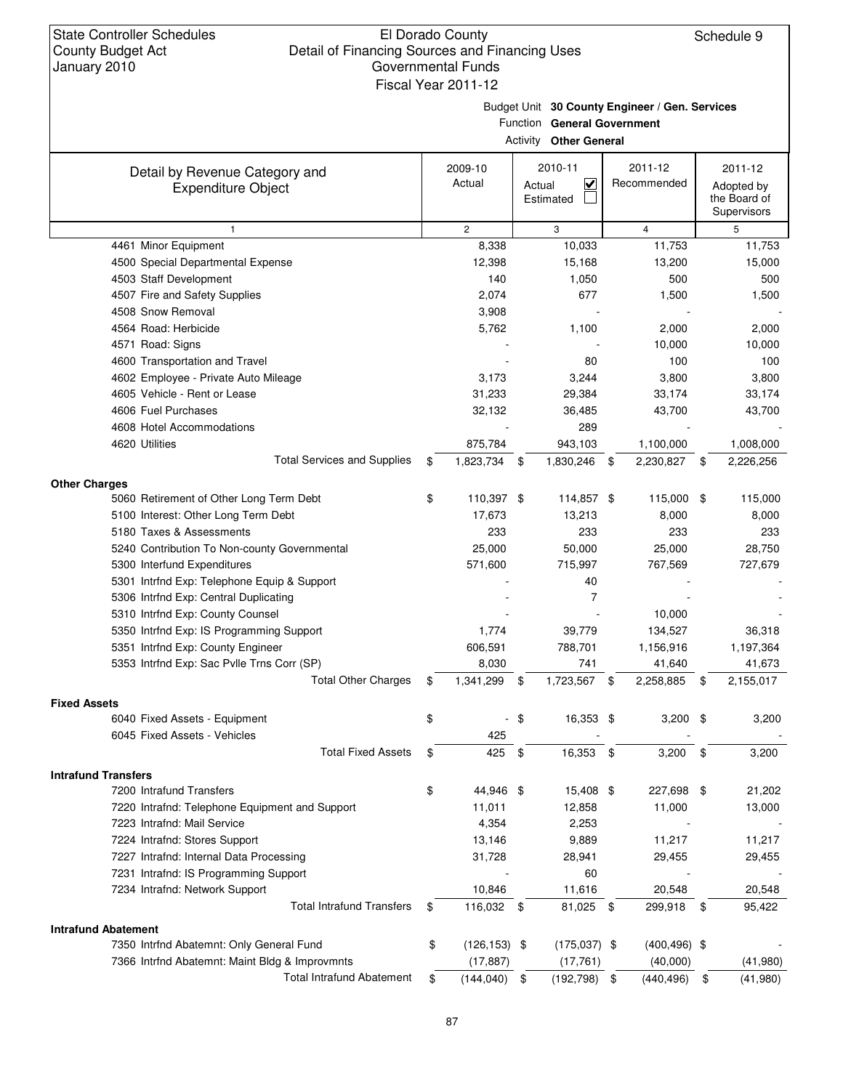Budget Unit **30 County Engineer / Gen. Services** Function Go

|                                                             |    |                   |          | Function General Government                |                        |                                                      |
|-------------------------------------------------------------|----|-------------------|----------|--------------------------------------------|------------------------|------------------------------------------------------|
|                                                             |    |                   | Activity | <b>Other General</b>                       |                        |                                                      |
| Detail by Revenue Category and<br><b>Expenditure Object</b> |    | 2009-10<br>Actual |          | 2010-11<br><u>V</u><br>Actual<br>Estimated | 2011-12<br>Recommended | 2011-12<br>Adopted by<br>the Board of<br>Supervisors |
| $\mathbf{1}$                                                |    | $\mathbf{2}$      |          | 3                                          | $\overline{4}$         | 5                                                    |
| 4461 Minor Equipment                                        |    | 8,338             |          | 10,033                                     | 11,753                 | 11,753                                               |
| 4500 Special Departmental Expense                           |    | 12,398            |          | 15,168                                     | 13,200                 | 15,000                                               |
| 4503 Staff Development                                      |    | 140               |          | 1,050                                      | 500                    | 500                                                  |
| 4507 Fire and Safety Supplies                               |    | 2,074             |          | 677                                        | 1,500                  | 1,500                                                |
| 4508 Snow Removal                                           |    | 3,908             |          |                                            |                        |                                                      |
| 4564 Road: Herbicide                                        |    | 5,762             |          | 1,100                                      | 2,000                  | 2,000                                                |
| 4571 Road: Signs                                            |    |                   |          |                                            | 10,000                 | 10,000                                               |
| 4600 Transportation and Travel                              |    |                   |          | 80                                         | 100                    | 100                                                  |
| 4602 Employee - Private Auto Mileage                        |    | 3,173             |          | 3,244                                      | 3,800                  | 3,800                                                |
| 4605 Vehicle - Rent or Lease                                |    | 31,233            |          | 29,384                                     | 33,174                 | 33,174                                               |
| 4606 Fuel Purchases                                         |    | 32,132            |          | 36,485                                     | 43,700                 | 43,700                                               |
| 4608 Hotel Accommodations                                   |    |                   |          | 289                                        |                        |                                                      |
| 4620 Utilities                                              |    | 875,784           |          | 943,103                                    | 1,100,000              | 1,008,000                                            |
| <b>Total Services and Supplies</b>                          | \$ | 1,823,734 \$      |          | 1,830,246 \$                               | 2,230,827              | \$<br>2,226,256                                      |
| <b>Other Charges</b>                                        |    |                   |          |                                            |                        |                                                      |
| 5060 Retirement of Other Long Term Debt                     | \$ | 110,397 \$        |          | 114,857 \$                                 | 115,000 \$             | 115,000                                              |
| 5100 Interest: Other Long Term Debt                         |    | 17,673            |          | 13,213                                     | 8,000                  | 8,000                                                |
| 5180 Taxes & Assessments                                    |    | 233               |          | 233                                        | 233                    | 233                                                  |
| 5240 Contribution To Non-county Governmental                |    | 25,000            |          | 50,000                                     | 25,000                 | 28,750                                               |
| 5300 Interfund Expenditures                                 |    | 571,600           |          | 715,997                                    | 767,569                | 727,679                                              |
| 5301 Intrfnd Exp: Telephone Equip & Support                 |    |                   |          | 40                                         |                        |                                                      |
| 5306 Intrfnd Exp: Central Duplicating                       |    |                   |          | $\overline{7}$                             |                        |                                                      |
| 5310 Intrfnd Exp: County Counsel                            |    |                   |          |                                            | 10,000                 |                                                      |
| 5350 Intrfnd Exp: IS Programming Support                    |    | 1,774             |          | 39,779                                     | 134,527                | 36,318                                               |
| 5351 Intrfnd Exp: County Engineer                           |    | 606,591           |          | 788,701                                    | 1,156,916              | 1,197,364                                            |
| 5353 Intrfnd Exp: Sac Pvlle Trns Corr (SP)                  |    | 8,030             |          | 741                                        | 41,640                 | 41,673                                               |
| <b>Total Other Charges</b>                                  | \$ | 1,341,299         | \$       | 1,723,567                                  | \$<br>2,258,885        | \$<br>2,155,017                                      |
| <b>Fixed Assets</b>                                         |    |                   |          |                                            |                        |                                                      |
| 6040 Fixed Assets - Equipment                               | \$ |                   | \$       | 16,353 \$                                  | 3,200                  | \$<br>3,200                                          |
| 6045 Fixed Assets - Vehicles                                |    | 425               |          |                                            |                        |                                                      |
| <b>Total Fixed Assets</b>                                   | \$ | 425               | \$       | 16,353                                     | \$<br>3,200            | \$<br>3,200                                          |
|                                                             |    |                   |          |                                            |                        |                                                      |
| <b>Intrafund Transfers</b>                                  |    |                   |          |                                            |                        |                                                      |
| 7200 Intrafund Transfers                                    | \$ | 44,946 \$         |          | 15,408 \$                                  | 227,698 \$             | 21,202                                               |
| 7220 Intrafnd: Telephone Equipment and Support              |    | 11,011            |          | 12,858                                     | 11,000                 | 13,000                                               |
| 7223 Intrafnd: Mail Service                                 |    | 4,354             |          | 2,253                                      |                        |                                                      |
| 7224 Intrafnd: Stores Support                               |    | 13,146            |          | 9,889                                      | 11,217                 | 11,217                                               |
| 7227 Intrafnd: Internal Data Processing                     |    | 31,728            |          | 28,941                                     | 29,455                 | 29,455                                               |
| 7231 Intrafnd: IS Programming Support                       |    |                   |          | 60                                         |                        |                                                      |
| 7234 Intrafnd: Network Support                              |    | 10,846            |          | 11,616                                     | 20,548                 | 20,548                                               |
| <b>Total Intrafund Transfers</b>                            | \$ | 116,032 \$        |          | 81,025 \$                                  | 299,918 \$             | 95,422                                               |
| <b>Intrafund Abatement</b>                                  |    |                   |          |                                            |                        |                                                      |
| 7350 Intrfnd Abatemnt: Only General Fund                    | \$ | $(126, 153)$ \$   |          | $(175,037)$ \$                             | $(400, 496)$ \$        |                                                      |
| 7366 Intrfnd Abatemnt: Maint Bldg & Improvmnts              |    | (17, 887)         |          | (17, 761)                                  | (40,000)               | (41,980)                                             |
| <b>Total Intrafund Abatement</b>                            | S  | (144, 040)        | \$       | (192, 798)                                 | \$<br>(440, 496)       | \$<br>(41,980)                                       |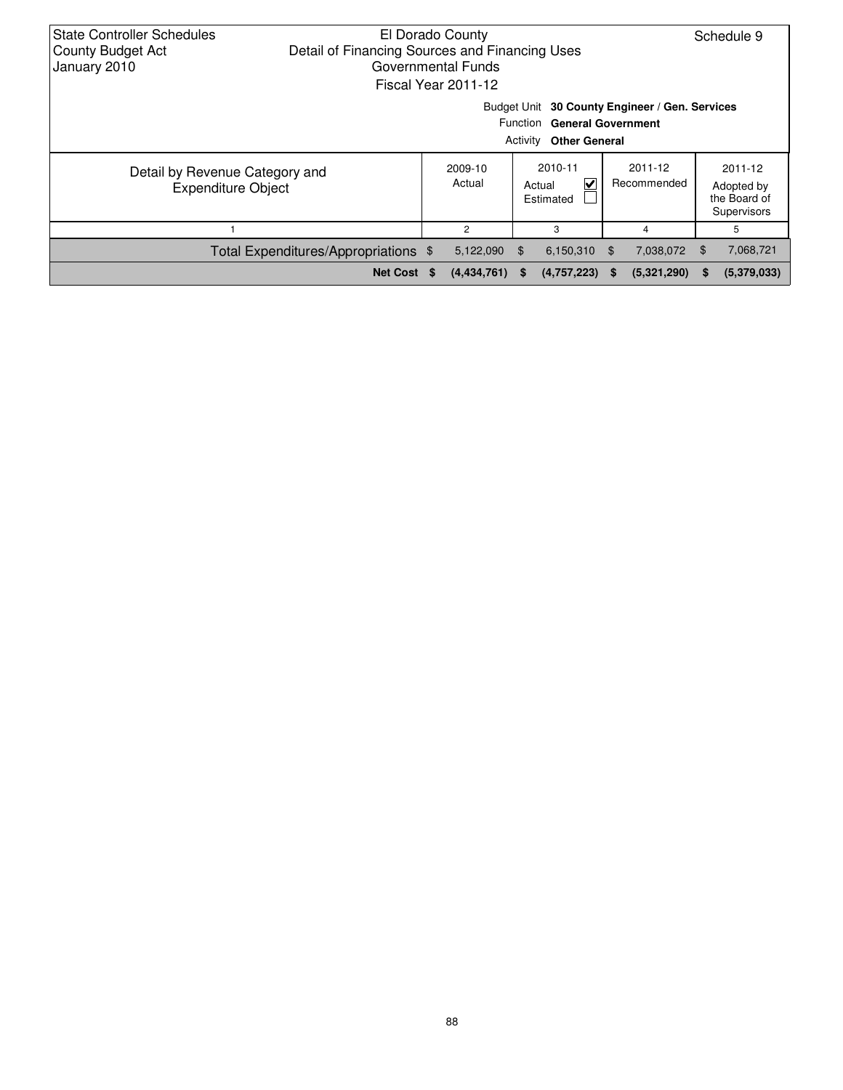| <b>State Controller Schedules</b><br><b>County Budget Act</b><br>January 2010 | Detail of Financing Sources and Financing Uses | El Dorado County<br>Governmental Funds<br>Fiscal Year 2011-12 |          |                                                     |    |                                                |    | Schedule 9                                           |
|-------------------------------------------------------------------------------|------------------------------------------------|---------------------------------------------------------------|----------|-----------------------------------------------------|----|------------------------------------------------|----|------------------------------------------------------|
|                                                                               |                                                |                                                               | Activity | Function General Government<br><b>Other General</b> |    | Budget Unit 30 County Engineer / Gen. Services |    |                                                      |
| Detail by Revenue Category and<br><b>Expenditure Object</b>                   |                                                | 2009-10<br>Actual                                             |          | 2010-11<br>V<br>Actual<br>Estimated                 |    | 2011-12<br>Recommended                         |    | 2011-12<br>Adopted by<br>the Board of<br>Supervisors |
|                                                                               |                                                | 2                                                             |          | 3                                                   |    | 4                                              |    | 5                                                    |
|                                                                               | Total Expenditures/Appropriations \$           | 5,122,090                                                     | - SS     | $6,150,310$ \$                                      |    | 7,038,072                                      | \$ | 7,068,721                                            |
|                                                                               | Net Cost \$                                    | (4,434,761)                                                   | S.       | (4,757,223)                                         | S. | (5,321,290)                                    | S. | (5,379,033)                                          |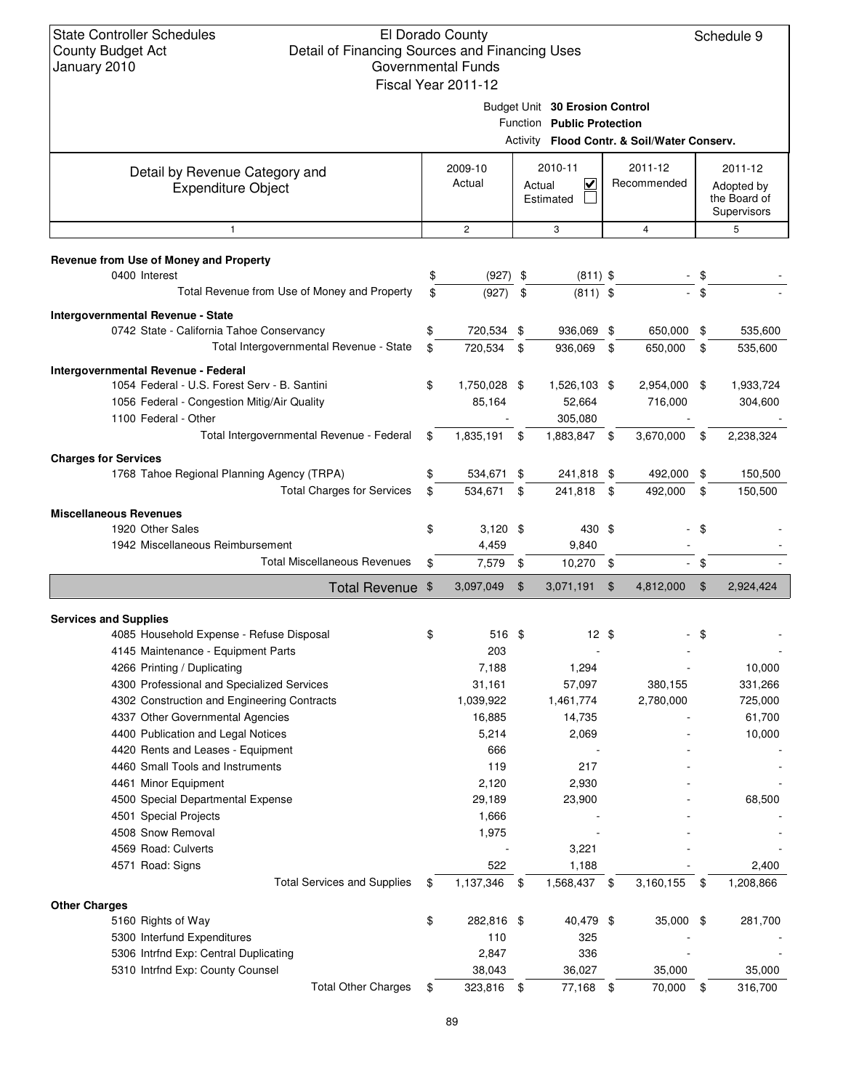#### El Dorado County Detail of Financing Sources and Financing Uses Governmental Funds Fiscal Year 2011-12

Schedule 9

Budget Unit **30 Erosion Control**

|                                                                |                    |                | Function Public Protection          |               |                                             |               |                                           |
|----------------------------------------------------------------|--------------------|----------------|-------------------------------------|---------------|---------------------------------------------|---------------|-------------------------------------------|
|                                                                |                    |                |                                     |               | Activity Flood Contr. & Soil/Water Conserv. |               |                                           |
| Detail by Revenue Category and                                 | 2009-10            |                | 2010-11                             |               | 2011-12                                     |               | 2011-12                                   |
| <b>Expenditure Object</b>                                      | Actual             |                | $\checkmark$<br>Actual<br>Estimated |               | Recommended                                 |               | Adopted by<br>the Board of<br>Supervisors |
| $\mathbf{1}$                                                   | $\mathbf{2}$       |                | 3                                   |               | 4                                           |               | 5                                         |
| Revenue from Use of Money and Property                         |                    |                |                                     |               |                                             |               |                                           |
| 0400 Interest                                                  | \$<br>$(927)$ \$   |                | $(811)$ \$                          |               |                                             | \$            |                                           |
| Total Revenue from Use of Money and Property                   | \$<br>(927)        | - \$           | $(811)$ \$                          |               |                                             | $-$ \$        |                                           |
| Intergovernmental Revenue - State                              |                    |                |                                     |               |                                             |               |                                           |
| 0742 State - California Tahoe Conservancy                      | \$<br>720,534 \$   |                | 936,069 \$                          |               | 650,000 \$                                  |               | 535,600                                   |
| Total Intergovernmental Revenue - State                        | \$<br>720,534 \$   |                | 936,069 \$                          |               | 650,000                                     | \$            | 535,600                                   |
| Intergovernmental Revenue - Federal                            |                    |                |                                     |               |                                             |               |                                           |
| 1054 Federal - U.S. Forest Serv - B. Santini                   | \$<br>1,750,028 \$ |                | 1,526,103 \$                        |               | 2,954,000 \$                                |               | 1,933,724                                 |
| 1056 Federal - Congestion Mitig/Air Quality                    | 85,164             |                | 52,664                              |               | 716,000                                     |               | 304,600                                   |
| 1100 Federal - Other                                           |                    |                | 305,080                             |               |                                             |               |                                           |
| Total Intergovernmental Revenue - Federal                      | \$<br>1,835,191 \$ |                | 1,883,847 \$                        |               | 3,670,000                                   | \$            | 2,238,324                                 |
| <b>Charges for Services</b>                                    |                    |                |                                     |               |                                             |               |                                           |
| 1768 Tahoe Regional Planning Agency (TRPA)                     | \$<br>534,671 \$   |                | 241,818 \$                          |               | 492,000 \$                                  |               | 150,500                                   |
| <b>Total Charges for Services</b>                              | \$<br>534,671      | -\$            | 241,818 \$                          |               | 492,000                                     | \$            | 150,500                                   |
| <b>Miscellaneous Revenues</b>                                  |                    |                |                                     |               |                                             |               |                                           |
| 1920 Other Sales                                               | \$<br>$3,120$ \$   |                | 430 \$                              |               |                                             | - \$          |                                           |
| 1942 Miscellaneous Reimbursement                               | 4,459              |                | 9,840                               |               |                                             |               |                                           |
| <b>Total Miscellaneous Revenues</b>                            | \$<br>7,579 \$     |                | $10,270$ \$                         |               |                                             | - \$          |                                           |
| Total Revenue \$                                               | 3,097,049          | $\mathfrak{F}$ | 3,071,191                           | $\sqrt[6]{3}$ | 4,812,000                                   | $\frac{1}{2}$ | 2,924,424                                 |
| <b>Services and Supplies</b>                                   |                    |                |                                     |               |                                             |               |                                           |
| 4085 Household Expense - Refuse Disposal                       | \$<br>516 \$       |                | $12 \text{ }$ \$                    |               |                                             | \$            |                                           |
| 4145 Maintenance - Equipment Parts                             | 203                |                |                                     |               |                                             |               |                                           |
| 4266 Printing / Duplicating                                    | 7,188              |                | 1,294                               |               |                                             |               | 10,000                                    |
| 4300 Professional and Specialized Services                     | 31,161             |                | 57,097                              |               | 380,155                                     |               | 331,266                                   |
| 4302 Construction and Engineering Contracts                    | 1,039,922          |                | 1,461,774                           |               | 2,780,000                                   |               | 725,000                                   |
| 4337 Other Governmental Agencies                               | 16,885             |                | 14,735                              |               |                                             |               | 61,700                                    |
| 4400 Publication and Legal Notices                             | 5,214              |                | 2,069                               |               |                                             |               | 10,000                                    |
| 4420 Rents and Leases - Equipment                              | 666                |                |                                     |               |                                             |               |                                           |
| 4460 Small Tools and Instruments                               | 119                |                | 217                                 |               |                                             |               |                                           |
| 4461 Minor Equipment                                           | 2,120              |                | 2,930                               |               |                                             |               |                                           |
| 4500 Special Departmental Expense                              | 29,189             |                | 23,900                              |               |                                             |               | 68,500                                    |
| 4501 Special Projects                                          | 1,666              |                |                                     |               |                                             |               |                                           |
| 4508 Snow Removal                                              | 1,975              |                |                                     |               |                                             |               |                                           |
| 4569 Road: Culverts                                            |                    |                | 3,221                               |               |                                             |               |                                           |
| 4571 Road: Signs                                               | 522                |                | 1,188                               |               |                                             |               | 2,400                                     |
| <b>Total Services and Supplies</b>                             | \$<br>1,137,346    | \$             | 1,568,437 \$                        |               | 3,160,155                                   | \$            | 1,208,866                                 |
| <b>Other Charges</b>                                           |                    |                |                                     |               |                                             |               |                                           |
| 5160 Rights of Way                                             | \$<br>282,816 \$   |                | 40,479 \$                           |               | 35,000 \$                                   |               | 281,700                                   |
| 5300 Interfund Expenditures                                    | 110                |                | 325                                 |               |                                             |               |                                           |
| 5306 Intrfnd Exp: Central Duplicating                          | 2,847              |                | 336                                 |               |                                             |               |                                           |
| 5310 Intrfnd Exp: County Counsel<br><b>Total Other Charges</b> | 38,043             |                | 36,027<br>77,168 \$                 |               | 35,000                                      |               | 35,000                                    |
|                                                                | \$<br>323,816 \$   |                |                                     |               | 70,000 \$                                   |               | 316,700                                   |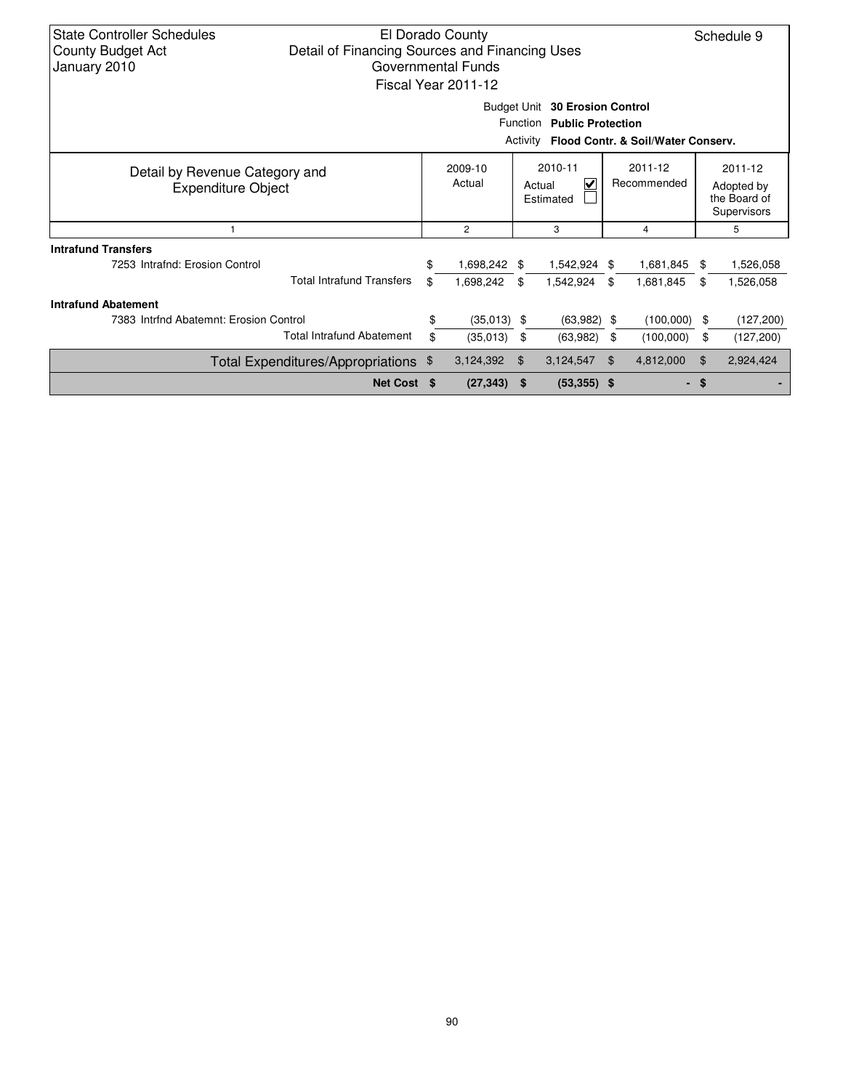| <b>State Controller Schedules</b><br>Detail of Financing Sources and Financing Uses<br><b>County Budget Act</b><br>January 2010                                                                                                                                                                                                                                                                                                                                                                                     |             |    | El Dorado County<br>Governmental Funds<br>Fiscal Year 2011-12 |     | Budget Unit 30 Erosion Control |     |           |      | Schedule 9 |
|---------------------------------------------------------------------------------------------------------------------------------------------------------------------------------------------------------------------------------------------------------------------------------------------------------------------------------------------------------------------------------------------------------------------------------------------------------------------------------------------------------------------|-------------|----|---------------------------------------------------------------|-----|--------------------------------|-----|-----------|------|------------|
|                                                                                                                                                                                                                                                                                                                                                                                                                                                                                                                     |             |    |                                                               |     | Function Public Protection     |     |           |      |            |
| Activity Flood Contr. & Soil/Water Conserv.<br>2010-11<br>2011-12<br>2009-10<br>2011-12<br>Detail by Revenue Category and<br>Actual<br>V<br>Recommended<br>Actual<br>Adopted by<br><b>Expenditure Object</b><br>the Board of<br>Estimated<br>Supervisors<br>3<br>5<br>$\overline{c}$<br>4<br>\$<br>1,698,242 \$<br>1,542,924 \$<br>1,526,058<br>7253 Intrafnd: Erosion Control<br>1,681,845<br>\$<br><b>Total Intrafund Transfers</b><br>\$<br>1,698,242<br>1,542,924<br>\$<br>-\$<br>-\$<br>1,681,845<br>1,526,058 |             |    |                                                               |     |                                |     |           |      |            |
|                                                                                                                                                                                                                                                                                                                                                                                                                                                                                                                     |             |    |                                                               |     |                                |     |           |      |            |
|                                                                                                                                                                                                                                                                                                                                                                                                                                                                                                                     |             |    |                                                               |     |                                |     |           |      |            |
| <b>Intrafund Transfers</b>                                                                                                                                                                                                                                                                                                                                                                                                                                                                                          |             |    |                                                               |     |                                |     |           |      |            |
|                                                                                                                                                                                                                                                                                                                                                                                                                                                                                                                     |             |    |                                                               |     |                                |     |           |      |            |
|                                                                                                                                                                                                                                                                                                                                                                                                                                                                                                                     |             |    |                                                               |     |                                |     |           |      |            |
| <b>Intrafund Abatement</b>                                                                                                                                                                                                                                                                                                                                                                                                                                                                                          |             |    |                                                               |     |                                |     |           |      |            |
| 7383 Intrind Abatemnt: Erosion Control                                                                                                                                                                                                                                                                                                                                                                                                                                                                              |             |    | $(35,013)$ \$                                                 |     | (63,982)                       | -\$ | (100,000) | \$   | (127, 200) |
| <b>Total Intrafund Abatement</b>                                                                                                                                                                                                                                                                                                                                                                                                                                                                                    |             | \$ | (35,013)                                                      | -\$ | (63, 982)                      | \$  | (100,000) | \$   | (127, 200) |
| Total Expenditures/Appropriations \$                                                                                                                                                                                                                                                                                                                                                                                                                                                                                |             |    | 3,124,392                                                     | \$  | 3,124,547                      | \$  | 4,812,000 | \$   | 2,924,424  |
|                                                                                                                                                                                                                                                                                                                                                                                                                                                                                                                     | Net Cost \$ |    | $(27, 343)$ \$                                                |     | $(53,355)$ \$                  |     |           | - \$ |            |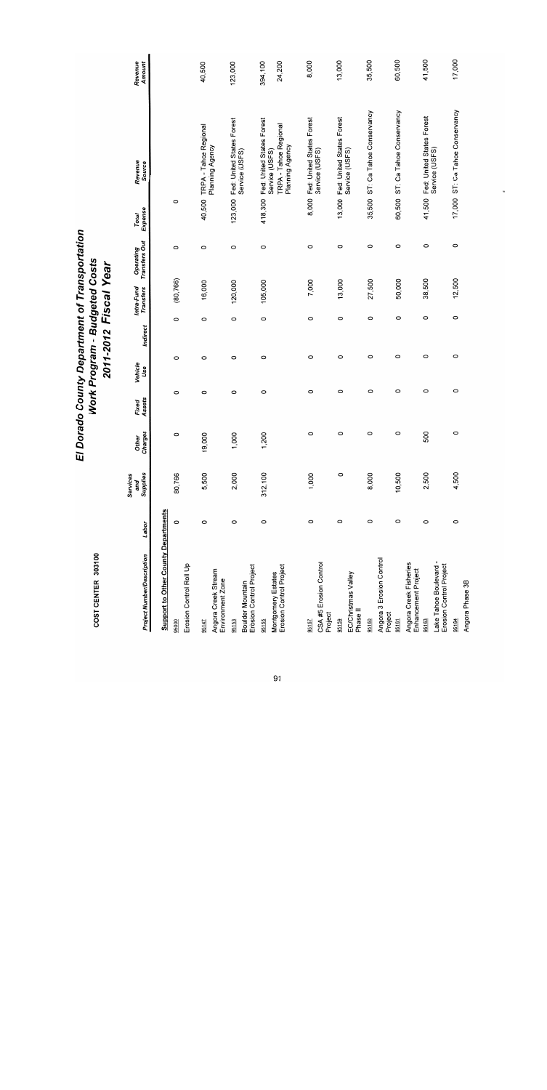| COST CENTER 303100                                       |         |                             | EI               |                 | Work Program - Budgeted Costs<br>2011-2012 Fiscal Year |          |                         | Dorado County Department of Transportation |                  |                                                                                         |                   |
|----------------------------------------------------------|---------|-----------------------------|------------------|-----------------|--------------------------------------------------------|----------|-------------------------|--------------------------------------------|------------------|-----------------------------------------------------------------------------------------|-------------------|
| <b>Project Number/Description</b>                        | Labor   | Supplies<br>Services<br>and | Charges<br>Other | Assets<br>Fixed | Vehicle<br>Use                                         | Indirect | Intra-Fund<br>Transfers | Operating<br>Transfers Out                 | Expense<br>Total | Revenue<br>Source                                                                       | Revenue<br>Amount |
| <b>Support to Other County Departments</b>               |         |                             |                  |                 |                                                        |          |                         |                                            |                  |                                                                                         |                   |
| Erosion Control Roll Up<br>95000                         | $\circ$ | 80,766                      | 0                | 0               | O                                                      | $\circ$  | (80, 766)               | $\circ$                                    | $\circ$          |                                                                                         |                   |
| Angora Creek Stream<br>Environment Zone<br>95147         | $\circ$ | 5,500                       | 9,000            | O               | O                                                      | 0        | 16,000                  | $\circ$                                    | 40,500           | TRPA - Tahoe Regional<br>Planning Agency                                                | 40,500            |
| Erosion Control Project<br>Boulder Mountain<br>95153     | $\circ$ | 2,000                       | 1,000            | $\circ$         | $\circ$                                                | $\circ$  | 120,000                 | $\circ$                                    | 123,000          | Fed: United States Forest<br>Service (USFS)                                             | 123,000           |
| Erosion Control Project<br>Montgomery Estates<br>95155   | O       | 312,100                     | 1,200            | 0               | O                                                      | 0        | 105,000                 | $\circ$                                    | 418,300          | Fed: United States Forest<br>Service (USFS)<br>TRPA - Tahoe Regional<br>Planning Agency | 394,100<br>24,200 |
| CSA #5 Erosion Control<br>Project<br>95157               | $\circ$ | 1,000                       | $\circ$          | $\circ$         | $\circ$                                                | $\circ$  | 7,000                   | O                                          | 8,000            | Fed: United States Forest<br>Service (USFS)                                             | 8,000             |
| EC/Christmas Valley<br>Phase II<br>95159                 | $\circ$ | $\circ$                     | $\circ$          | O               | $\circ$                                                | $\circ$  | 13,000                  | $\circ$                                    |                  | 13,000 Fed: United States Forest<br>Service (USFS)                                      | 13,000            |
| Angora 3 Erosion Control<br>Project<br>95160             | $\circ$ | 8,000                       | 0                | O               | $\circ$                                                | $\circ$  | 27,500                  | $\circ$                                    | 35,500           | ST: Ca Tahoe Conservancy                                                                | 35,500            |
| Angora Creek Fisheries<br>Enhancement Project<br>95161   | $\circ$ | 10,500                      | $\circ$          | O               | O                                                      | O        | 50,000                  | $\circ$                                    |                  | 60,500 ST: Ca Tahoe Conservancy                                                         | 60,500            |
| Erosion Control Project<br>Lake Tahoe Boulevard<br>95163 | $\circ$ | 2,500                       | 500              | O               | O                                                      | $\circ$  | 38,500                  | O                                          | 41,500           | Fed: United States Forest<br>Service (USFS)                                             | 41,500            |
| Angora Phase 3B<br>95164                                 | $\circ$ | 4,500                       | $\circ$          | $\circ$         | $\circ$                                                | $\circ$  | 12,500                  | $\circ$                                    |                  | 17,000 ST: Ca Tahoe Conservancy                                                         | 17,000            |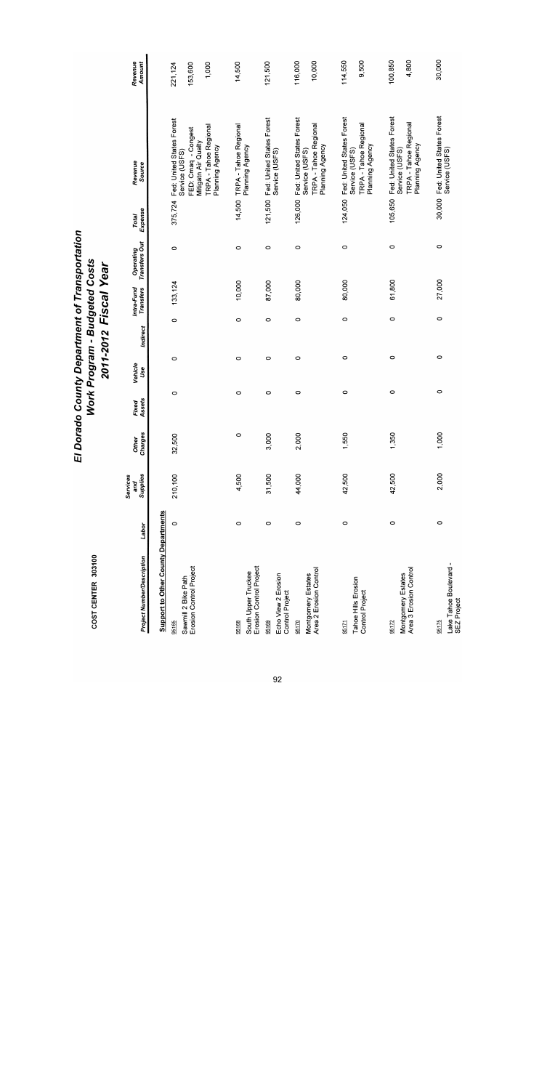| ٠<br>f |  |
|--------|--|
| г<br>τ |  |
|        |  |

| <b>Project Number/Description</b>              | Labor   | Supplies<br>Services<br>and | Charges<br>Other | Assets<br>Fixed | Vehicle<br>Use | Indirect | Intra-Fund<br>Transfers | Transfers Out<br>Operating | Expense<br>Total | Revenue<br>Source                                          | Revenue<br>Amount |
|------------------------------------------------|---------|-----------------------------|------------------|-----------------|----------------|----------|-------------------------|----------------------------|------------------|------------------------------------------------------------|-------------------|
| <b>Support to Other County Departments</b>     |         |                             |                  |                 |                |          |                         |                            |                  |                                                            |                   |
| 95165                                          | $\circ$ | 210,100                     | 32,500           | $\circ$         | $\circ$        | $\circ$  | 133,124                 | $\circ$                    | 375,724          | Fed: United States Forest                                  | 221,124           |
| Sawmill 2 Bike Path<br>Erosion Control Project |         |                             |                  |                 |                |          |                         |                            |                  | Service (USFS)                                             |                   |
|                                                |         |                             |                  |                 |                |          |                         |                            |                  | FED: Cmaq - Congest<br>Mitigatn Air Qualty                 | 153,600           |
|                                                |         |                             |                  |                 |                |          |                         |                            |                  | <b>TRPA - Tahoe Regional</b>                               | 1,000             |
|                                                |         |                             |                  |                 |                |          |                         |                            |                  | Planning Agency                                            |                   |
| 95168                                          | $\circ$ | 4,500                       | $\circ$          | $\circ$         | $\circ$        | $\circ$  | 10,000                  | 0                          |                  | 14,500 TRPA - Tahoe Regional                               | 14,500            |
| Erosion Control Project<br>South Upper Truckee |         |                             |                  |                 |                |          |                         |                            |                  | Planning Agency                                            |                   |
| 95169                                          | $\circ$ | 31,500                      | 3,000            | 0               | $\circ$        | $\circ$  | 87,000                  | 0                          |                  | 121,500 Fed: United States Forest                          | 121,500           |
| Echo View 2 Erosion<br><b>Control Project</b>  |         |                             |                  |                 |                |          |                         |                            |                  | Service (USFS)                                             |                   |
| 95170                                          | $\circ$ | 44,000                      | 2,000            | $\circ$         | $\circ$        | $\circ$  | 80,000                  | $\circ$                    | 126,000          | Fed: United States Forest                                  | 116,000           |
| Area 2 Erosion Control<br>Montgomery Estates   |         |                             |                  |                 |                |          |                         |                            |                  | TRPA - Tahoe Regional<br>Planning Agency<br>Service (USFS) | 10,000            |
|                                                |         |                             |                  |                 |                |          |                         |                            |                  |                                                            |                   |
| 95171                                          | $\circ$ | 42,500                      | 1,550            | $\circ$         | $\circ$        | $\circ$  | 80,000                  | $\circ$                    | 124,050          | Fed: United States Forest                                  | 114,550           |
| Tahoe Hills Erosion<br>Control Project         |         |                             |                  |                 |                |          |                         |                            |                  | TRPA - Tahoe Regional<br>Service (USFS)                    | 9.500             |
|                                                |         |                             |                  |                 |                |          |                         |                            |                  | Planning Agency                                            |                   |
| 95172                                          | 0       | 42,500                      | 1,350            | $\circ$         | 0              | $\circ$  | 61,800                  | $\circ$                    | 105,650          | Fed: United States Forest                                  | 100,850           |
| Area 3 Erosion Control<br>Montgomery Estates   |         |                             |                  |                 |                |          |                         |                            |                  | TRPA - Tahoe Regional<br>Service (USFS)                    | 4,800             |
|                                                |         |                             |                  |                 |                |          |                         |                            |                  | Planning Agency                                            |                   |
| 95175                                          | $\circ$ | 2,000                       | 1,000            | $\circ$         | $\circ$        | $\circ$  | 27,000                  | 0                          | 30,000           | Fed: United States Forest                                  | 30,000            |
| Lake Tahoe Boulevard -<br>SEZ Project          |         |                             |                  |                 |                |          |                         |                            |                  | Service (USFS)                                             |                   |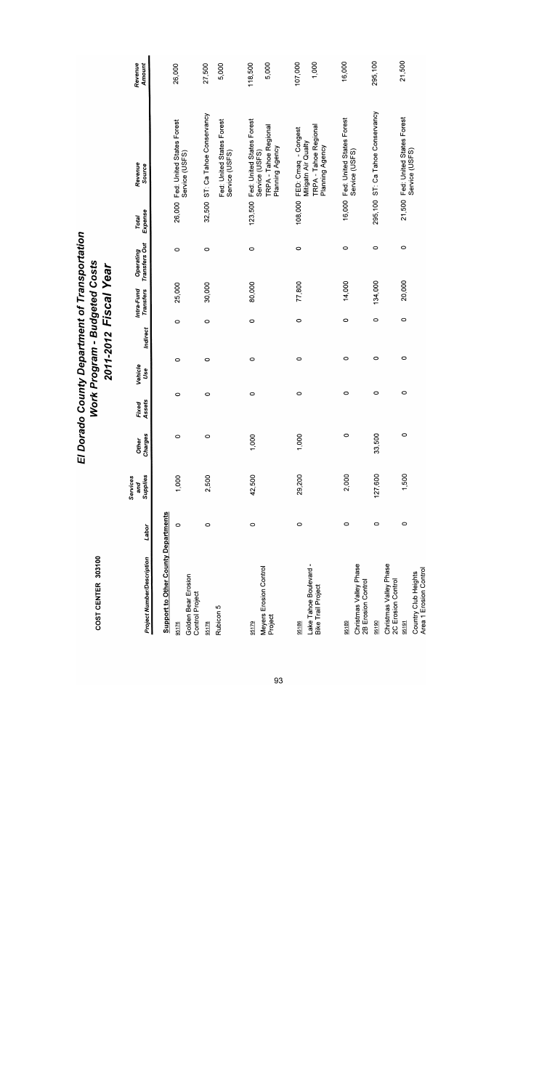| <b>Project Number/Description</b>                      | Labor   | Supplies<br>Services<br>and | Charges<br><b>Other</b> | Assets<br>Fixed | Vehicle<br>Jse | Indirect | Intra-Fund<br>Transfers | Transfers Out<br>Operating | Expense<br>Total | Revenue<br>Source                                               | Amount<br>Revenue |
|--------------------------------------------------------|---------|-----------------------------|-------------------------|-----------------|----------------|----------|-------------------------|----------------------------|------------------|-----------------------------------------------------------------|-------------------|
| <b>Support to Other County Departments</b>             |         |                             |                         |                 |                |          |                         |                            |                  |                                                                 |                   |
| Golden Bear Erosion<br><b>Control Project</b><br>95176 | 0       | 1,000                       | 0                       | 0               | 0              | 0        | 25,000                  | 0                          |                  | 26,000 Fed: United States Forest<br>Service (USFS)              | 26,000            |
| 95178                                                  | 0       | 2,500                       | $\circ$                 | 0               | $\circ$        |          | 30,000<br>$\circ$       | $\circ$                    |                  | 32,500 ST: Ca Tahoe Conservancy                                 | 27,500            |
| Rubicon 5                                              |         |                             |                         |                 |                |          |                         |                            |                  | Fed: United States Forest<br>Service (USFS)                     | 5,000             |
| 95179                                                  | $\circ$ | 42,500                      | 1,000                   | $\circ$         | $\circ$        |          | 80,000<br>$\circ$       | $\circ$                    |                  | 123,500 Fed: United States Forest                               | 118,500           |
| Meyers Erosion Control<br>Project                      |         |                             |                         |                 |                |          |                         |                            |                  | TRPA - Tahoe Regional<br>Planning Agency<br>Service (USFS)      | 5,000             |
| 95186                                                  | $\circ$ | 29,200                      | 1,000                   | $\circ$         | $\circ$        |          | 77,800<br>0             | 0                          | 108,000          | FED: Cmaq - Congest                                             | 107,000           |
| Lake Tahoe Boulevard -<br>Bike Trail Project           |         |                             |                         |                 |                |          |                         |                            |                  | TRPA - Tahoe Regional<br>Planning Agency<br>Mitigatn Air Qualty | 1,000             |
| 95189                                                  | 0       | 2,000                       | 0                       | $\circ$         | $\circ$        |          | 14,000<br>0             | 0                          |                  | 16,000 Fed: United States Forest                                | 16,000            |
| Christmas Valley Phase<br>2B Erosion Control           |         |                             |                         |                 |                |          |                         |                            |                  | Service (USFS)                                                  |                   |
| 95190                                                  | $\circ$ | 127,600                     | 33,500                  | 0               | 0              |          | 134,000<br>$\circ$      | $\circ$                    |                  | 295,100 ST: Ca Tahoe Conservancy                                | 295,100           |
| Christmas Valley Phase<br>2C Erosion Control           |         |                             |                         |                 |                |          |                         |                            |                  |                                                                 |                   |
| 95191                                                  | $\circ$ | 1,500                       | $\circ$                 | 0               | $\circ$        |          | 20,000<br>0             | 0                          |                  | 21,500 Fed: United States Forest                                | 21,500            |
| Area 1 Erosion Control<br>Country Club Heights         |         |                             |                         |                 |                |          |                         |                            |                  | Service (USFS)                                                  |                   |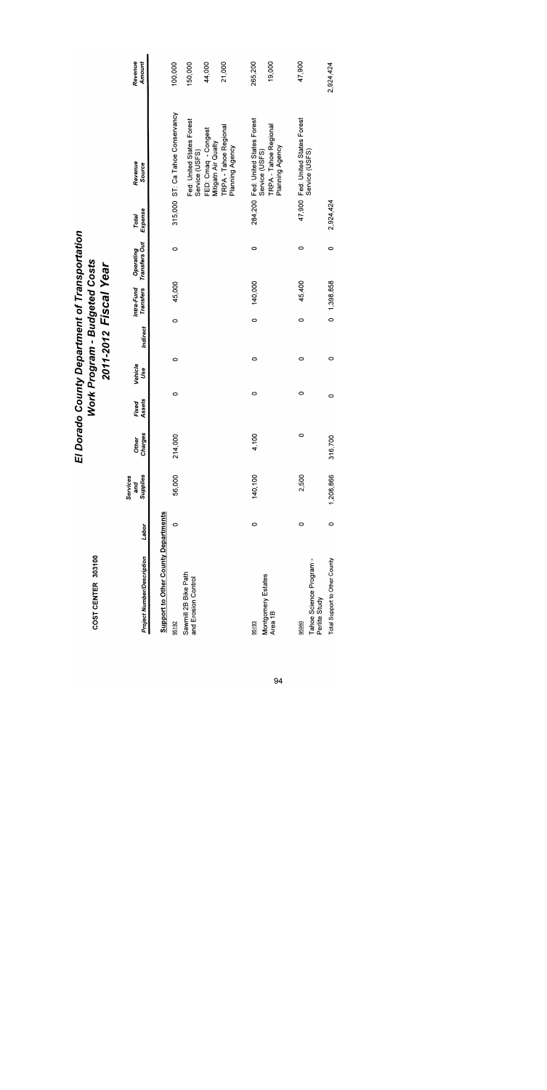| <b>Project Number/Description</b>                   | Labor   | Supplies<br>Services<br>and | Charges<br>Other | Assets<br>Fixed | Vehicle<br>Use | Indirect | Intra-Fund<br><b>Transfers</b> | Transfers Out<br>Operating | Expense<br>Total | Revenue<br><b>Source</b>                            | Revenue<br>Amount |
|-----------------------------------------------------|---------|-----------------------------|------------------|-----------------|----------------|----------|--------------------------------|----------------------------|------------------|-----------------------------------------------------|-------------------|
| <b>Support to Other County Departments</b><br>95192 | o       | 56,000                      | 214,000          | 0               | 0              | O        | 45,000                         | $\circ$                    |                  | 315,000 ST: Ca Tahoe Conservancy                    | 100,000           |
| Sawmill 2B Bike Path<br>and Erosion Control         |         |                             |                  |                 |                |          |                                |                            |                  | Fed: United States Forest<br>Service (USFS)         | 150,000           |
|                                                     |         |                             |                  |                 |                |          |                                |                            |                  | FED: Cmaq - Congest<br>Mitigatn Air Qualty          | 44,000            |
|                                                     |         |                             |                  |                 |                |          |                                |                            |                  | TRPA - Tahoe Regional<br>Planning Agency            | 21,000            |
| 95193                                               | 0       | 140,100                     | 4,100            | 0               | 0              |          | 140,000<br>$\circ$             | $\circ$                    |                  | 284,200 Fed: United States Forest<br>Service (USFS) | 265,200           |
| Montgomery Estates<br>Area 1B                       |         |                             |                  |                 |                |          |                                |                            |                  | TRPA - Tahoe Regional<br>Planning Agency            | 19,000            |
| Tahoe Science Program -<br>95960                    | 0       | 2,500                       | 0                | 0               | 0              | O        | 45,400                         | 0                          |                  | 47,900 Fed: United States Forest<br>Service (USFS)  | 47,900            |
| Total Support to Other County<br>Perlite Study      | $\circ$ | 1,208,866                   | 16,700<br>5      | 0               | 0              |          | 0, 1,398,858                   | $\circ$                    | 2,924,424        |                                                     | 2,924,424         |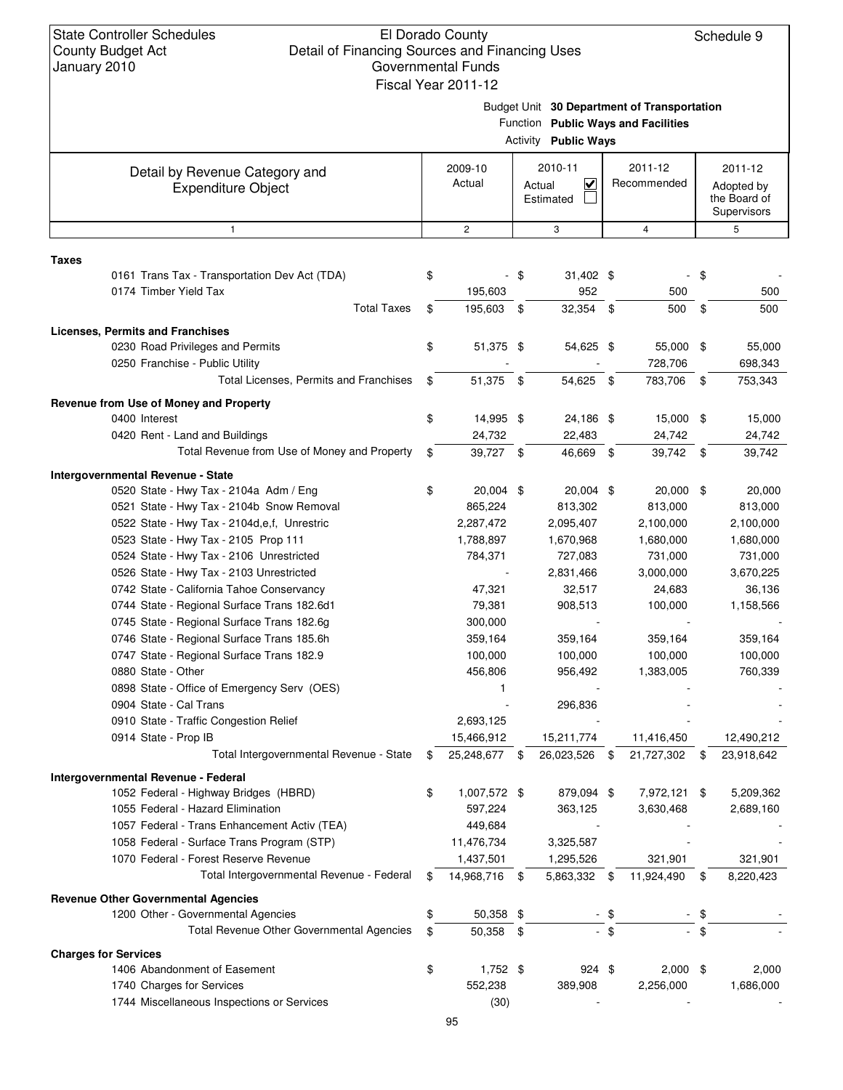Schedule 9

| January 2010 |                                                                           |    | <b>Governmental Funds</b> |      |                                                |      |                                                                                    |      |                                                      |
|--------------|---------------------------------------------------------------------------|----|---------------------------|------|------------------------------------------------|------|------------------------------------------------------------------------------------|------|------------------------------------------------------|
|              |                                                                           |    | Fiscal Year 2011-12       |      | <b>Activity Public Ways</b>                    |      | Budget Unit 30 Department of Transportation<br>Function Public Ways and Facilities |      |                                                      |
|              |                                                                           |    |                           |      | 2010-11                                        |      | 2011-12                                                                            |      |                                                      |
|              | Detail by Revenue Category and<br><b>Expenditure Object</b>               |    | 2009-10<br>Actual         |      | $\overline{\mathbf{v}}$<br>Actual<br>Estimated |      | Recommended                                                                        |      | 2011-12<br>Adopted by<br>the Board of<br>Supervisors |
|              | 1                                                                         |    | $\overline{c}$            |      | 3                                              |      | 4                                                                                  |      | 5                                                    |
|              |                                                                           |    |                           |      |                                                |      |                                                                                    |      |                                                      |
| <b>Taxes</b> |                                                                           |    |                           |      |                                                |      |                                                                                    |      |                                                      |
|              | 0161 Trans Tax - Transportation Dev Act (TDA)<br>0174 Timber Yield Tax    | \$ | 195,603                   | - \$ | 31,402 \$<br>952                               |      | 500                                                                                | - \$ | 500                                                  |
|              | <b>Total Taxes</b>                                                        | \$ | 195,603                   | \$   | 32,354 \$                                      |      | 500                                                                                | -\$  | 500                                                  |
|              |                                                                           |    |                           |      |                                                |      |                                                                                    |      |                                                      |
|              | <b>Licenses, Permits and Franchises</b>                                   |    |                           |      |                                                |      |                                                                                    |      |                                                      |
|              | 0230 Road Privileges and Permits                                          | \$ | 51,375 \$                 |      | 54,625 \$                                      |      | 55,000 \$                                                                          |      | 55,000                                               |
|              | 0250 Franchise - Public Utility<br>Total Licenses, Permits and Franchises |    |                           |      |                                                |      | 728,706                                                                            |      | 698,343                                              |
|              |                                                                           | \$ | 51,375 \$                 |      | 54,625 \$                                      |      | 783,706 \$                                                                         |      | 753,343                                              |
|              | Revenue from Use of Money and Property                                    |    |                           |      |                                                |      |                                                                                    |      |                                                      |
|              | 0400 Interest                                                             | \$ | 14,995 \$                 |      | 24,186 \$                                      |      | 15,000 \$                                                                          |      | 15,000                                               |
|              | 0420 Rent - Land and Buildings                                            |    | 24,732                    |      | 22,483                                         |      | 24,742                                                                             |      | 24,742                                               |
|              | Total Revenue from Use of Money and Property                              | \$ | 39,727 \$                 |      | 46,669 \$                                      |      | 39,742 \$                                                                          |      | 39,742                                               |
|              | Intergovernmental Revenue - State                                         |    |                           |      |                                                |      |                                                                                    |      |                                                      |
|              | 0520 State - Hwy Tax - 2104a Adm / Eng                                    | \$ | 20,004 \$                 |      | 20,004 \$                                      |      | 20,000 \$                                                                          |      | 20,000                                               |
|              | 0521 State - Hwy Tax - 2104b Snow Removal                                 |    | 865,224                   |      | 813,302                                        |      | 813,000                                                                            |      | 813,000                                              |
|              | 0522 State - Hwy Tax - 2104d, e, f, Unrestric                             |    | 2,287,472                 |      | 2,095,407                                      |      | 2,100,000                                                                          |      | 2,100,000                                            |
|              | 0523 State - Hwy Tax - 2105 Prop 111                                      |    | 1,788,897                 |      | 1,670,968                                      |      | 1,680,000                                                                          |      | 1,680,000                                            |
|              | 0524 State - Hwy Tax - 2106 Unrestricted                                  |    | 784,371                   |      | 727,083                                        |      | 731,000                                                                            |      | 731,000                                              |
|              | 0526 State - Hwy Tax - 2103 Unrestricted                                  |    |                           |      | 2,831,466                                      |      | 3,000,000                                                                          |      | 3,670,225                                            |
|              | 0742 State - California Tahoe Conservancy                                 |    | 47,321                    |      | 32,517                                         |      | 24,683                                                                             |      | 36,136                                               |
|              | 0744 State - Regional Surface Trans 182.6d1                               |    | 79,381                    |      | 908,513                                        |      | 100,000                                                                            |      | 1,158,566                                            |
|              | 0745 State - Regional Surface Trans 182.6g                                |    | 300,000                   |      |                                                |      |                                                                                    |      |                                                      |
|              | 0746 State - Regional Surface Trans 185.6h                                |    | 359,164                   |      | 359,164                                        |      | 359,164                                                                            |      | 359,164                                              |
|              | 0747 State - Regional Surface Trans 182.9                                 |    | 100,000                   |      | 100,000                                        |      | 100,000                                                                            |      | 100,000                                              |
|              | 0880 State - Other                                                        |    | 456,806                   |      | 956,492                                        |      | 1,383,005                                                                          |      | 760,339                                              |
|              | 0898 State - Office of Emergency Serv (OES)                               |    | 1                         |      |                                                |      |                                                                                    |      |                                                      |
|              | 0904 State - Cal Trans                                                    |    |                           |      | 296,836                                        |      |                                                                                    |      |                                                      |
|              | 0910 State - Traffic Congestion Relief                                    |    | 2,693,125                 |      |                                                |      |                                                                                    |      |                                                      |
|              | 0914 State - Prop IB                                                      |    | 15,466,912                |      | 15,211,774                                     |      | 11,416,450                                                                         |      | 12,490,212                                           |
|              | Total Intergovernmental Revenue - State                                   | S  | 25,248,677 \$             |      | 26,023,526                                     | \$   | 21,727,302                                                                         | - \$ | 23,918,642                                           |
|              | <b>Intergovernmental Revenue - Federal</b>                                |    |                           |      |                                                |      |                                                                                    |      |                                                      |
|              | 1052 Federal - Highway Bridges (HBRD)                                     | \$ | 1,007,572 \$              |      | 879,094 \$                                     |      | 7,972,121 \$                                                                       |      | 5,209,362                                            |
|              | 1055 Federal - Hazard Elimination                                         |    | 597,224                   |      | 363,125                                        |      | 3,630,468                                                                          |      | 2,689,160                                            |
|              | 1057 Federal - Trans Enhancement Activ (TEA)                              |    | 449,684                   |      |                                                |      |                                                                                    |      |                                                      |
|              | 1058 Federal - Surface Trans Program (STP)                                |    | 11,476,734                |      | 3,325,587                                      |      |                                                                                    |      |                                                      |
|              | 1070 Federal - Forest Reserve Revenue                                     |    | 1,437,501                 |      | 1,295,526                                      |      | 321,901                                                                            |      | 321,901                                              |
|              | Total Intergovernmental Revenue - Federal                                 | \$ | 14,968,716 \$             |      | 5,863,332 \$                                   |      | 11,924,490                                                                         | \$   | 8,220,423                                            |
|              | <b>Revenue Other Governmental Agencies</b>                                |    |                           |      |                                                |      |                                                                                    |      |                                                      |
|              | 1200 Other - Governmental Agencies                                        | \$ | 50,358 \$                 |      |                                                | - \$ |                                                                                    | \$   |                                                      |
|              | Total Revenue Other Governmental Agencies                                 | \$ | 50,358 \$                 |      |                                                | - \$ |                                                                                    | - \$ |                                                      |
|              |                                                                           |    |                           |      |                                                |      |                                                                                    |      |                                                      |
|              | <b>Charges for Services</b><br>1406 Abandonment of Easement               |    |                           |      | 924 \$                                         |      |                                                                                    |      |                                                      |
|              |                                                                           | \$ | 1,752 \$<br>552,238       |      |                                                |      | $2,000$ \$<br>2,256,000                                                            |      | 2,000                                                |
|              | 1740 Charges for Services                                                 |    |                           |      | 389,908                                        |      |                                                                                    |      | 1,686,000                                            |
|              | 1744 Miscellaneous Inspections or Services                                |    | (30)                      |      |                                                |      |                                                                                    |      |                                                      |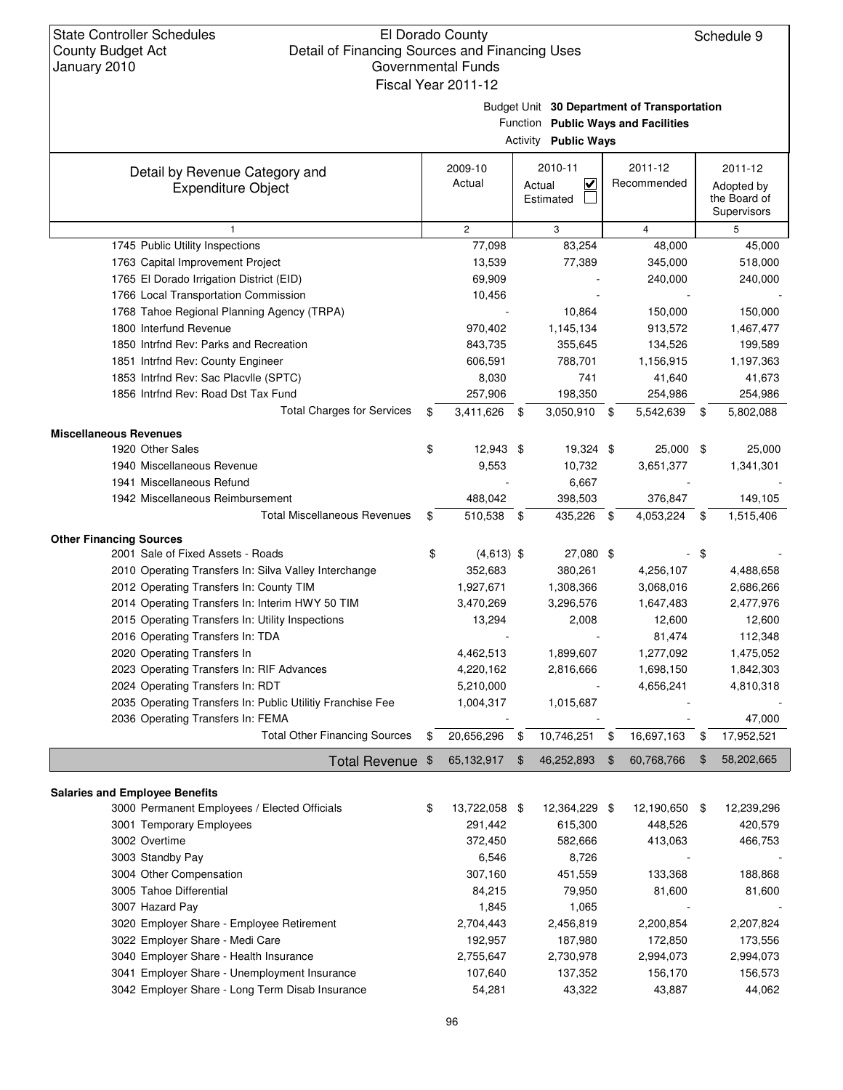#### El Dorado County Detail of Financing Sources and Financing Uses Governmental Funds Fiscal Year 2011-12

Budget Unit **30 Department of Transportation**

|                                                                                                 |                         |               | Function Public Ways and Facilities<br><b>Activity Public Ways</b> |                |                        |     |                                                      |
|-------------------------------------------------------------------------------------------------|-------------------------|---------------|--------------------------------------------------------------------|----------------|------------------------|-----|------------------------------------------------------|
| Detail by Revenue Category and<br><b>Expenditure Object</b>                                     | 2009-10<br>Actual       |               | 2010-11<br>$\checkmark$<br>Actual<br>Estimated                     |                | 2011-12<br>Recommended |     | 2011-12<br>Adopted by<br>the Board of<br>Supervisors |
| 1                                                                                               | $\overline{2}$          |               | 3                                                                  |                | $\overline{4}$         |     | 5                                                    |
| 1745 Public Utility Inspections                                                                 | 77,098                  |               | 83,254                                                             |                | 48,000                 |     | 45,000                                               |
| 1763 Capital Improvement Project                                                                | 13,539                  |               | 77,389                                                             |                | 345,000                |     | 518,000                                              |
| 1765 El Dorado Irrigation District (EID)                                                        | 69,909                  |               |                                                                    |                | 240,000                |     | 240,000                                              |
| 1766 Local Transportation Commission                                                            | 10,456                  |               |                                                                    |                |                        |     |                                                      |
| 1768 Tahoe Regional Planning Agency (TRPA)                                                      |                         |               | 10,864                                                             |                | 150,000                |     | 150,000                                              |
| 1800 Interfund Revenue                                                                          | 970,402                 |               | 1,145,134                                                          |                | 913,572                |     | 1,467,477                                            |
| 1850 Intrfnd Rev: Parks and Recreation                                                          | 843,735                 |               | 355,645                                                            |                | 134,526                |     | 199,589                                              |
| 1851 Intrfnd Rev: County Engineer                                                               | 606,591                 |               | 788,701                                                            |                | 1,156,915              |     | 1,197,363                                            |
| 1853 Intrfnd Rev: Sac Placvile (SPTC)                                                           | 8,030                   |               | 741                                                                |                | 41,640                 |     | 41,673                                               |
| 1856 Intrfnd Rev: Road Dst Tax Fund                                                             | 257,906                 |               | 198,350                                                            |                | 254,986                |     | 254,986                                              |
| <b>Total Charges for Services</b>                                                               | \$<br>3,411,626         | - \$          | 3,050,910                                                          | \$             | 5,542,639              | \$  | 5,802,088                                            |
| <b>Miscellaneous Revenues</b>                                                                   |                         |               |                                                                    |                |                        |     |                                                      |
| 1920 Other Sales                                                                                | \$<br>12,943 \$         |               | 19,324 \$                                                          |                | 25,000 \$              |     | 25,000                                               |
| 1940 Miscellaneous Revenue                                                                      | 9,553                   |               | 10,732                                                             |                | 3,651,377              |     | 1,341,301                                            |
| 1941 Miscellaneous Refund                                                                       |                         |               | 6,667                                                              |                |                        |     |                                                      |
| 1942 Miscellaneous Reimbursement                                                                | 488,042                 |               | 398,503                                                            |                | 376,847                |     | 149,105                                              |
| <b>Total Miscellaneous Revenues</b>                                                             | 510,538 \$              |               | 435,226                                                            | \$             | 4,053,224              | \$  | 1,515,406                                            |
|                                                                                                 |                         |               |                                                                    |                |                        |     |                                                      |
| <b>Other Financing Sources</b><br>2001 Sale of Fixed Assets - Roads                             | \$                      |               |                                                                    |                |                        | \$  |                                                      |
|                                                                                                 | $(4,613)$ \$<br>352,683 |               | 27,080 \$<br>380,261                                               |                | 4,256,107              |     |                                                      |
| 2010 Operating Transfers In: Silva Valley Interchange                                           |                         |               |                                                                    |                |                        |     | 4,488,658<br>2,686,266                               |
| 2012 Operating Transfers In: County TIM                                                         | 1,927,671               |               | 1,308,366                                                          |                | 3,068,016<br>1,647,483 |     |                                                      |
| 2014 Operating Transfers In: Interim HWY 50 TIM                                                 | 3,470,269               |               | 3,296,576                                                          |                | 12,600                 |     | 2,477,976                                            |
| 2015 Operating Transfers In: Utility Inspections                                                | 13,294                  |               | 2,008                                                              |                | 81,474                 |     | 12,600                                               |
| 2016 Operating Transfers In: TDA                                                                |                         |               | 1,899,607                                                          |                | 1,277,092              |     | 112,348                                              |
| 2020 Operating Transfers In<br>2023 Operating Transfers In: RIF Advances                        | 4,462,513<br>4,220,162  |               | 2,816,666                                                          |                | 1,698,150              |     | 1,475,052<br>1,842,303                               |
|                                                                                                 | 5,210,000               |               |                                                                    |                | 4,656,241              |     | 4,810,318                                            |
| 2024 Operating Transfers In: RDT                                                                |                         |               |                                                                    |                |                        |     |                                                      |
| 2035 Operating Transfers In: Public Utilitiy Franchise Fee<br>2036 Operating Transfers In: FEMA | 1,004,317               |               | 1,015,687                                                          |                |                        |     |                                                      |
| <b>Total Other Financing Sources</b>                                                            |                         |               |                                                                    |                |                        |     | 47,000                                               |
|                                                                                                 | 20,656,296              |               | 10,746,251                                                         |                | 16,697,163             |     | 17,952,521                                           |
| Total Revenue \$                                                                                | 65,132,917              | $\mathbf{\$}$ | 46,252,893                                                         | $\mathfrak{F}$ | 60,768,766             | \$  | 58,202,665                                           |
|                                                                                                 |                         |               |                                                                    |                |                        |     |                                                      |
| <b>Salaries and Employee Benefits</b><br>3000 Permanent Employees / Elected Officials           | \$<br>13,722,058 \$     |               | 12,364,229 \$                                                      |                | 12,190,650             | -\$ | 12,239,296                                           |
| 3001 Temporary Employees                                                                        | 291,442                 |               | 615,300                                                            |                | 448,526                |     | 420,579                                              |
| 3002 Overtime                                                                                   | 372,450                 |               | 582,666                                                            |                |                        |     |                                                      |
| 3003 Standby Pay                                                                                |                         |               | 8,726                                                              |                | 413,063                |     | 466,753                                              |
| 3004 Other Compensation                                                                         | 6,546<br>307,160        |               |                                                                    |                | 133,368                |     |                                                      |
| 3005 Tahoe Differential                                                                         | 84,215                  |               | 451,559<br>79,950                                                  |                |                        |     | 188,868<br>81,600                                    |
|                                                                                                 |                         |               |                                                                    |                | 81,600                 |     |                                                      |
| 3007 Hazard Pay                                                                                 | 1,845                   |               | 1,065                                                              |                |                        |     |                                                      |
| 3020 Employer Share - Employee Retirement                                                       | 2,704,443               |               | 2,456,819                                                          |                | 2,200,854              |     | 2,207,824                                            |
| 3022 Employer Share - Medi Care                                                                 | 192,957                 |               | 187,980                                                            |                | 172,850                |     | 173,556                                              |
| 3040 Employer Share - Health Insurance                                                          | 2,755,647               |               | 2,730,978                                                          |                | 2,994,073              |     | 2,994,073                                            |
| 3041 Employer Share - Unemployment Insurance                                                    | 107,640                 |               | 137,352                                                            |                | 156,170                |     | 156,573                                              |
| 3042 Employer Share - Long Term Disab Insurance                                                 | 54,281                  |               | 43,322                                                             |                | 43,887                 |     | 44,062                                               |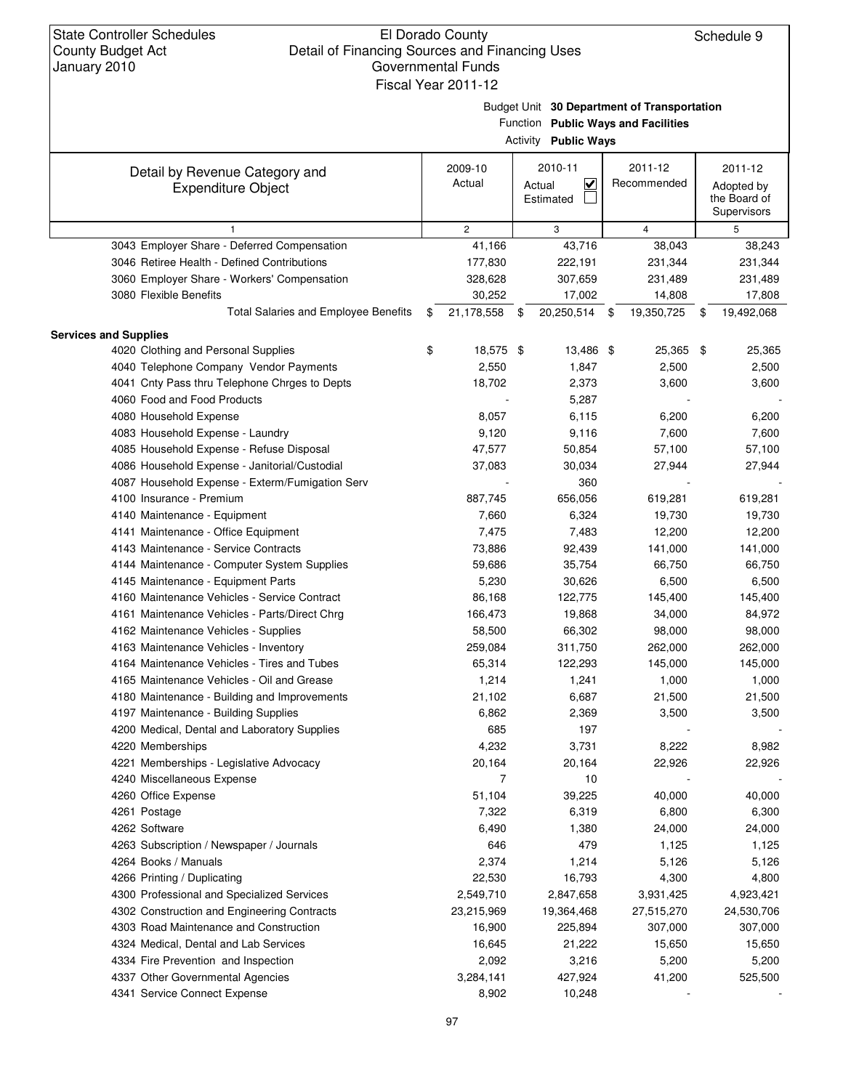Budget Unit **30 Department of Transportation**

|                                                             |                   | Function Public Ways and Facilities<br><b>Activity Public Ways</b> |                        |                                                      |
|-------------------------------------------------------------|-------------------|--------------------------------------------------------------------|------------------------|------------------------------------------------------|
| Detail by Revenue Category and<br><b>Expenditure Object</b> | 2009-10<br>Actual | 2010-11<br>$\overline{\mathbf{v}}$<br>Actual<br>Estimated          | 2011-12<br>Recommended | 2011-12<br>Adopted by<br>the Board of<br>Supervisors |
| $\mathbf{1}$                                                | $\overline{2}$    | 3                                                                  | $\overline{4}$         | 5                                                    |
| 3043 Employer Share - Deferred Compensation                 | 41,166            | 43,716                                                             | 38,043                 | 38,243                                               |
| 3046 Retiree Health - Defined Contributions                 | 177,830           | 222,191                                                            | 231,344                | 231,344                                              |
| 3060 Employer Share - Workers' Compensation                 | 328,628           | 307,659                                                            | 231,489                | 231,489                                              |
| 3080 Flexible Benefits                                      | 30,252            | 17,002                                                             | 14,808                 | 17,808                                               |
| <b>Total Salaries and Employee Benefits</b>                 | \$<br>21,178,558  | \$<br>20,250,514                                                   | \$<br>19,350,725       | \$<br>19,492,068                                     |
| <b>Services and Supplies</b>                                |                   |                                                                    |                        |                                                      |
| 4020 Clothing and Personal Supplies                         | \$<br>18,575 \$   | 13,486 \$                                                          | 25,365 \$              | 25,365                                               |
| 4040 Telephone Company Vendor Payments                      | 2,550             | 1,847                                                              | 2,500                  | 2,500                                                |
| 4041 Cnty Pass thru Telephone Chrges to Depts               | 18,702            | 2,373                                                              | 3,600                  | 3,600                                                |
| 4060 Food and Food Products                                 |                   | 5,287                                                              |                        |                                                      |
| 4080 Household Expense                                      | 8,057             | 6,115                                                              | 6,200                  | 6,200                                                |
| 4083 Household Expense - Laundry                            | 9,120             | 9,116                                                              | 7,600                  | 7,600                                                |
| 4085 Household Expense - Refuse Disposal                    | 47,577            | 50,854                                                             | 57,100                 | 57,100                                               |
| 4086 Household Expense - Janitorial/Custodial               | 37,083            | 30,034                                                             | 27,944                 | 27,944                                               |
| 4087 Household Expense - Exterm/Fumigation Serv             |                   | 360                                                                |                        |                                                      |
| 4100 Insurance - Premium                                    | 887,745           | 656,056                                                            | 619,281                | 619,281                                              |
| 4140 Maintenance - Equipment                                | 7,660             | 6,324                                                              | 19,730                 | 19,730                                               |
| 4141 Maintenance - Office Equipment                         | 7,475             | 7,483                                                              | 12,200                 | 12,200                                               |
| 4143 Maintenance - Service Contracts                        | 73,886            | 92,439                                                             | 141,000                | 141,000                                              |
| 4144 Maintenance - Computer System Supplies                 | 59,686            | 35,754                                                             | 66,750                 | 66,750                                               |
| 4145 Maintenance - Equipment Parts                          | 5,230             | 30,626                                                             | 6,500                  | 6,500                                                |
| 4160 Maintenance Vehicles - Service Contract                | 86,168            | 122,775                                                            | 145,400                | 145,400                                              |
| 4161 Maintenance Vehicles - Parts/Direct Chrg               | 166,473           | 19,868                                                             | 34,000                 | 84,972                                               |
| 4162 Maintenance Vehicles - Supplies                        | 58,500            | 66,302                                                             | 98,000                 | 98,000                                               |
| 4163 Maintenance Vehicles - Inventory                       | 259,084           | 311,750                                                            | 262,000                | 262,000                                              |
| 4164 Maintenance Vehicles - Tires and Tubes                 | 65,314            | 122,293                                                            | 145,000                | 145,000                                              |
| 4165 Maintenance Vehicles - Oil and Grease                  | 1,214             | 1,241                                                              | 1,000                  | 1,000                                                |
| 4180 Maintenance - Building and Improvements                | 21,102            | 6,687                                                              | 21,500                 | 21,500                                               |
| 4197 Maintenance - Building Supplies                        | 6,862             | 2,369                                                              | 3,500                  | 3,500                                                |
| 4200 Medical, Dental and Laboratory Supplies                | 685               | 197                                                                |                        |                                                      |
| 4220 Memberships                                            | 4,232             | 3,731                                                              | 8,222                  | 8,982                                                |
| 4221 Memberships - Legislative Advocacy                     | 20,164            | 20,164                                                             | 22,926                 | 22,926                                               |
| 4240 Miscellaneous Expense                                  | 7                 | 10                                                                 |                        |                                                      |
| 4260 Office Expense                                         | 51,104            | 39,225                                                             | 40,000                 | 40,000                                               |
| 4261 Postage                                                | 7,322             | 6,319                                                              | 6,800                  | 6,300                                                |
| 4262 Software                                               | 6,490             | 1,380                                                              | 24,000                 | 24,000                                               |
| 4263 Subscription / Newspaper / Journals                    | 646               | 479                                                                | 1,125                  | 1,125                                                |
| 4264 Books / Manuals                                        | 2,374             | 1,214                                                              | 5,126                  | 5,126                                                |
| 4266 Printing / Duplicating                                 | 22,530            | 16,793                                                             | 4,300                  | 4,800                                                |
| 4300 Professional and Specialized Services                  | 2,549,710         | 2,847,658                                                          | 3,931,425              | 4,923,421                                            |
| 4302 Construction and Engineering Contracts                 | 23,215,969        | 19,364,468                                                         | 27,515,270             | 24,530,706                                           |
| 4303 Road Maintenance and Construction                      | 16,900            | 225,894                                                            | 307,000                | 307,000                                              |
| 4324 Medical, Dental and Lab Services                       | 16,645            | 21,222                                                             | 15,650                 | 15,650                                               |
| 4334 Fire Prevention and Inspection                         | 2,092             | 3,216                                                              | 5,200                  | 5,200                                                |
| 4337 Other Governmental Agencies                            | 3,284,141         | 427,924                                                            | 41,200                 | 525,500                                              |
| 4341 Service Connect Expense                                | 8,902             | 10,248                                                             |                        |                                                      |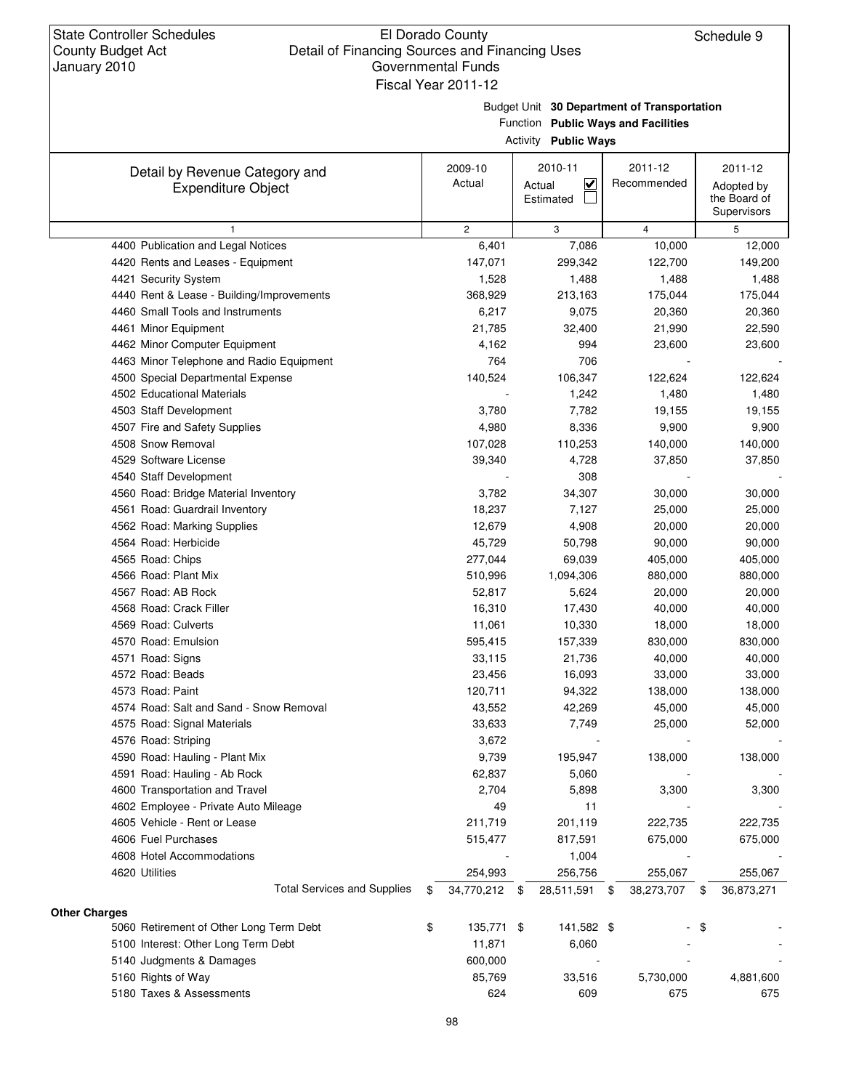Budget Unit **30 Department of Transportation**

Function **Public Ways and Facilities**

| Activity | <b>Public Ways</b> |  |
|----------|--------------------|--|
|----------|--------------------|--|

| Detail by Revenue Category and                       | 2009-10               |      | 2010-11                           | 2011-12          | 2011-12          |
|------------------------------------------------------|-----------------------|------|-----------------------------------|------------------|------------------|
| <b>Expenditure Object</b>                            | Actual                |      | $\overline{\mathbf{v}}$<br>Actual | Recommended      | Adopted by       |
|                                                      |                       |      | Estimated                         |                  | the Board of     |
|                                                      |                       |      |                                   |                  | Supervisors      |
| 1                                                    | $\overline{c}$        |      | 3                                 | $\overline{4}$   | 5                |
| 4400 Publication and Legal Notices                   | 6,401                 |      | 7,086                             | 10,000           | 12,000           |
| 4420 Rents and Leases - Equipment                    | 147,071               |      | 299,342                           | 122,700          | 149,200          |
| 4421 Security System                                 | 1,528                 |      | 1,488                             | 1,488            | 1,488            |
| 4440 Rent & Lease - Building/Improvements            | 368,929               |      | 213,163                           | 175,044          | 175,044          |
| 4460 Small Tools and Instruments                     | 6,217                 |      | 9,075                             | 20,360           | 20,360           |
| 4461 Minor Equipment                                 | 21,785                |      | 32,400                            | 21,990           | 22,590           |
| 4462 Minor Computer Equipment                        | 4,162                 |      | 994                               | 23,600           | 23,600           |
| 4463 Minor Telephone and Radio Equipment             | 764                   |      | 706                               |                  |                  |
| 4500 Special Departmental Expense                    | 140,524               |      | 106,347                           | 122,624          | 122,624          |
| 4502 Educational Materials                           |                       |      | 1,242                             | 1,480            | 1,480            |
| 4503 Staff Development                               | 3,780                 |      | 7,782                             | 19,155           | 19,155           |
| 4507 Fire and Safety Supplies                        | 4,980                 |      | 8,336                             | 9,900            | 9,900            |
| 4508 Snow Removal                                    | 107,028               |      | 110,253                           | 140,000          | 140,000          |
| 4529 Software License                                | 39,340                |      | 4,728                             | 37,850           | 37,850           |
| 4540 Staff Development                               |                       |      | 308                               |                  |                  |
| 4560 Road: Bridge Material Inventory                 | 3,782                 |      | 34,307                            | 30,000           | 30,000           |
| 4561 Road: Guardrail Inventory                       | 18,237                |      | 7,127                             | 25,000           | 25,000           |
| 4562 Road: Marking Supplies                          | 12,679                |      | 4,908                             | 20,000           | 20,000           |
| 4564 Road: Herbicide                                 | 45,729                |      | 50,798                            | 90,000           | 90,000           |
| 4565 Road: Chips                                     | 277,044               |      | 69,039                            | 405,000          | 405,000          |
| 4566 Road: Plant Mix                                 | 510,996               |      | 1,094,306                         | 880,000          | 880,000          |
| 4567 Road: AB Rock                                   | 52,817                |      | 5,624                             | 20,000           | 20,000           |
| 4568 Road: Crack Filler                              | 16,310                |      | 17,430                            | 40,000           | 40,000           |
| 4569 Road: Culverts                                  | 11,061                |      | 10,330                            | 18,000           | 18,000           |
| 4570 Road: Emulsion                                  | 595,415               |      | 157,339                           | 830,000          | 830,000          |
| 4571 Road: Signs                                     | 33,115                |      | 21,736                            | 40,000           | 40,000           |
| 4572 Road: Beads                                     | 23,456                |      | 16,093                            | 33,000           | 33,000           |
| 4573 Road: Paint                                     | 120,711               |      | 94,322                            | 138,000          | 138,000          |
| 4574 Road: Salt and Sand - Snow Removal              | 43,552                |      | 42,269                            | 45,000           | 45,000           |
| 4575 Road: Signal Materials                          | 33,633                |      | 7,749                             | 25,000           | 52,000           |
| 4576 Road: Striping                                  | 3,672                 |      |                                   |                  |                  |
| 4590 Road: Hauling - Plant Mix                       | 9,739                 |      | 195,947                           | 138,000          | 138,000          |
| 4591 Road: Hauling - Ab Rock                         | 62,837                |      | 5,060                             |                  |                  |
| 4600 Transportation and Travel                       | 2,704                 |      | 5,898                             | 3,300            | 3,300            |
| 4602 Employee - Private Auto Mileage                 | 49                    |      | 11                                |                  |                  |
| 4605 Vehicle - Rent or Lease                         | 211,719               |      | 201,119                           | 222,735          | 222,735          |
| 4606 Fuel Purchases                                  | 515,477               |      | 817,591                           | 675,000          | 675,000          |
| 4608 Hotel Accommodations                            |                       |      |                                   |                  |                  |
|                                                      |                       |      | 1,004                             |                  |                  |
| 4620 Utilities<br><b>Total Services and Supplies</b> | 254,993<br>34,770,212 |      | 256,756                           | 255,067          | 255,067          |
|                                                      | \$                    | - \$ | 28,511,591                        | \$<br>38,273,707 | \$<br>36,873,271 |
| <b>Other Charges</b>                                 |                       |      |                                   |                  |                  |
| 5060 Retirement of Other Long Term Debt              | \$<br>135,771 \$      |      | 141,582 \$                        |                  | \$               |
| 5100 Interest: Other Long Term Debt                  | 11,871                |      | 6,060                             |                  |                  |
| 5140 Judgments & Damages                             | 600,000               |      |                                   |                  |                  |
| 5160 Rights of Way                                   | 85,769                |      | 33,516                            | 5,730,000        | 4,881,600        |
| 5180 Taxes & Assessments                             | 624                   |      | 609                               | 675              | 675              |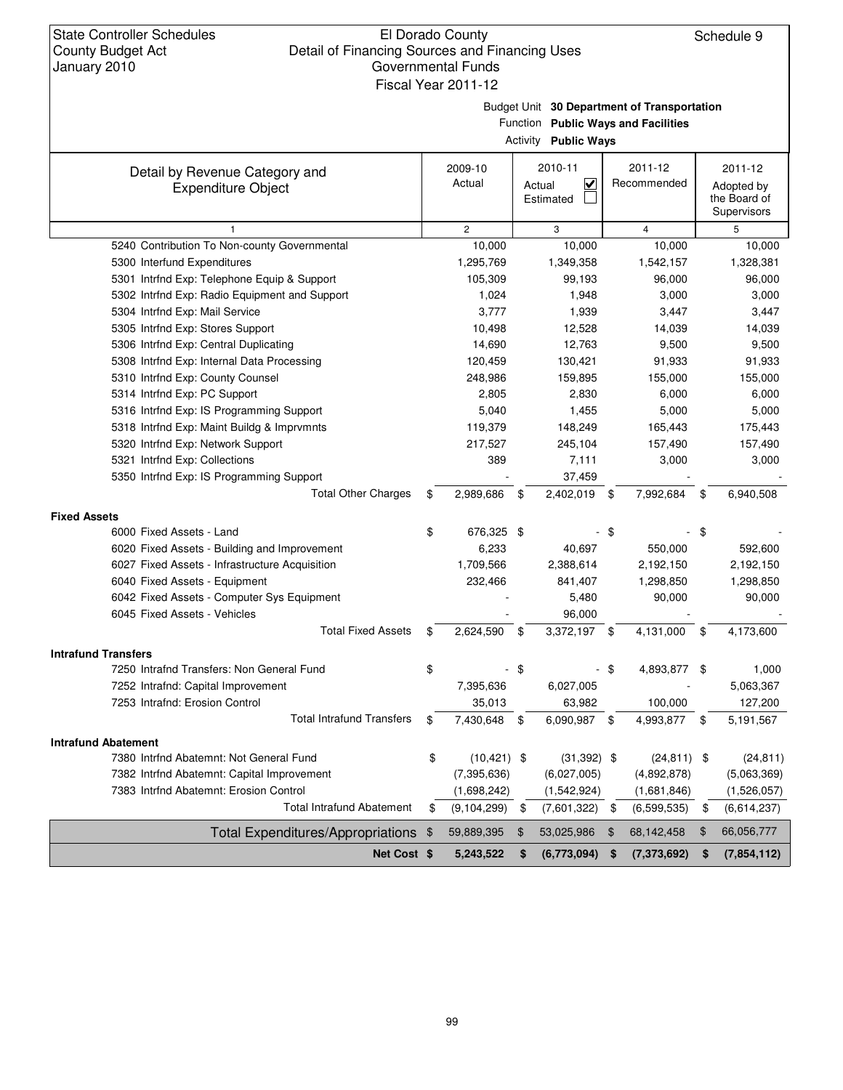Budget Unit **30 Department of Transportation**

|                                                             |     |                   | Activity | Function Public Ways and Facilities<br><b>Public Ways</b> |      |                        |     |                                                      |
|-------------------------------------------------------------|-----|-------------------|----------|-----------------------------------------------------------|------|------------------------|-----|------------------------------------------------------|
| Detail by Revenue Category and<br><b>Expenditure Object</b> |     | 2009-10<br>Actual |          | 2010-11<br>$\overline{\mathbf{v}}$<br>Actual<br>Estimated |      | 2011-12<br>Recommended |     | 2011-12<br>Adopted by<br>the Board of<br>Supervisors |
| $\mathbf{1}$                                                |     | $\overline{c}$    |          | 3                                                         |      | $\overline{4}$         |     | 5                                                    |
| 5240 Contribution To Non-county Governmental                |     | 10,000            |          | 10,000                                                    |      | 10,000                 |     | 10,000                                               |
| 5300 Interfund Expenditures                                 |     | 1,295,769         |          | 1,349,358                                                 |      | 1,542,157              |     | 1,328,381                                            |
| 5301 Intrfnd Exp: Telephone Equip & Support                 |     | 105,309           |          | 99,193                                                    |      | 96,000                 |     | 96,000                                               |
| 5302 Intrfnd Exp: Radio Equipment and Support               |     | 1,024             |          | 1,948                                                     |      | 3,000                  |     | 3,000                                                |
| 5304 Intrfnd Exp: Mail Service                              |     | 3,777             |          | 1,939                                                     |      | 3,447                  |     | 3,447                                                |
| 5305 Intrfnd Exp: Stores Support                            |     | 10,498            |          | 12,528                                                    |      | 14,039                 |     | 14,039                                               |
| 5306 Intrfnd Exp: Central Duplicating                       |     | 14,690            |          | 12,763                                                    |      | 9,500                  |     | 9,500                                                |
| 5308 Intrfnd Exp: Internal Data Processing                  |     | 120,459           |          | 130,421                                                   |      | 91,933                 |     | 91,933                                               |
| 5310 Intrfnd Exp: County Counsel                            |     | 248,986           |          | 159,895                                                   |      | 155,000                |     | 155,000                                              |
| 5314 Intrfnd Exp: PC Support                                |     | 2,805             |          | 2,830                                                     |      | 6,000                  |     | 6,000                                                |
| 5316 Intrfnd Exp: IS Programming Support                    |     | 5,040             |          | 1,455                                                     |      | 5,000                  |     | 5,000                                                |
| 5318 Intrfnd Exp: Maint Buildg & Imprvmnts                  |     | 119,379           |          | 148,249                                                   |      | 165,443                |     | 175,443                                              |
| 5320 Intrfnd Exp: Network Support                           |     | 217,527           |          | 245,104                                                   |      | 157,490                |     | 157,490                                              |
| 5321 Intrfnd Exp: Collections                               |     | 389               |          | 7,111                                                     |      | 3,000                  |     | 3,000                                                |
| 5350 Intrfnd Exp: IS Programming Support                    |     |                   |          | 37,459                                                    |      |                        |     |                                                      |
| <b>Total Other Charges</b>                                  | \$  | 2,989,686         | - \$     | 2,402,019 \$                                              |      | 7,992,684              | \$  | 6,940,508                                            |
| <b>Fixed Assets</b>                                         |     |                   |          |                                                           |      |                        |     |                                                      |
| 6000 Fixed Assets - Land                                    | \$  | 676,325 \$        |          |                                                           | -\$  |                        | -\$ |                                                      |
| 6020 Fixed Assets - Building and Improvement                |     | 6,233             |          | 40,697                                                    |      | 550,000                |     | 592,600                                              |
| 6027 Fixed Assets - Infrastructure Acquisition              |     | 1,709,566         |          | 2,388,614                                                 |      | 2,192,150              |     | 2,192,150                                            |
| 6040 Fixed Assets - Equipment                               |     | 232,466           |          | 841,407                                                   |      | 1,298,850              |     | 1,298,850                                            |
| 6042 Fixed Assets - Computer Sys Equipment                  |     |                   |          | 5,480                                                     |      | 90,000                 |     | 90,000                                               |
| 6045 Fixed Assets - Vehicles                                |     |                   |          | 96,000                                                    |      |                        |     |                                                      |
| <b>Total Fixed Assets</b>                                   | \$  | 2,624,590         | \$       | 3,372,197 \$                                              |      | 4,131,000              | \$  | 4,173,600                                            |
| <b>Intrafund Transfers</b>                                  |     |                   |          |                                                           |      |                        |     |                                                      |
| 7250 Intrafnd Transfers: Non General Fund                   | \$  |                   | \$       |                                                           | - \$ | 4,893,877 \$           |     | 1,000                                                |
| 7252 Intrafnd: Capital Improvement                          |     | 7,395,636         |          | 6,027,005                                                 |      |                        |     | 5,063,367                                            |
| 7253 Intrafnd: Erosion Control                              |     | 35,013            |          | 63,982                                                    |      | 100,000                |     | 127,200                                              |
| <b>Total Intrafund Transfers</b>                            | \$  | 7,430,648         | \$       | 6,090,987 \$                                              |      | 4,993,877 \$           |     | 5,191,567                                            |
| <b>Intrafund Abatement</b>                                  |     |                   |          |                                                           |      |                        |     |                                                      |
| 7380 Intrfnd Abatemnt: Not General Fund                     | \$  | $(10, 421)$ \$    |          | $(31,392)$ \$                                             |      | $(24, 811)$ \$         |     | (24, 811)                                            |
| 7382 Intrfnd Abatemnt: Capital Improvement                  |     | (7, 395, 636)     |          | (6,027,005)                                               |      | (4,892,878)            |     | (5,063,369)                                          |
| 7383 Intrfnd Abatemnt: Erosion Control                      |     | (1,698,242)       |          | (1,542,924)                                               |      | (1,681,846)            |     | (1,526,057)                                          |
| <b>Total Intrafund Abatement</b>                            | \$  | (9, 104, 299)     | \$       | (7,601,322)                                               | \$   | (6,599,535)            | \$  | (6,614,237)                                          |
| <b>Total Expenditures/Appropriations</b>                    | -\$ | 59,889,395        | \$       | 53,025,986                                                | \$   | 68,142,458             | \$  | 66,056,777                                           |
| Net Cost \$                                                 |     | 5,243,522         | \$       | (6,773,094)                                               | \$   | (7, 373, 692)          | \$  | (7,854,112)                                          |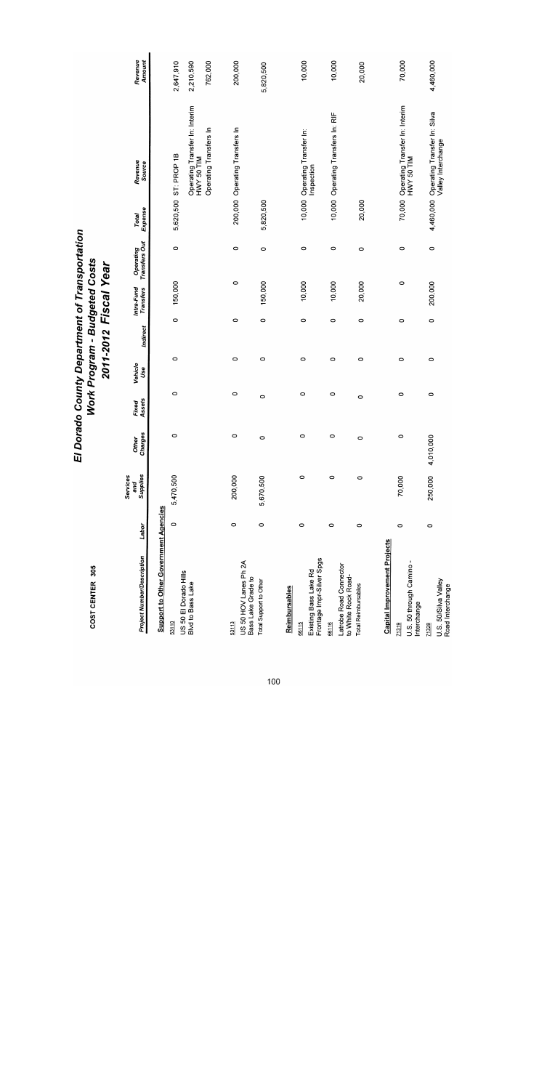| <b>Project Number/Description</b>                  | Labor   | Supplies<br>Services<br>and | Charges<br>Other | Assets<br>Fixed | Vehicle<br>Use | Indirect | Intra-Fund<br>Transfers | Transfers Out<br>Operating | Expense<br><b>Total</b> | Revenue<br>Source                            | Revenue<br>Amount |
|----------------------------------------------------|---------|-----------------------------|------------------|-----------------|----------------|----------|-------------------------|----------------------------|-------------------------|----------------------------------------------|-------------------|
| Support to Other Government Agencies               |         |                             |                  |                 |                |          |                         |                            |                         |                                              |                   |
| US 50 El Dorado Hills<br>53110                     | $\circ$ | 5,470,500                   | $\circ$          | $\circ$         | $\circ$        | $\circ$  | 150,000                 | $\circ$                    |                         | 5,620,500 ST: PROP 1B                        | 2,647,910         |
| Blvd to Bass Lake                                  |         |                             |                  |                 |                |          |                         |                            |                         | Operating Transfer In: Interim<br>MIL 05 AMH | 2,210,590         |
|                                                    |         |                             |                  |                 |                |          |                         |                            |                         | Operating Transfers In                       | 762,000           |
| 53113                                              | $\circ$ | 200,000                     | 0                | $\circ$         | $\circ$        | $\circ$  |                         | $\circ$<br>0               |                         | 200,000 Operating Transfers In               | 200,000           |
| US 50 HOV Lanes Ph 2A<br>Bass Lake Grade to        |         |                             |                  |                 |                |          |                         |                            |                         |                                              |                   |
| <b>Total Support to Other</b>                      | $\circ$ | 5,670,500                   | 0                | $\circ$         | 0              | $\circ$  | 150,000                 | 0                          | 5,820,500               |                                              | 5,820,500         |
|                                                    |         |                             |                  |                 |                |          |                         |                            |                         |                                              |                   |
| Reimbursables                                      |         |                             |                  |                 |                |          |                         |                            |                         |                                              |                   |
| 66115                                              | $\circ$ | $\circ$                     | 0                | 0               | $\circ$        | 0        | 10,000                  | 0                          |                         | 10,000 Operating Transfer In:                | 10,000            |
| Frontage Impr-Silver Spgs<br>Existing Bass Lake Rd |         |                             |                  |                 |                |          |                         |                            |                         | Inspection                                   |                   |
| 66116                                              | $\circ$ | $\circ$                     | 0                | $\circ$         | $\circ$        | $\circ$  | 10,000                  | $\circ$                    |                         | 10,000 Operating Transfers In: RIF           | 10,000            |
| Latrobe Road Connector<br>to White Rock Road-      |         |                             |                  |                 |                |          |                         |                            |                         |                                              |                   |
| <b>Total Reimbursables</b>                         | 0       | $\circ$                     | 0                | 0               | $\circ$        | $\circ$  | 20,000                  | $\circ$                    | 20,000                  |                                              | 20,000            |
|                                                    |         |                             |                  |                 |                |          |                         |                            |                         |                                              |                   |
| <b>Capital Improvement Projects</b>                |         |                             |                  |                 |                |          |                         |                            |                         |                                              |                   |
| 71319                                              | $\circ$ | 70,000                      | $\circ$          | $\circ$         | $\circ$        | 0        |                         | $\circ$<br>0               |                         | 70,000 Operating Transfer In: Interim        | 70,000            |
| U.S. 50 through Camino-<br>Interchange             |         |                             |                  |                 |                |          |                         |                            |                         | HWY 50 TIM                                   |                   |
| 71328                                              | 0       | 250,000                     | 4,010,000        | $\circ$         | $\circ$        | $\circ$  | 200,000                 | 0                          |                         | 4,460,000 Operating Transfer In: Silva       | 4,460,000         |
| U.S. 50/Silva Valley<br>Road Interchange           |         |                             |                  |                 |                |          |                         |                            |                         | Valley Interchange                           |                   |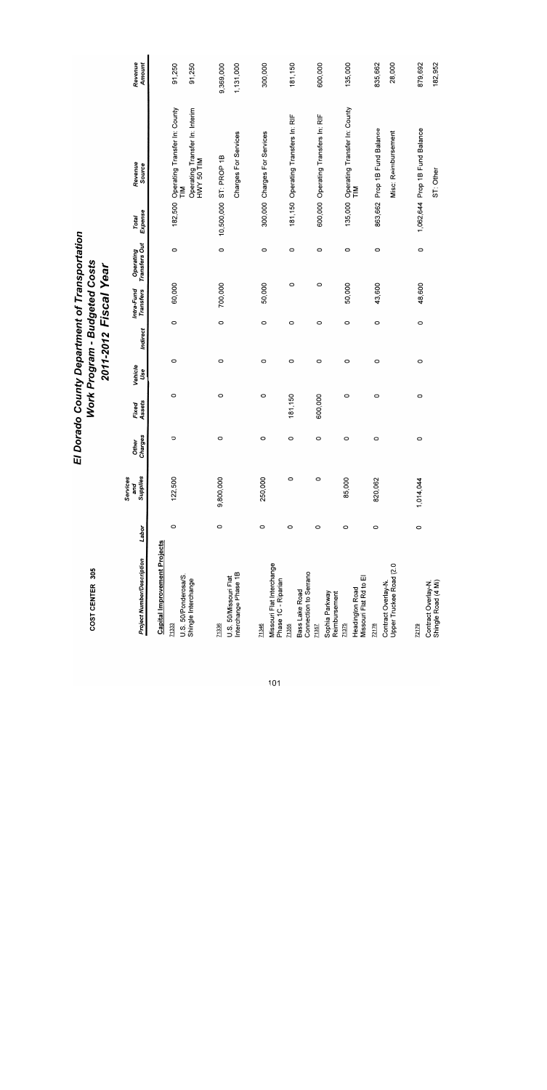| COST CENTER 305                                  |         |                             |                  |                 |                |          | <b>Work Program - Budgeted Costs</b><br>2011-2012 Fiscal Year |                            |                         |                                                         |                   |
|--------------------------------------------------|---------|-----------------------------|------------------|-----------------|----------------|----------|---------------------------------------------------------------|----------------------------|-------------------------|---------------------------------------------------------|-------------------|
| <b>Project Number/Description</b>                | Labor   | Supplies<br>Services<br>and | Charges<br>Other | Assets<br>Fixed | Vehicle<br>Use | Indirect | Intra-Fund<br><b>Transfers</b>                                | Operating<br>Transfers Out | Expense<br><b>Total</b> | Revenue<br>Source                                       | Revenue<br>Amount |
| <b>Capital Improvement Projects</b>              |         |                             |                  |                 |                |          |                                                               |                            |                         |                                                         |                   |
| 71333                                            | O       | 122,500                     | O                | 0               | O              | $\circ$  | 60,000                                                        | O                          | 182,500                 | Operating Transfer In: County                           | 91,250            |
| U.S. 50/Ponderosa/S.<br>Shingle Interchange      |         |                             |                  |                 |                |          |                                                               |                            |                         | Operating Transfer In: Interim<br>HWY 50 TIM<br>MI<br>F | 91,250            |
| 71336                                            | $\circ$ | 9,800,000                   | 0                | O               | $\circ$        | $\circ$  | 700,000                                                       | $\circ$                    |                         | 10,500,000 ST: PROP 1B                                  | 9,369,000         |
| Interchange Phase 1B<br>U.S. 50/Missouri Flat    |         |                             |                  |                 |                |          |                                                               |                            |                         | Charges For Services                                    | 1,131,000         |
| 71346                                            | 0       | 250,000                     | $\circ$          | $\circ$         | O              | $\circ$  | 50,000                                                        | $\circ$                    |                         | 300,000 Charges For Services                            | 300,000           |
| Missouri Flat Interchange<br>Phase 1C - Riparian |         |                             |                  |                 |                |          |                                                               |                            |                         |                                                         |                   |
| 71355                                            | O       | $\circ$                     | O                | 181,150         | O              | $\circ$  | O                                                             | $\circ$                    |                         | 181,150 Operating Transfers In: RIF                     | 181,150           |
| Connection to Serrano<br>Bass Lake Road          |         |                             |                  |                 |                |          |                                                               |                            |                         |                                                         |                   |
| 71357                                            | 0       | $\circ$                     | O                | 600,000         | $\circ$        | O        | $\circ$                                                       | $\circ$                    |                         | 600,000 Operating Transfers In: RIF                     | 600,000           |
| Sophia Parkway<br>Reimbursement                  |         |                             |                  |                 |                |          |                                                               |                            |                         |                                                         |                   |
| 71375                                            | $\circ$ | 85,000                      | 0                | O               | O              | O        | 50,000                                                        | 0                          | 135,000                 | Operating Transfer In: County                           | 135,000           |
| Missouri Flat Rd to El<br>Headington Road        |         |                             |                  |                 |                |          |                                                               |                            |                         | ΣĒ                                                      |                   |
| 72178                                            | $\circ$ | 820,062                     | O                | O               | $\circ$        | O        | 43,600                                                        | $\circ$                    |                         | 863,662 Prop 1B Fund Balance                            | 835,662           |
| Upper Truckee Road (2.0<br>Contract Overlay-N.   |         |                             |                  |                 |                |          |                                                               |                            |                         | Misc: Reimbursement                                     | 28,000            |
|                                                  |         |                             |                  |                 |                |          |                                                               |                            |                         |                                                         |                   |
| 72179                                            | 0       | 1,014,044                   | O                | O               | $\circ$        | $\circ$  | 48,600                                                        | 0                          |                         | 1,062,644 Prop 1B Fund Balance                          | 879,692           |
| Shingle Road (4 Mi)<br>Contract Overlay-N.       |         |                             |                  |                 |                |          |                                                               |                            |                         | ST: Other                                               | 182,952           |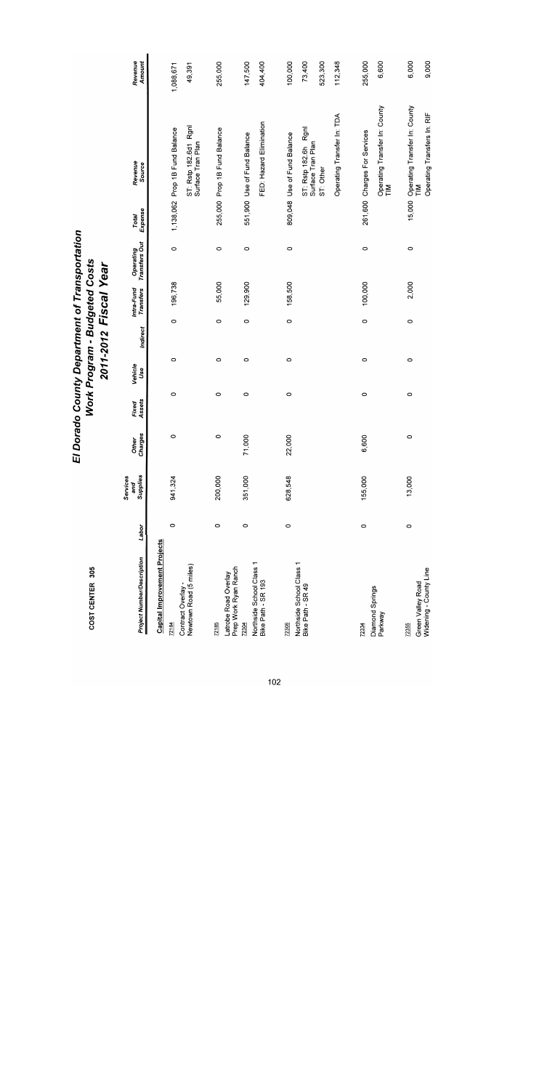| El Dorado County Department of Transportation | <b>Work Program - Budgeted Costs</b><br>2011-2012 Fiscal Year |
|-----------------------------------------------|---------------------------------------------------------------|
|-----------------------------------------------|---------------------------------------------------------------|

| <b>Project Number/Description</b>                       | Labor   | Supplies<br>Services<br>and | Other<br>Charges   | Assets<br>Fixed | Vehicle<br>Use | Indirect | Transfers<br>Intra-Fund | Operating<br>Transfers Out | Expense<br>Total | Revenue<br>Source                                                                                                   | Revenue<br>Amount                       |
|---------------------------------------------------------|---------|-----------------------------|--------------------|-----------------|----------------|----------|-------------------------|----------------------------|------------------|---------------------------------------------------------------------------------------------------------------------|-----------------------------------------|
| Capital Improvement Projects<br>72184                   |         |                             |                    |                 |                |          |                         |                            |                  |                                                                                                                     |                                         |
| Newtown Road (5 miles)<br>Contract Overlay -            | $\circ$ | 941,324                     | $\circ$            | $\circ$         | 0              | $\circ$  | 196,738                 | $\circ$                    |                  | ST: Rstp 182.6d1 Rgnl<br>1,138,062 Prop 1B Fund Balance<br>Surface Tran Plan                                        | 49,391<br>1,088,671                     |
| Prep Work Ryan Ranch<br>Latrobe Road Overlay<br>72185   | $\circ$ | 200,000                     | $\circ$            | 0               | $\circ$        | $\circ$  | 55,000                  | $\circ$                    |                  | 255,000 Prop 1B Fund Balance                                                                                        | 255,000                                 |
| Northside School Class 1<br>Bike Path - SR 193<br>72304 | $\circ$ | 351,000                     | $\frac{8}{2}$<br>7 | 0               | 0              | $\circ$  | 129,900                 | $\circ$                    |                  | FED: Hazard Elimination<br>551,900 Use of Fund Balance                                                              | 404,400<br>147,500                      |
| Northside School Class 1<br>Bike Path - SR 49<br>72306  | $\circ$ | 628,548                     | 22,000             | 0               | $\circ$        | $\circ$  | 158,500                 | $\circ$                    |                  | Operating Transfer In: TDA<br>ST: Rstp 182.6h Rgnl<br>809,048 Use of Fund Balance<br>Surface Tran Plan<br>ST: Other | 112,348<br>100,000<br>73,400<br>523,300 |
| Diamond Springs<br>Parkway<br>72334                     | $\circ$ | 155,000                     | ,600<br>Ψ          | $\circ$         | $\circ$        | $\circ$  | 100,000                 | $\circ$                    |                  | Operating Transfer In: County<br>261,600 Charges For Services<br>$\sum_{i=1}^{n}$                                   | 255,000<br>6,600                        |
| Widening - County Line<br>Green Valley Road<br>72355    | $\circ$ | 13,000                      | $\circ$            | $\circ$         | 0              | 0        | 2,000                   | $\circ$                    | 15,000           | Operating Transfer In: County<br>Operating Transfers In: RIF<br>$\sum_{i=1}^{n}$                                    | 6,000<br>9,000                          |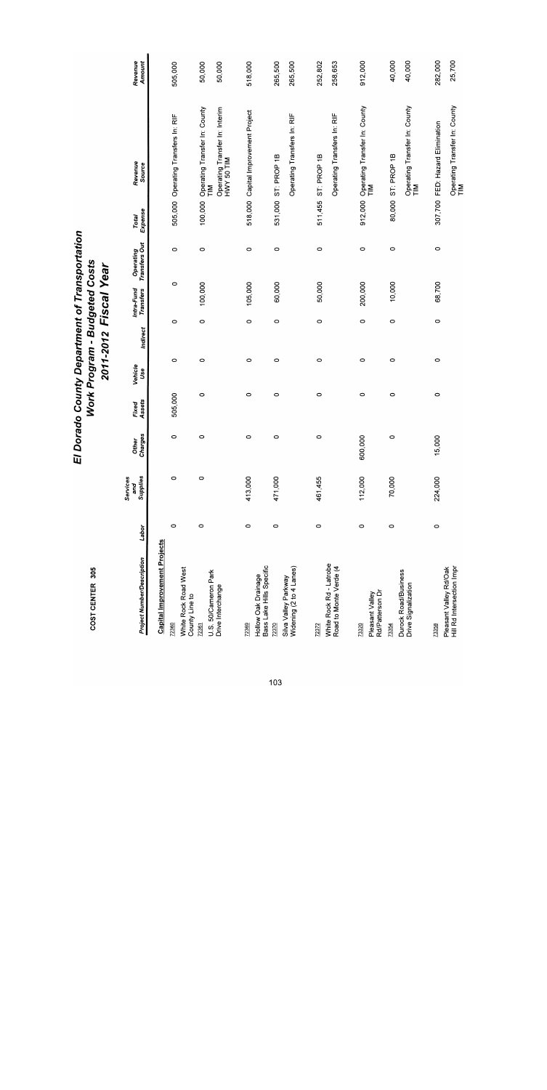| <b>Project Number/Description</b>                   | Labor   | Supplies<br>Services<br>and | Charges<br><b>Other</b> | Assets<br>Fixed | Vehicle<br>Use | Indirect | Intra-Fund<br><b>Transfers</b> | Operating<br>Transfers Out | Expense<br>Total | Revenue<br>Source                                                  | <b>Amount</b><br>Revenue |
|-----------------------------------------------------|---------|-----------------------------|-------------------------|-----------------|----------------|----------|--------------------------------|----------------------------|------------------|--------------------------------------------------------------------|--------------------------|
| <b>Capital Improvement Projects</b>                 |         |                             |                         |                 |                |          |                                |                            |                  |                                                                    |                          |
| 72360                                               | $\circ$ | 0                           | $\circ$                 | 505,000         | $\circ$        | $\circ$  | $\circ$                        | $\circ$                    |                  | 505,000 Operating Transfers In: RIF                                | 505,000                  |
| White Rock Road West<br>County Line to              |         |                             |                         |                 |                |          |                                |                            |                  |                                                                    |                          |
| 72361                                               | $\circ$ | $\circ$                     | 0                       | $\circ$         | $\circ$        | $\circ$  | 100,000                        | $\circ$                    | 100,000          | Operating Transfer In: County                                      | 50,000                   |
| U.S. 50/Cameron Park<br>Drive Interchange           |         |                             |                         |                 |                |          |                                |                            |                  | Operating Transfer In: Interim<br>HWY 50 TIM<br>$rac{2}{\sqrt{2}}$ | 50,000                   |
| 72369                                               | $\circ$ | 413,000                     | 0                       | $\circ$         | 0              | $\circ$  | 105,000                        | $\circ$                    |                  | 518,000 Capital Improvement Project                                | 518,000                  |
| Bass Lake Hills Specific<br>Hollow Oak Drainage     |         |                             |                         |                 |                |          |                                |                            |                  |                                                                    |                          |
| 72370                                               | $\circ$ | 471,000                     | $\circ$                 | $\circ$         | 0              | $\circ$  | 60,000                         | $\circ$                    |                  | 531,000 ST: PROP 1B                                                | 265,500                  |
| Widening (2 to 4 Lanes)<br>Silva Valley Parkway     |         |                             |                         |                 |                |          |                                |                            |                  | Operating Transfers In: RIF                                        | 265,500                  |
| 72372                                               | $\circ$ | 461,455                     | 0                       | 0               | $\circ$        | $\circ$  | 50,000                         | $\circ$                    | 511,455          | ST: PROP 1B                                                        | 252,802                  |
| White Rock Rd - Latrobe<br>Road to Monte Verde (4   |         |                             |                         |                 |                |          |                                |                            |                  | Operating Transfers In: RIF                                        | 258,653                  |
| 73320                                               | $\circ$ | 112,000                     | 600,000                 | 0               | $\circ$        | $\circ$  | 200,000                        | 0                          |                  | 912,000 Operating Transfer In: County                              | 912,000                  |
| Rd/Patterson Dr<br>Pleasant Valley                  |         |                             |                         |                 |                |          |                                |                            |                  | ML<br>Fi                                                           |                          |
| 73354                                               | 0       | 70,000                      | $\circ$                 | $\circ$         | $\circ$        | $\circ$  | 10,000                         | $\circ$                    |                  | 80,000 ST: PROP 1B                                                 | 40,000                   |
| Durock Road/Business<br>Drive Signalization         |         |                             |                         |                 |                |          |                                |                            |                  | Operating Transfer In: County<br>TIM                               | 40,000                   |
| 73358                                               | $\circ$ | 224,000                     | 5,000                   | $\circ$         | $\circ$        | $\circ$  | 68,700                         | 0                          |                  | 307,700 FED: Hazard Elimination                                    | 282,000                  |
| Hill Rd Intersection Impr<br>Pleasant Valley Rd/Oak |         |                             |                         |                 |                |          |                                |                            |                  | Operating Transfer In: County<br>TIM                               | 25,700                   |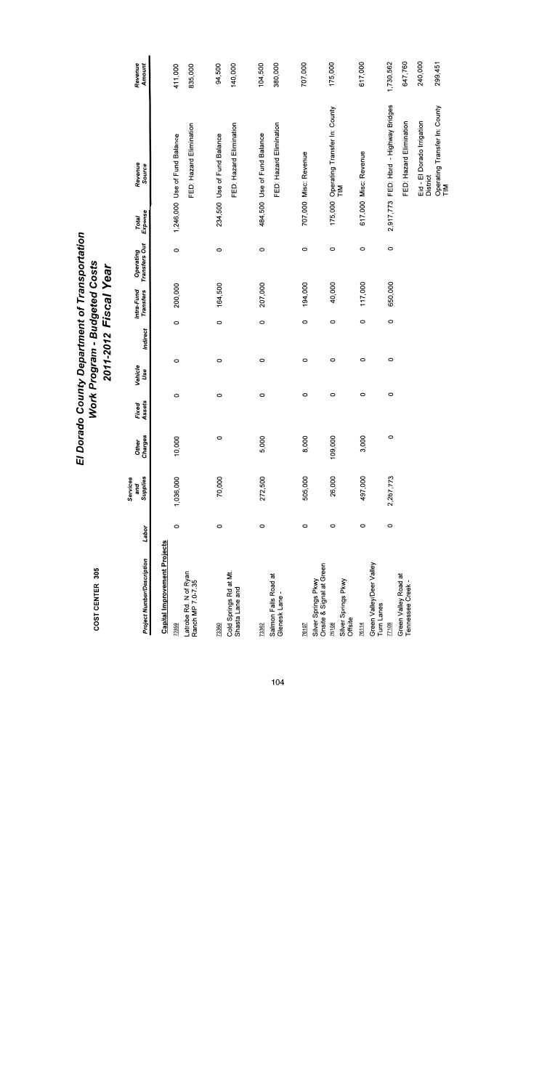| El Dorado County Department of Transportation | Work Program - Budgeted Costs | 2011-2012 Fiscal Year |  |
|-----------------------------------------------|-------------------------------|-----------------------|--|
|                                               |                               |                       |  |

|                                                 |         |                             |                  |                 |                |          | 7011-7017 - 1920 - 1920        |                            |                  |                                              |                   |
|-------------------------------------------------|---------|-----------------------------|------------------|-----------------|----------------|----------|--------------------------------|----------------------------|------------------|----------------------------------------------|-------------------|
| <b>Project Number/Description</b>               | Labor   | Supplies<br>Services<br>and | Charges<br>Other | Fixed<br>Assets | Vehicle<br>Use | Indirect | Intra-Fund<br><b>Transfers</b> | Operating<br>Transfers Out | Expense<br>Total | Revenue<br>Source                            | Revenue<br>Amount |
| <b>Capital Improvement Projects</b><br>73359    | 0       | 1,036,000                   | 10,000           | $\circ$         | $\circ$        | $\circ$  | 200,000                        | $\circ$                    |                  | 1,246,000 Use of Fund Balance                | 411,000           |
| Latrobe Rd. N of Ryan<br>Ranch MP 7.0-7.35      |         |                             |                  |                 |                |          |                                |                            |                  | FED: Hazard Elimination                      | 835,000           |
| 73360                                           | $\circ$ | 70,000                      | $\circ$          | $\circ$         | $\circ$        | $\circ$  | 164,500                        | 0                          |                  | 234,500 Use of Fund Balance                  | 94,500            |
| Cold Springs Rd at Mt.<br>Shasta Lane and       |         |                             |                  |                 |                |          |                                |                            |                  | FED: Hazard Elimination                      | 140,000           |
| 73362                                           | 0       | 272,500                     | 5,000            | 0               | O              | $\circ$  | 207,000                        | $\circ$                    |                  | 484,500 Use of Fund Balance                  | 104,500           |
| Salmon Falls Road at<br>Glenesk Lane-           |         |                             |                  |                 |                |          |                                |                            |                  | FED: Hazard Elimination                      | 380,000           |
| 76107                                           | $\circ$ | 505,000                     | 8,000            | O               | O              | 0        | 194,000                        | 0                          |                  | 707,000 Misc: Revenue                        | 707,000           |
| Onsite & Signal at Green<br>Silver Springs Pkwy |         |                             |                  |                 |                |          |                                |                            |                  |                                              |                   |
| Silver Springs Pkwy<br>Offsite<br>76108         | 0       | 26,000                      | 109,000          | 0               | $\circ$        |          | 40,000<br>$\circ$              | $\circ$                    |                  | 175,000 Operating Transfer In: County<br>TIM | 175,000           |
| 76114                                           | 0       | 497,000                     | 3,000            | 0               | 0              |          | 117,000<br>0                   | $\circ$                    |                  | 617,000 Misc: Revenue                        | 617,000           |
| Green Valley/Deer Valley<br>Turn Lanes          |         |                             |                  |                 |                |          |                                |                            |                  |                                              |                   |
| 77109                                           | 0       | 2,267,773                   | $\circ$          | 0               | 0              |          | 650,000<br>0                   | $\circ$                    | 2,917,773        | FED: Hbrd - Highway Bridges                  | 1,730,562         |
| Green Valley Road at<br>Tennessee Creek -       |         |                             |                  |                 |                |          |                                |                            |                  | FED: Hazard Elimination                      | 647,760           |
|                                                 |         |                             |                  |                 |                |          |                                |                            |                  | Eid - El Dorado Irrigation<br>District       | 240,000           |
|                                                 |         |                             |                  |                 |                |          |                                |                            |                  | Operating Transfer In: County<br>TIM         | 299,451           |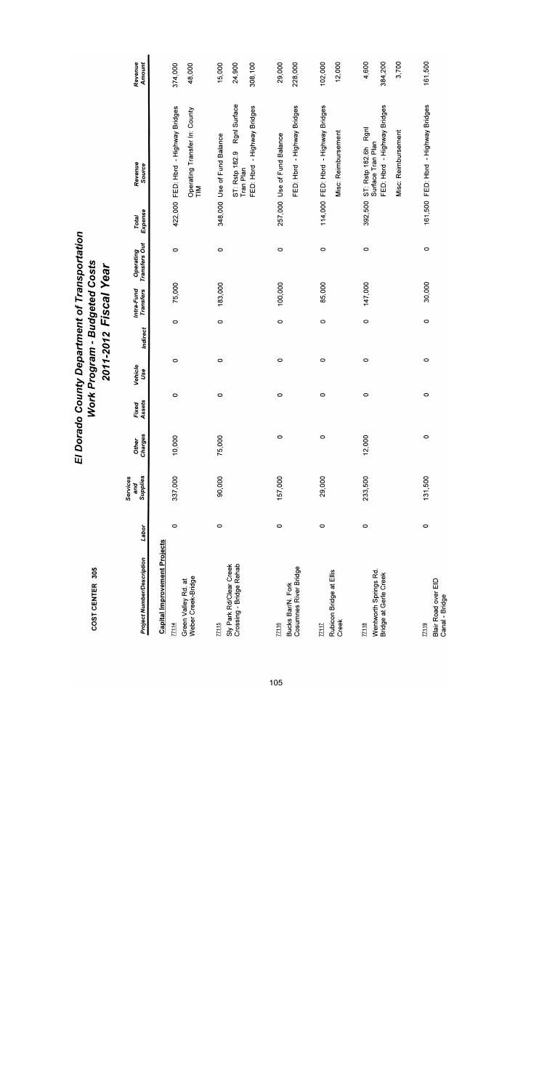| <b>Project Number/Description</b>                  | Labor   | Supplies<br>Services<br>and | Charges<br>Other | Assets<br>Fixed | Vehicle<br>Use | Indirect | Intra-Fund<br><b>Transfers</b> | Operating<br>Transfers Out | Expense<br>Total | Revenue<br>Source                                | Revenue<br>Amount |
|----------------------------------------------------|---------|-----------------------------|------------------|-----------------|----------------|----------|--------------------------------|----------------------------|------------------|--------------------------------------------------|-------------------|
| <b>Capital Improvement Projects</b>                |         |                             |                  |                 |                |          |                                |                            |                  |                                                  |                   |
| 77114                                              | $\circ$ | 337,000                     | 10,000           | $\circ$         | $\circ$        | $\circ$  | 75,000                         | $\circ$                    |                  | 422,000 FED: Hbrd - Highway Bridges              | 374,000           |
| Weber Creek-Bridge<br>Green Valley Rd. at          |         |                             |                  |                 |                |          |                                |                            |                  | Operating Transfer In: County<br>TIM             | 48,000            |
| $\frac{77115}{2}$                                  | $\circ$ | 90,000                      | '5,000           | $\circ$         | 0              | $\circ$  | 183,000                        | $\circ$                    |                  | 348,000 Use of Fund Balance                      | 15,000            |
| Sly Park Rd/Clear Creek<br>Crossing - Bridge Rehab |         |                             |                  |                 |                |          |                                |                            |                  | Rgnl Surface<br>ST: Rstp 182.9<br>Tran Plan      | 24,900            |
|                                                    |         |                             |                  |                 |                |          |                                |                            |                  | FED: Hbrd - Highway Bridges                      | 308,100           |
| $\frac{77116}{2}$                                  | 0       | 157,000                     | $\circ$          | $\circ$         | $\circ$        | $\circ$  | 100,000                        | 0                          |                  | 257,000 Use of Fund Balance                      | 29,000            |
| Cosumnes River Bridge<br>Bucks Bar/N. Fork         |         |                             |                  |                 |                |          |                                |                            |                  | FED: Hbrd - Highway Bridges                      | 228,000           |
| 77117                                              | $\circ$ | 29,000                      | $\circ$          | 0               | 0              | $\circ$  | 85,000                         | $\circ$                    |                  | 114,000 FED: Hbrd - Highway Bridges              | 102,000           |
| Rubicon Bridge at Ellis<br>Creek                   |         |                             |                  |                 |                |          |                                |                            |                  | Misc: Reimbursement                              | 12,000            |
| 77118                                              | $\circ$ | 233,500                     | 2,000            | $\circ$         | 0              | $\circ$  | 147,000                        | $\circ$                    |                  | 392,500 ST: Rstp 182.6h Rgnl                     | 4,600             |
| Wentworth Springs Rd.<br>Bridge at Gerle Creek     |         |                             |                  |                 |                |          |                                |                            |                  | FED: Hbrd - Highway Bridges<br>Surface Tran Plan | 384,200           |
|                                                    |         |                             |                  |                 |                |          |                                |                            |                  | Misc: Reimbursement                              | 3,700             |
| 77119                                              | $\circ$ | 131,500                     | $\circ$          | $\circ$         | $\circ$        | $\circ$  | 30,000                         | $\circ$                    |                  | 161,500 FED: Hbrd - Highway Bridges              | 161,500           |
| Blair Road over EID<br>Canal - Bridge              |         |                             |                  |                 |                |          |                                |                            |                  |                                                  |                   |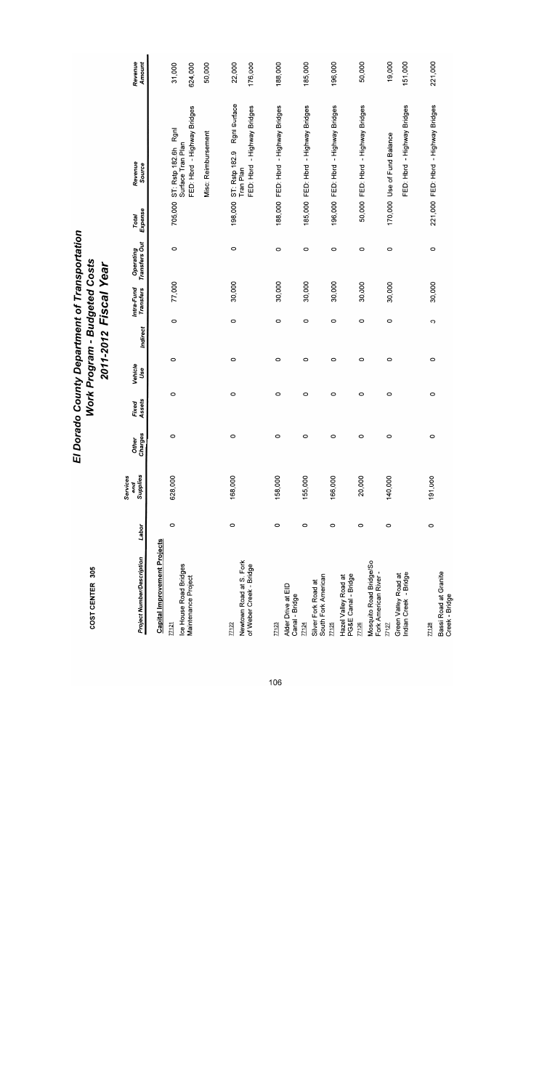| <b>Project Number/Description</b>                  | Labor   | Supplies<br>Services<br>and | Charges<br>Other | Assets<br>Fixed | Vehicle<br>Use | Indirect | <b>Transfers</b><br>Intra-Fund | Operating<br>Transfers Out | Expense<br>Total | Revenue<br>Source                            | Revenue<br>Amount |
|----------------------------------------------------|---------|-----------------------------|------------------|-----------------|----------------|----------|--------------------------------|----------------------------|------------------|----------------------------------------------|-------------------|
| <b>Capital Improvement Projects</b>                |         |                             |                  |                 |                |          |                                |                            |                  |                                              |                   |
| Ice House Road Bridges<br>77121                    | O       | 628,000                     | 0                | $\circ$         | $\circ$        | 0        | 77,000                         | $\circ$                    | 705,000          | Rgnl<br>Surface Tran Plan<br>ST: Rstp 182.6h | 31,000            |
| Maintenance Project                                |         |                             |                  |                 |                |          |                                |                            |                  | FED: Hbrd - Highway Bridges                  | 624,000           |
|                                                    |         |                             |                  |                 |                |          |                                |                            |                  | Misc: Reimbursement                          | 50,000            |
| 77122                                              | 0       | 168,000                     | O                | $\circ$         | $\circ$        | $\circ$  | 30,000                         | $\circ$                    | 198,000          | Rgnl Surface<br>ST: Rstp 182.9               | 22,000            |
| Newtown Road at S. Fork<br>of Weber Creek - Bridge |         |                             |                  |                 |                |          |                                |                            |                  | FED: Hbrd - Highway Bridges<br>Tran Plan     | 176,000           |
| 77123                                              | 0       | 158,000                     | O                | O               | $\circ$        | 0        | 30,000                         | 0                          |                  | 188,000 FED: Hbrd - Highway Bridges          | 188,000           |
| Alder Drive at EID<br>Canal - Bridge               |         |                             |                  |                 |                |          |                                |                            |                  |                                              |                   |
| 77124                                              | $\circ$ | 155,000                     | 0                | O               | O              | 0        | 30,000                         | 0                          |                  | 185,000 FED: Hbrd - Highway Bridges          | 185,000           |
| South Fork American<br>Silver Fork Road at         |         |                             |                  |                 |                |          |                                |                            |                  |                                              |                   |
| 77125                                              | 0       | 166,000                     | $\circ$          | $\circ$         | $\circ$        | O        | 30,000                         | $\circ$                    |                  | 196,000 FED: Hbrd - Highway Bridges          | 196,000           |
| PG&E Canal - Bridge<br>Hazel Valley Road at        |         |                             |                  |                 |                |          |                                |                            |                  |                                              |                   |
| 77126                                              | $\circ$ | 20,000                      | 0                | 0               | O              | 0        | 30,000                         | 0                          |                  | 50,000 FED: Hbrd - Highway Bridges           | 50,000            |
| Mosquito Road Bridge/So<br>Fork American River -   |         |                             |                  |                 |                |          |                                |                            |                  |                                              |                   |
| 77127                                              | $\circ$ | 140,000                     | O                | 0               | O              | $\circ$  | 30,000                         | $\circ$                    |                  | 170,000 Use of Fund Balance                  | 19,000            |
| Indian Creek - Bridge<br>Green Valley Road at      |         |                             |                  |                 |                |          |                                |                            |                  | FED: Hbrd - Highway Bridges                  | 151,000           |
|                                                    |         |                             |                  |                 |                |          |                                |                            |                  |                                              |                   |
| 77128                                              | 0       | 191,000                     | $\circ$          | 0               | 0              | $\circ$  | 30,000                         | $\circ$                    |                  | 221,000 FED: Hbrd - Highway Bridges          | 221,000           |
| Bassi Road at Granite<br>Creek - Bridge            |         |                             |                  |                 |                |          |                                |                            |                  |                                              |                   |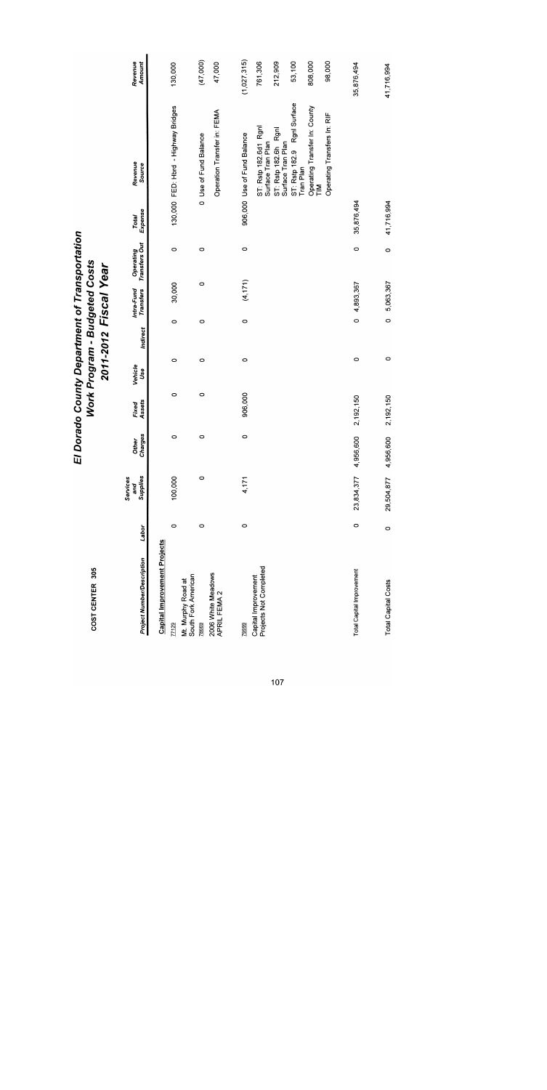|                                               |         | Services<br>and | <b>Other</b> | Fixed     | Vehicle |          | Intra-Fund           | Operating          | Total      | Revenue                                      | Revenue     |
|-----------------------------------------------|---------|-----------------|--------------|-----------|---------|----------|----------------------|--------------------|------------|----------------------------------------------|-------------|
| Project Number/Description                    | Labor   | Supplies        | Charges      | Assets    | Use     | Indirect | Transfers            | Transfers Out      | Expense    | Source                                       | Amount      |
| <b>Capital Improvement Projects</b>           |         |                 |              |           |         |          |                      |                    |            |                                              |             |
| 77129                                         | $\circ$ | 100,000         | 0            | o         | 0       | 0        | 30,000               | 0                  |            | 130,000 FED: Hbrd - Highway Bridges          | 130,000     |
| South Fork American<br>Mt. Murphy Road at     |         |                 |              |           |         |          |                      |                    |            |                                              |             |
| 78669                                         | 0       | 0               | $\circ$      | $\circ$   | 0       | 0        |                      | $\circ$<br>$\circ$ |            | 0 Use of Fund Balance                        | (47,000)    |
| 2006 White Meadows<br>APRIL FEMA 2            |         |                 |              |           |         |          |                      |                    |            | Operation Transfer in: FEMA                  | 47,000      |
| 79999                                         | 0       | 4,171           | $\circ$      | 906,000   | $\circ$ | $\circ$  | (4,171)              | $\circ$            |            | 906,000 Use of Fund Balance                  | (1,027,315) |
| Projects Not Completed<br>Capital Improvement |         |                 |              |           |         |          |                      |                    |            | ST: Rstp 182.6d1 Rgnl<br>Surface Tran Plan   | 761,306     |
|                                               |         |                 |              |           |         |          |                      |                    |            | Rgnl<br>Surface Tran Plan<br>ST: Rstp 182.6h | 212,909     |
|                                               |         |                 |              |           |         |          |                      |                    |            | ST: Rstp 182.9 Rgnl Surface<br>Tran Plan     | 53,100      |
|                                               |         |                 |              |           |         |          |                      |                    |            | Operating Transfer In: County<br>TIM         | 808,000     |
|                                               |         |                 |              |           |         |          |                      |                    |            | Operating Transfers In: RIF                  | 98,000      |
| <b>Total Capital Improvement</b>              | $\circ$ | 23,834,377      | 4,956,600    | 2,192,150 | 0       |          | 4,893,367<br>$\circ$ | $\circ$            | 35,876,494 |                                              | 35,876,494  |
| <b>Total Capital Costs</b>                    | $\circ$ | 29,504,877      | 4,956,600    | 2,192,150 | $\circ$ |          | 5,063,367<br>$\circ$ | $\circ$            | 41,716,994 |                                              | 41,716,994  |

El Dorado County Department of Transportation<br>Work Program - Budgeted Costs<br>2011-2012 Fiscal Year

COST CENTER 305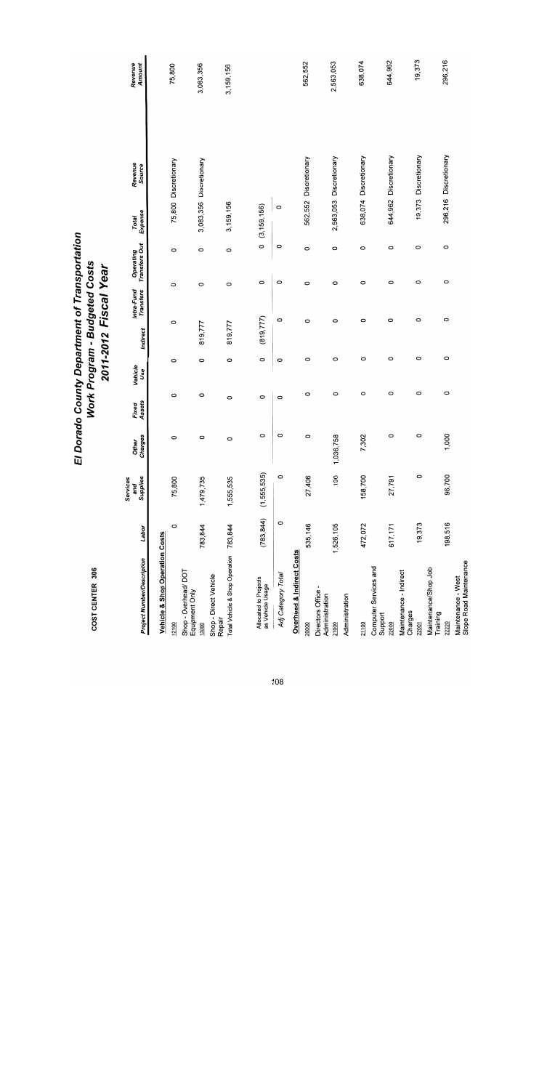| <b>Project Number/Description</b>                                         | Labor      | Supplies<br>Services<br>and | Charges<br><b>Other</b> | Assets<br>Fixed | Vehicle<br>Use | Indirect   | Intra-Fund<br>Transfers | <b>Transfers Out</b><br>Operating | Expense<br><b>Total</b> | Revenue<br>Source       | Revenue<br>Amount |
|---------------------------------------------------------------------------|------------|-----------------------------|-------------------------|-----------------|----------------|------------|-------------------------|-----------------------------------|-------------------------|-------------------------|-------------------|
| <b>Vehicle &amp; Shop Operation Costs</b>                                 |            |                             |                         |                 |                |            |                         |                                   |                         |                         |                   |
| 12100                                                                     | $\circ$    | 75,800                      | $\circ$                 | 0               | 0              | $\circ$    | $\circ$                 | O                                 |                         | 75,800 Discretionary    | 75,800            |
| Shop - Overhead/DOT<br>Equipment Only<br>13000                            | 783,844    | 1,479,735                   | 0                       | 0               | 0              | 819,777    | $\circ$                 | $\circ$                           |                         | 3,083,356 Discretionary | 3,083,356         |
| Total Vehicle & Shop Operation 783,844<br>Shop - Direct Vehicle<br>Repair |            | 1,555,535                   | $\circ$                 | 0               | $\circ$        | 819,777    | $\circ$                 | $\circ$                           | 3,159,156               |                         | 3,159,156         |
| Allocated to Projects<br>as Vehicle Usage                                 | (783, 844) | (1, 555, 535)               | 0                       | O               | 0              | (819, 777) |                         | $\circ$<br>0                      | (3, 159, 156)           |                         |                   |
| Adj Category Total                                                        | $\circ$    | $\circ$                     | $\circ$                 | $\circ$         | $\circ$        |            | O                       | $\circ$<br>O                      | $\circ$                 |                         |                   |
| <b>Overhead &amp; Indirect Costs</b>                                      |            |                             |                         |                 |                |            |                         |                                   |                         |                         |                   |
| 20000                                                                     | 535,146    | 27,406                      | O                       | $\circ$         | $\circ$        | O          |                         | 0<br>$\circ$                      |                         | 562,552 Discretionary   | 562,552           |
| Directors Office -<br>Administration                                      |            |                             |                         |                 | 0              | O          |                         | $\circ$<br>O                      |                         | 2,563,053 Discretionary | 2,563,053         |
| Administration<br>21000                                                   | 1,526,105  | 190                         | 1,036,758               | $\circ$         |                |            |                         |                                   |                         |                         |                   |
| 21100                                                                     | 472,072    | 158,700                     | 7,302                   | $\circ$         | $\circ$        | $\circ$    |                         | 0<br>O                            |                         | 638,074 Discretionary   | 638,074           |
| Computer Services and<br>Support                                          |            |                             |                         |                 |                |            |                         |                                   |                         |                         |                   |
| 22000                                                                     | 617,171    | 27,791                      | 0                       | 0               | O              |            | 0                       | 0<br>$\circ$                      |                         | 644,962 Discretionary   | 644,962           |
| Maintenance - Indirect<br>Charges                                         |            |                             |                         |                 |                |            |                         |                                   |                         |                         |                   |
| 22001                                                                     | 19,373     | $\circ$                     | 0                       | 0               | O              |            | $\circ$                 | $\circ$<br>$\circ$                |                         | 19,373 Discretionary    | 19,373            |
| Maintenance/Shop Job<br>Training                                          |            |                             |                         |                 |                |            |                         |                                   |                         |                         |                   |
| 22220                                                                     | 198,516    | 96,700                      | 1,000                   | 0               | 0              |            | 0                       | $\circ$<br>0                      |                         | 296,216 Discretionary   | 296,216           |
| Slope Road Maintenance<br>Maintenance - West                              |            |                             |                         |                 |                |            |                         |                                   |                         |                         |                   |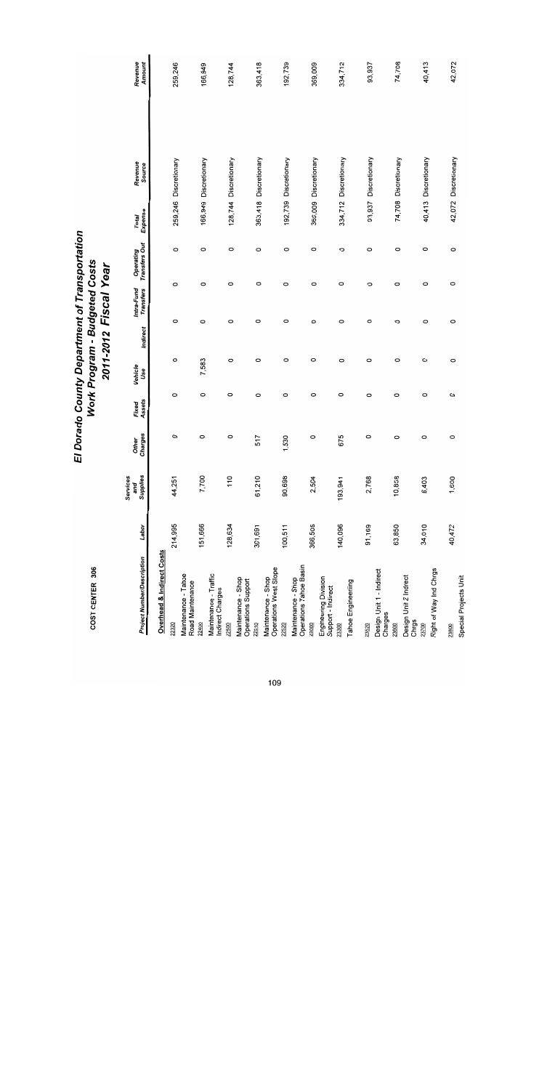| <b>Project Number/Description</b>            | Labor   | Supplies<br>Services<br>and | Charges<br>Other | Assets<br>Fixed | Vehicle<br>Use | Indirect | Intra-Fund<br><b>Transfers</b> | Operating<br>Transfers Out | Expense<br>Total | Revenue<br>Source     | Revenue<br>Amount |  |
|----------------------------------------------|---------|-----------------------------|------------------|-----------------|----------------|----------|--------------------------------|----------------------------|------------------|-----------------------|-------------------|--|
| <b>Overhead &amp; Indirect Costs</b>         |         |                             |                  |                 |                |          |                                |                            |                  |                       |                   |  |
| 22320                                        | 214,995 | 44,251                      | O                | $\circ$         | 0              | $\circ$  | $\circ$                        | $\circ$                    |                  | 259,246 Discretionary | 259,246           |  |
| Maintenance - Tahoe<br>Road Maintenance      |         |                             |                  |                 |                |          |                                |                            |                  |                       |                   |  |
| 22400                                        | 151,666 | 7,700                       | $\circ$          | $\circ$         | 7,583          | 0        | $\circ$                        | $\circ$                    |                  | 166,949 Discretionary | 166,949           |  |
| Maintenance - Traffic<br>Indirect Charges    |         |                             |                  |                 |                |          |                                |                            |                  |                       |                   |  |
| 22500                                        | 128,634 | 110                         | $\circ$          | $\circ$         | $\circ$        | O        | 0                              | 0                          |                  | 128,744 Discretionary | 128,744           |  |
| Maintenance - Shop<br>Operations Support     |         |                             |                  |                 |                |          |                                |                            |                  |                       |                   |  |
| 22510                                        | 301,691 | 61,210                      | 517              | O               | $\circ$        | 0        | $\circ$                        | $\circ$                    |                  | 363,418 Discretionary | 363,418           |  |
| Operations West Slope<br>Maintenance - Shop  |         |                             |                  |                 |                |          |                                |                            |                  |                       |                   |  |
| 22520                                        | 100,511 | 90,698                      | 1,530            | $\circ$         | $\circ$        | 0        | 0                              | $\circ$                    |                  | 192,739 Discretionary | 192,739           |  |
| Operations Tahoe Basin<br>Maintenance - Shop |         |                             |                  |                 |                |          |                                |                            |                  |                       |                   |  |
| 23000                                        | 366,505 | 2,504                       | 0                | O               | O              | $\circ$  | $\circ$                        | $\circ$                    |                  | 369,009 Discretionary | 369,009           |  |
| Engineering Division<br>Support - Indirect   |         |                             |                  |                 |                |          |                                |                            |                  |                       |                   |  |
| 23300                                        | 140,096 | 193,941                     | 675              | 0               | $\circ$        | $\circ$  | $\circ$                        | 0                          |                  | 334,712 Discretionary | 334,712           |  |
| Tahoe Engineeriing                           |         |                             |                  |                 |                |          |                                |                            |                  |                       |                   |  |
| 23520                                        | 91,169  | 2,768                       | $\circ$          | 0               | 0              | $\circ$  | $\circ$                        | $\circ$                    |                  | 93,937 Discretionary  | 93,937            |  |
| Design Unit 1 - Indirect<br>Charges          |         |                             |                  |                 |                |          |                                |                            |                  |                       |                   |  |
| 23600                                        | 63,850  | 10,858                      | $\circ$          | 0               | $\circ$        | 0        | $\circ$                        | $\circ$                    |                  | 74,708 Discretionary  | 74,708            |  |
| Design Unit 2 Indrect<br>Chrgs               |         |                             |                  |                 |                |          |                                |                            |                  |                       |                   |  |
| 23700                                        | 34,010  | 6,403                       | $\circ$          | $\circ$         | 0              | 0        | 0                              | $\circ$                    |                  | 40,413 Discretionary  | 40,413            |  |
| Right of Way Ind Chrgs                       |         |                             |                  |                 |                |          |                                |                            |                  |                       |                   |  |
| 23800                                        | 40,472  | 1,600                       | $\circ$          | 0               | $\circ$        | 0        | 0                              | 0                          |                  | 42,072 Discretionary  | 42,072            |  |
| Special Projects Unit                        |         |                             |                  |                 |                |          |                                |                            |                  |                       |                   |  |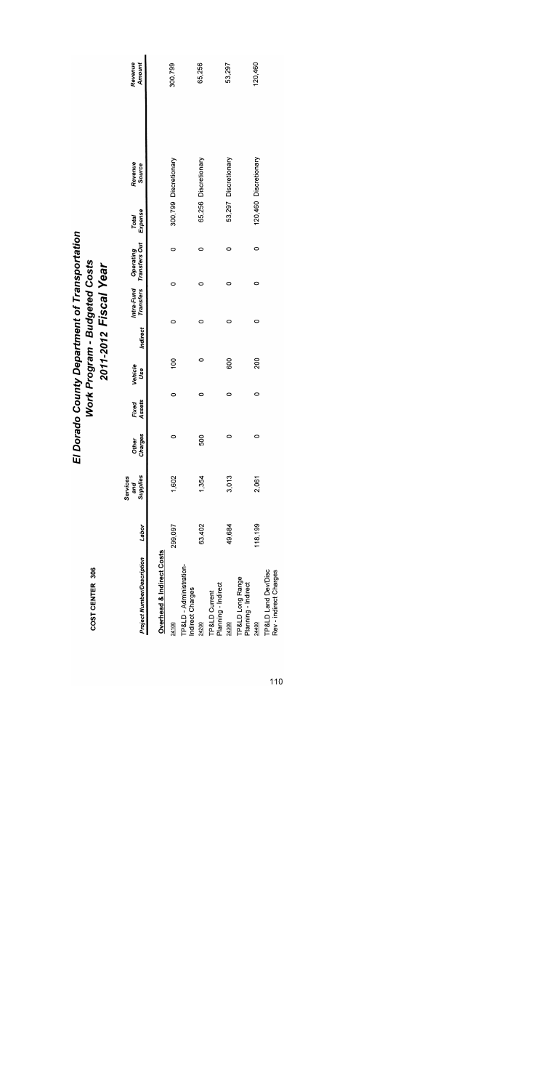| 306     |
|---------|
| Ľ<br>٦  |
| í       |
|         |
|         |
|         |
| ŀ       |
|         |
| ï<br>ſ, |
|         |
|         |

| Project Number/Description                    | Labor   | Supplies<br>Services<br>and | harges<br><b>Other</b><br>ō | Assets<br>Fixed | Vehicle<br>Use |   | Indirect Transfers Transfers Out Expense<br>Indirect Transfers Transfers Out Expense | Revenue<br><b>Source</b> | Revenue<br>Amount |
|-----------------------------------------------|---------|-----------------------------|-----------------------------|-----------------|----------------|---|--------------------------------------------------------------------------------------|--------------------------|-------------------|
| <b>Overhead &amp; Indirect Costs</b>          |         |                             |                             |                 |                |   |                                                                                      |                          |                   |
| 24100                                         | 299,097 | 1,602                       |                             |                 | Sol            |   | 0                                                                                    | 300,799 Discretionary    | 300,799           |
| TP&LD - Administration-<br>Indirect Charges   |         |                             |                             |                 |                |   |                                                                                      |                          |                   |
| 24200                                         | 63,402  | 1,354                       | S <sub>0</sub>              | c               |                |   | 0                                                                                    | 65,256 Discretionary     | 65,256            |
| Planning - Indirect<br>TP&LD Current          |         |                             |                             |                 |                |   |                                                                                      |                          |                   |
| 24300                                         | 49,684  | 3,013                       |                             | 0               | 80             |   | 0                                                                                    | 53,297 Discretionary     | 53,297            |
| TP&LD Long Range<br>Planning - Indirect       |         |                             |                             |                 |                |   |                                                                                      |                          |                   |
| 24400                                         | 118,199 | 2,061                       | 0                           |                 | 200            | 0 | 0                                                                                    | 120,460 Discretionary    | 20,460            |
| TP&LD Land Dev/Disc<br>Rev - indirect Charges |         |                             |                             |                 |                |   |                                                                                      |                          |                   |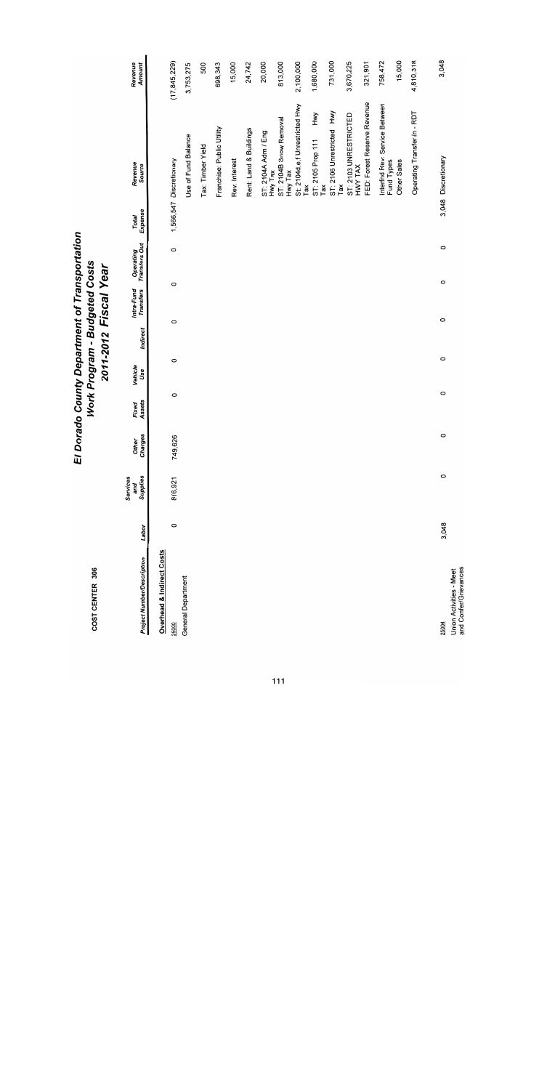| COST CENTER 306                                  |         |                             | $\overline{E}$          |                 | Work Program - Budgeted Costs |          | 2011-2012 Fiscal Year   | Dorado County Department of Transportation |                  |                                             |                   |
|--------------------------------------------------|---------|-----------------------------|-------------------------|-----------------|-------------------------------|----------|-------------------------|--------------------------------------------|------------------|---------------------------------------------|-------------------|
| <b>Project Number/Description</b>                | Labor   | Supplies<br>Services<br>and | Charges<br><b>Other</b> | Assets<br>Fixed | Vehicle<br>Use                | Indirect | Intra-Fund<br>Transfers | Operating<br>Transfers Out                 | Expense<br>Total | Revenue<br>Source                           | Revenue<br>Amount |
| Overhead & Indirect Costs                        |         |                             |                         |                 |                               |          |                         |                                            |                  |                                             |                   |
| 25000                                            | $\circ$ | 816,921                     | 749,626                 | $\circ$         | $\circ$                       | $\circ$  | 0                       | $\circ$                                    |                  | 1,566,547 Discretionary                     | (17, 845, 229)    |
| General Department                               |         |                             |                         |                 |                               |          |                         |                                            |                  | Use of Fund Balance                         | 3,753,275         |
|                                                  |         |                             |                         |                 |                               |          |                         |                                            |                  | Tax: Timber Yield                           | 500               |
|                                                  |         |                             |                         |                 |                               |          |                         |                                            |                  | Franchise: Public Utility                   | 698,343           |
|                                                  |         |                             |                         |                 |                               |          |                         |                                            |                  | Rev: Interest                               | 15,000            |
|                                                  |         |                             |                         |                 |                               |          |                         |                                            |                  | Rent: Land & Buildings                      | 24,742            |
|                                                  |         |                             |                         |                 |                               |          |                         |                                            |                  | ST: 2104A Adm / Eng<br>Hwy Tax              | 20,000            |
|                                                  |         |                             |                         |                 |                               |          |                         |                                            |                  | ST: 2104B Snow Removal<br>Hwy Tax           | 813,000           |
|                                                  |         |                             |                         |                 |                               |          |                         |                                            |                  | St: 2104d,e,f Unrestricted Hwy<br>Tax       | 2,100,000         |
|                                                  |         |                             |                         |                 |                               |          |                         |                                            |                  | Hwy<br>ST: 2105 Prop 111<br>Гaх             | 1,680,000         |
|                                                  |         |                             |                         |                 |                               |          |                         |                                            |                  | ST: 2106 Unrestricted Hwy<br>Tax            | 731,000           |
|                                                  |         |                             |                         |                 |                               |          |                         |                                            |                  | ST: 2103 UNRESTRICTED<br>HWY TAX            | 3,670,225         |
|                                                  |         |                             |                         |                 |                               |          |                         |                                            |                  | FED: Forest Reserve Revenue                 | 321,901           |
|                                                  |         |                             |                         |                 |                               |          |                         |                                            |                  | Interfnd Rev: Service Between<br>Fund Types | 758,472           |
|                                                  |         |                             |                         |                 |                               |          |                         |                                            |                  | Other Sales                                 | 15,000            |
|                                                  |         |                             |                         |                 |                               |          |                         |                                            |                  | Operating Transfer In - RDT                 | 4,810,318         |
| 25004                                            | 3,048   | $\circ$                     | $\circ$                 | $\circ$         | $\circ$                       |          | $\circ$                 | $\circ$<br>$\circ$                         |                  | 3,048 Discretionary                         | 3,048             |
| and Confer/Grievances<br>Union Activities - Meet |         |                             |                         |                 |                               |          |                         |                                            |                  |                                             |                   |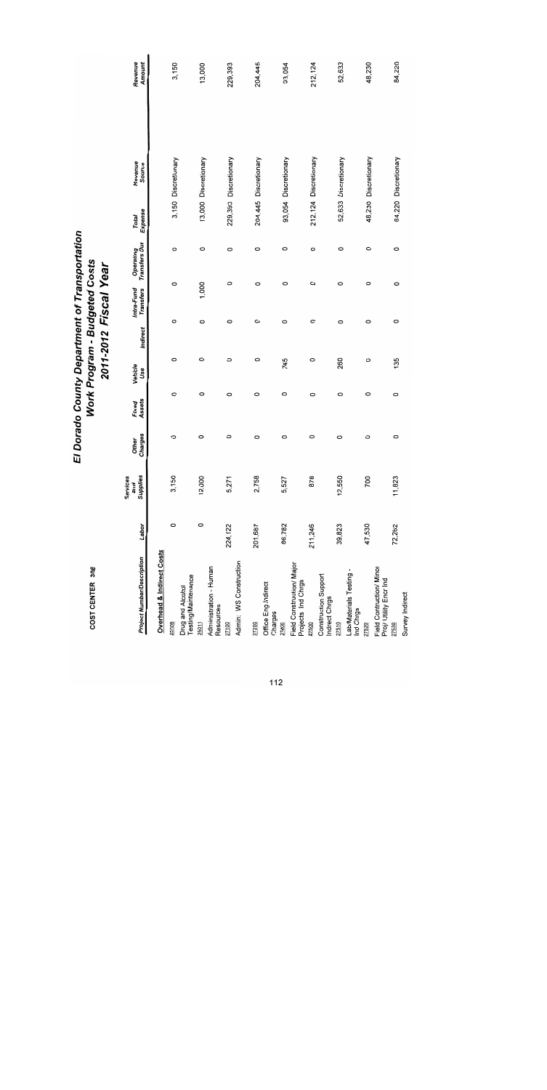| <b>Project Number/Description</b>                  | Labor   | Supplies<br>Services<br>and | Charges<br><b>Other</b> | Assets<br>Fixed | Vehicle<br>Use | Indirect | Intra-Fund<br><b>Transfers</b> | Transfers Out<br>Operating | Expense<br>Total | Revenue<br>Source     | Revenue<br>Amount |
|----------------------------------------------------|---------|-----------------------------|-------------------------|-----------------|----------------|----------|--------------------------------|----------------------------|------------------|-----------------------|-------------------|
| <b>Overhead &amp; Indirect Costs</b>               |         |                             |                         |                 |                |          |                                |                            |                  |                       |                   |
| 25009                                              | $\circ$ | 3,150                       | O                       | $\circ$         | O              | 0        | $\circ$                        | 0                          |                  | 3,150 Discretionary   | 3,150             |
| Testing/Maintenance<br>Drug and Alcohol            |         |                             |                         |                 |                |          |                                |                            |                  |                       |                   |
| 25011                                              | 0       | 12,000                      | 0                       | $\circ$         | $\circ$        | 0        | 1,000                          | 0                          |                  | 13,000 Discretionary  | 13,000            |
| Administration Human<br>Resources                  |         |                             |                         |                 |                |          |                                |                            |                  |                       |                   |
| 27100                                              | 224,122 | 5,271                       | $\circ$                 | 0               | $\circ$        | 0        |                                | 0<br>0                     |                  | 229,393 Discretionary | 229,393           |
| Admin: WS Construction                             |         |                             |                         |                 |                |          |                                |                            |                  |                       |                   |
| 27200                                              | 201,687 | 2,758                       | O                       | 0               | O              | 0        |                                | 0<br>O                     |                  | 204,445 Discretionary | 204,445           |
| Office Eng Indirect<br>Charges                     |         |                             |                         |                 |                |          |                                |                            |                  |                       |                   |
| 27400                                              | 86,782  | 5,527                       | $\circ$                 | $\circ$         | 745            | $\circ$  |                                | $\circ$<br>$\circ$         |                  | 93,054 Discretionary  | 93,054            |
| Field Construction/ Major<br>Projects Ind Chrgs    |         |                             |                         |                 |                |          |                                |                            |                  |                       |                   |
| 27500                                              | 211,246 | 878                         | 0                       | 0               | 0              | 0        |                                | 0<br>0                     |                  | 212,124 Discretionary | 212, 124          |
| Construction Support<br>Indrect Chrgs              |         |                             |                         |                 |                |          |                                |                            |                  |                       |                   |
| 27510                                              | 39,823  | 12,550                      | O                       | O               | 260            | 0        |                                | $\circ$<br>0               |                  | 52,633 Discretionary  | 52,633            |
| Lab/Materials Testing-<br>Ind Chrgs                |         |                             |                         |                 |                |          |                                |                            |                  |                       |                   |
| 27520                                              | 47,530  | 700                         | 0                       | 0               | 0              | 0        |                                | 0<br>0                     |                  | 48,230 Discretionary  | 48,230            |
| Field Contruction/ Minor<br>Proj/ Utility Encr Ind |         |                             |                         |                 |                |          |                                |                            |                  |                       |                   |
| 27530                                              | 72,262  | 11,823                      | 0                       | $\circ$         | 135            | 0        |                                | 0<br>0                     |                  | 84,220 Discretionary  | 84,220            |
| Survey Indirect                                    |         |                             |                         |                 |                |          |                                |                            |                  |                       |                   |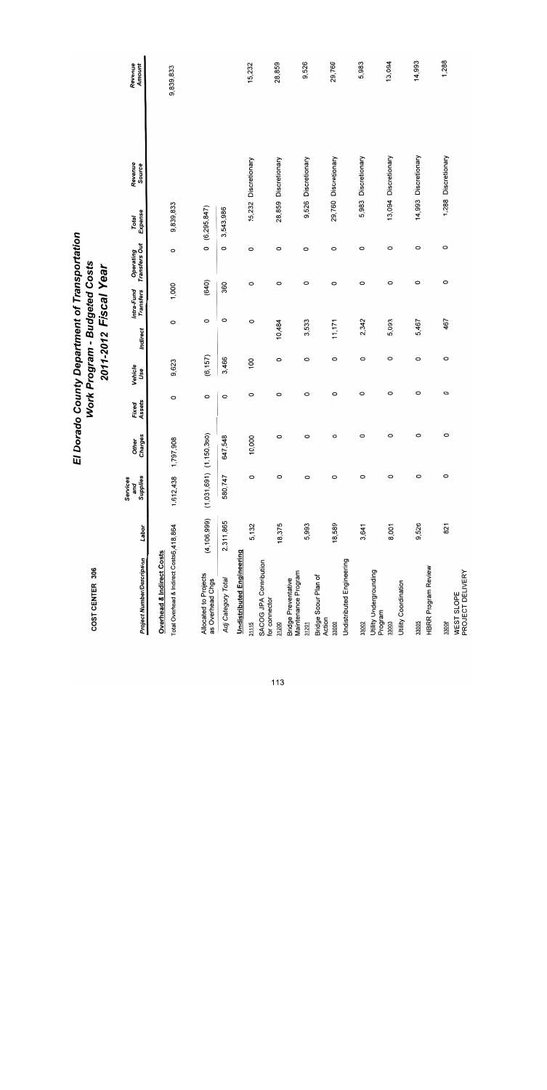| COST CENTER 306                                                                  |               |                             | EI               |                 | Work Program - Budgeted Costs | 2011-2012 Fiscal Year |                         | Dorado County Department of Transportation |                  |                      |                   |  |
|----------------------------------------------------------------------------------|---------------|-----------------------------|------------------|-----------------|-------------------------------|-----------------------|-------------------------|--------------------------------------------|------------------|----------------------|-------------------|--|
| <b>Project Number/Description</b>                                                | Labor         | Supplies<br>Services<br>and | Other<br>Charges | Fixed<br>Assets | Vehicle<br>Use                | Indirect              | Intra-Fund<br>Transfers | Operating<br>Transfers Out                 | Total<br>Expense | Revenue<br>Source    | Revenue<br>Amount |  |
| Total Overhead & Indirect Costs6,418,864<br><b>Overhead &amp; Indirect Costs</b> |               | 1,612,438                   | 908<br>1,797,    | 0               | 9,623                         | O                     | 1,000                   | 0                                          | 9,839,833        |                      | 9,839,833         |  |
| Allocated to Projects<br>as Overhead Chgs                                        | (4, 106, 999) | $(1,031,691)$ $(1,150,360)$ |                  | $\circ$         | (6, 157)                      | $\circ$               | (640)                   | $\circ$                                    | (6, 295, 847)    |                      |                   |  |
| Adj Category Total                                                               | 2,311,865     | 580,747                     | \$48<br>647      | $\circ$         | 3,466                         | 0                     | 360                     | 0                                          | 3,543,986        |                      |                   |  |
| <b>Undistributed Engineering</b>                                                 |               |                             |                  |                 |                               |                       |                         |                                            |                  |                      |                   |  |
| 31115                                                                            | 5,132         | $\circ$                     | 10,000           | O               | 100                           | O                     | O                       | $\circ$                                    |                  | 15,232 Discretionary | 15,232            |  |
| SACOG JPA Contribution<br>for connector                                          |               |                             |                  |                 |                               |                       |                         |                                            |                  |                      |                   |  |
| 31200                                                                            | 18,375        | 0                           | 0                | 0               | O                             | 10,484                | 0                       | O                                          |                  | 28,859 Discretionary | 28,859            |  |
| Maintenance Program<br><b>Bridge Preventative</b>                                |               |                             |                  |                 |                               |                       |                         |                                            |                  |                      |                   |  |
| 31201                                                                            | 5,993         | $\circ$                     | $\circ$          | $\circ$         | $\circ$                       | 3,533                 | $\circ$                 | $\circ$                                    |                  | 9,526 Discretionary  | 9,526             |  |
| Bridge Scour Plan of<br>Action                                                   |               |                             |                  |                 |                               |                       |                         |                                            |                  |                      |                   |  |
| 33000                                                                            | 18,589        | $\circ$                     | $\circ$          | O               | $\circ$                       | 11,171                | O                       | O                                          |                  | 29,760 Discretionary | 29,760            |  |
| Undistributed Engineering                                                        |               |                             |                  |                 |                               |                       |                         |                                            |                  |                      |                   |  |
| 33002                                                                            | 3,641         | $\circ$                     | $\circ$          | $\circ$         | 0                             | 2,342                 | $\circ$                 | 0                                          |                  | 5,983 Discretionary  | 5,983             |  |
| Utility Undergrounding<br>Program                                                |               |                             |                  |                 |                               |                       |                         |                                            |                  |                      |                   |  |
| Utility Coordination<br>33003                                                    | 8,001         | O                           | O                | $\circ$         | $\circ$                       | 5,093                 | 0                       | 0                                          |                  | 13,094 Discretionary | 13,094            |  |
| 33005                                                                            | 9,526         | $\circ$                     | O                | 0               | O                             | 5,467                 | 0                       | $\circ$                                    |                  | 14,993 Discretionary | 14,993            |  |
| HBRR Program Review                                                              |               |                             |                  |                 |                               |                       |                         |                                            |                  |                      |                   |  |
| 33006                                                                            | 821           | $\circ$                     | $\circ$          | $\circ$         | $\circ$                       | 467                   | $\circ$                 | $\circ$                                    |                  | 1,288 Discretionary  | 1,288             |  |
| PROJECT DELIVERY<br>WEST SLOPE                                                   |               |                             |                  |                 |                               |                       |                         |                                            |                  |                      |                   |  |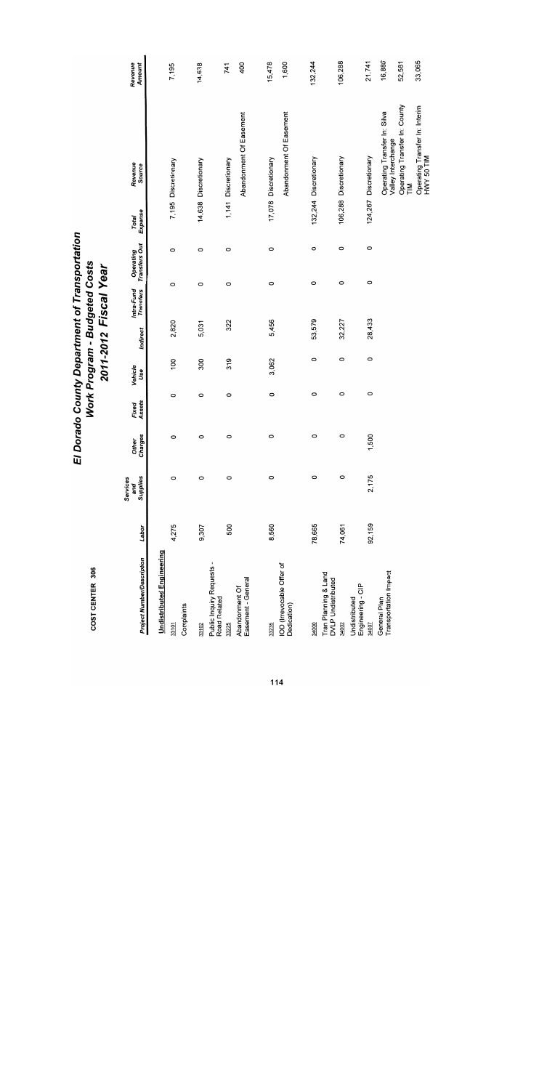| COST CENTER 306                                                                            |        |                             | 冚                       |                 | Work Program - Budgeted Costs |          | 2011-2012 Fiscal Year   | Dorado County Department of Transportation |                  |                                                                                     |                   |
|--------------------------------------------------------------------------------------------|--------|-----------------------------|-------------------------|-----------------|-------------------------------|----------|-------------------------|--------------------------------------------|------------------|-------------------------------------------------------------------------------------|-------------------|
| <b>Project Number/Description</b>                                                          | Labor  | Supplies<br>Services<br>and | Charges<br><b>Other</b> | Fixed<br>Assets | Vehicle<br>Use                | Indirect | Intra-Fund<br>Transfers | Operating<br>Transfers Out                 | Expense<br>Total | Revenue<br>Source                                                                   | Revenue<br>Amount |
| <b>Undistributed Engineering</b><br>Complaints<br>33101                                    | 4,275  | O                           | O                       | $\circ$         | 100                           | 2,820    | $\circ$                 | $\circ$                                    |                  | 7,195 Discretionary                                                                 | 7,195             |
| 33102                                                                                      | 9,307  | O                           | 0                       | 0               | 300                           | 5,031    | O                       | $\circ$                                    |                  | 14,638 Discretionary                                                                | 14,638            |
| Public Inquiry Requests -<br>Easement - General<br>Abandonment Of<br>Road Related<br>33225 | 500    | 0                           | 0                       | 0               | 319                           | 322      | $\circ$                 | 0                                          |                  | Abandonment Of Easement<br>1,141 Discretionary                                      | 400<br>741        |
| IOD (Irrevocable Offer of<br>Dedication)<br>33235                                          | 8,560  | $\circ$                     | O                       | $\circ$         | 3,062                         | 5,456    | 0                       | 0                                          |                  | Abandonment Of Easement<br>17,078 Discretionary                                     | 15,478<br>1,600   |
| Tran Planning & Land<br>34000                                                              | 78,665 | $\circ$                     | 0                       | $\circ$         | 0                             | 53,579   | $\circ$                 | $\circ$                                    |                  | 132,244 Discretionary                                                               | 132,244           |
| DVLP Undistributed<br>34002                                                                | 74,061 | $\circ$                     | 0                       | 0               | O                             | 32,227   | $\circ$                 | O                                          |                  | 106,288 Discretionary                                                               | 106,288           |
| Engineering - CIP<br>Undistributed<br><b>24007</b>                                         | 92,159 | 2,175                       | 1,500                   | 0               | 0                             | 28,433   | $\circ$                 | $\circ$                                    |                  | 124,267 Discretionary                                                               | 21,741            |
| Transportation Impact<br>General Plan                                                      |        |                             |                         |                 |                               |          |                         |                                            |                  | Operating Transfer In: County<br>Operating Transfer In: Silva<br>Valley Interchange | 16,880<br>52,581  |
|                                                                                            |        |                             |                         |                 |                               |          |                         |                                            |                  | Operating Transfer In: Interim<br>HWY 50 TIM<br>$\sum_{i=1}^{n}$                    | 33,065            |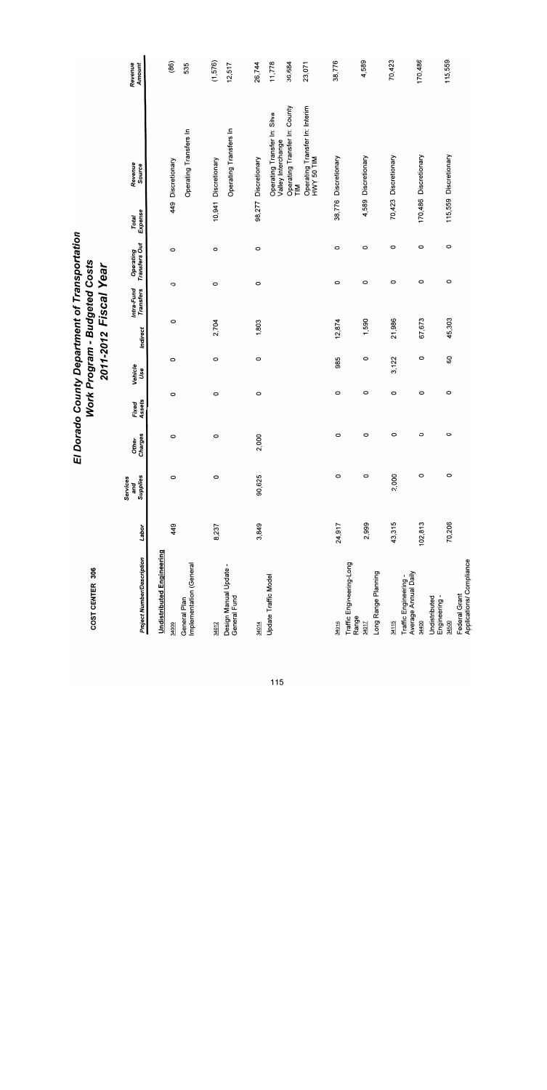| COST CENTER 306                                                                      |         |                             | ū                       |                 | Work Program - Budgeted Costs | 2011-2012 Fiscal Year |                         | Dorado County Department of Transportation |                  |                                                                                                                                                                          |                                      |
|--------------------------------------------------------------------------------------|---------|-----------------------------|-------------------------|-----------------|-------------------------------|-----------------------|-------------------------|--------------------------------------------|------------------|--------------------------------------------------------------------------------------------------------------------------------------------------------------------------|--------------------------------------|
| <b>Project Number/Description</b>                                                    | Labor   | Supplies<br>Services<br>and | Charges<br><b>Other</b> | Assets<br>Fixed | Vehicle<br>Use                | Indirect              | Intra-Fund<br>Transfers | Operating<br>Transfers Out                 | Expense<br>Total | Revenue<br>Source                                                                                                                                                        | Revenue<br>Amount                    |
| <b>Undistributed Engineering</b><br>Implementation (General<br>General Plan<br>34009 | 449     | $\circ$                     | $\circ$                 | O               | 0                             | 0                     | $\circ$                 | $\circ$                                    |                  | Operating Transfers In<br>449 Discretionary                                                                                                                              | (86)<br>535                          |
| Design Manual Update -<br>General Fund<br>34012                                      | 8,237   | $\circ$                     | $\circ$                 | $\circ$         | $\circ$                       | 2,704                 | $\circ$                 | $\circ$                                    |                  | Operating Transfers In<br>10,941 Discretionary                                                                                                                           | (1,576)<br>12,517                    |
| <b>Update Traffic Model</b><br>34014                                                 | 3,849   | 90,625                      | 2,000                   | $\circ$         | $\circ$                       | 1,803                 | 0                       | $\circ$                                    | 98,277           | Operating Transfer In: County<br>Operating Transfer In: Interim<br>HWY 50 TIM<br>Operating Transfer In: Silva<br>Valley Interchange<br>Discretionary<br>$\sum_{i=1}^{n}$ | 11,778<br>36,684<br>26,744<br>23,071 |
| Traffic Engineering-Long<br>34016                                                    | 24,917  | $\circ$                     | O                       | $\circ$         | 985                           | 12,874                | O                       | O                                          |                  | 38,776 Discretionary                                                                                                                                                     | 38,776                               |
| Long Range Planning<br>Range<br>34017                                                | 2,999   | $\circ$                     | $\circ$                 | $\circ$         | $\circ$                       | 1,590                 | $\circ$                 | $\circ$                                    |                  | 4,589 Discretionary                                                                                                                                                      | 4,589                                |
| Average Annual Daily<br>Traffic Engineering -<br>34115                               | 43,315  | 2,000                       | O                       | $\circ$         | 3,122                         | 21,986                | $\circ$                 | $\circ$                                    |                  | 70,423 Discretionary                                                                                                                                                     | 70,423                               |
| Engineering -<br>Undistributed<br>34400                                              | 102,813 | $\circ$                     | O                       | $\circ$         | $\circ$                       | 67,673                | $\circ$                 | O                                          |                  | 170,486 Discretionary                                                                                                                                                    | 170,486                              |
| Applications/ Compliance<br>Federal Grant<br>34500                                   | 70,206  | $\circ$                     | $\circ$                 | $\circ$         | 50                            | 45,303                | $\circ$                 | $\circ$                                    |                  | 115,559 Discretionary                                                                                                                                                    | 115,559                              |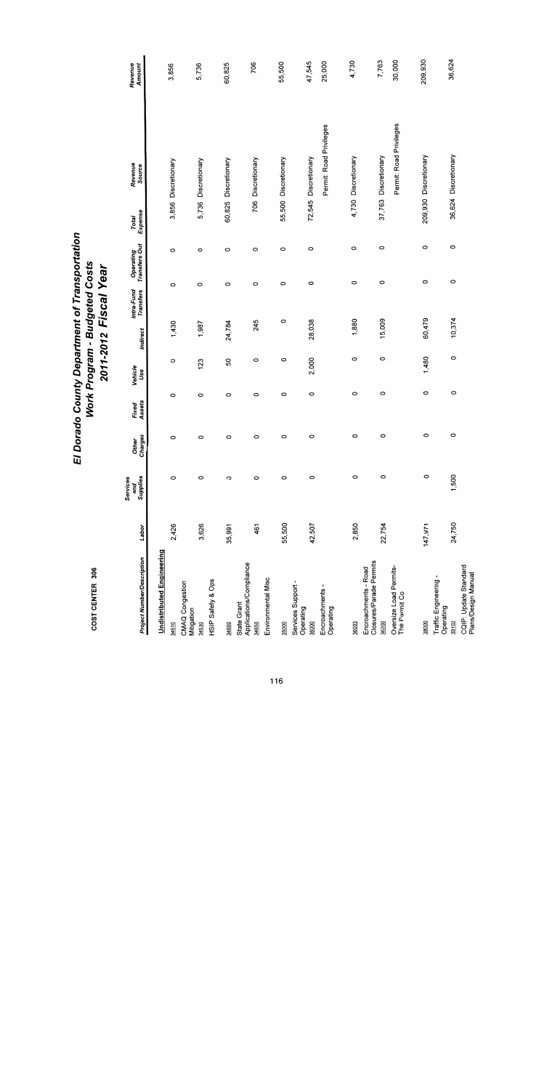| <b>Project Number/Description</b>               | Labor   | Supplies<br>Services<br>and | Charges<br><b>Other</b> | Assets<br>Fixed | Vehicle<br>Use | Indirect | Intra-Fund<br>Transfers | Transfers Out<br>Operating | Expense<br>Total | Revenue<br>Source       | Amount<br>Revenue |
|-------------------------------------------------|---------|-----------------------------|-------------------------|-----------------|----------------|----------|-------------------------|----------------------------|------------------|-------------------------|-------------------|
| <b>Undistributed Engineering</b>                |         |                             |                         |                 |                |          |                         |                            |                  |                         | 3,856             |
| CMAQ Congestion<br>34510                        | 2,426   | $\circ$                     | 0                       | $\circ$         | O              | 1,430    | 0                       | O                          |                  | 3,856 Discretionary     |                   |
| Mitigation                                      |         |                             |                         |                 | 123            | 1,987    | $\circ$                 | O                          | 5,736            | Discretionary           | 5,736             |
| 34530                                           | 3,626   | $\circ$                     | $\circ$                 | O               |                |          |                         |                            |                  |                         |                   |
| HSIP Safety & Ops                               |         |                             |                         |                 |                |          |                         |                            |                  |                         |                   |
| 34600                                           | 35,991  | $\circ$                     | $\circ$                 | O               | SO             | 24,784   | $\circ$                 | O                          | 60,825           | Discretionary           | 60,825            |
| Applications/Compliance<br>State Grant          |         |                             |                         |                 |                |          |                         |                            |                  |                         |                   |
| 34650                                           | 461     | $\circ$                     | 0                       | O               | O              | 245      |                         | O<br>$\circ$               | 706              | Discretionary           | 706               |
| Environmental Misc                              |         |                             |                         |                 |                |          |                         |                            |                  |                         |                   |
| 35000                                           | 55,500  | 0                           | 0                       | 0               | $\circ$        | 0        |                         | $\circ$<br>0               |                  | 55,500 Discretionary    | 55,500            |
| Services Support -                              |         |                             |                         |                 |                |          |                         |                            |                  |                         |                   |
| Operating<br>36000                              | 42,507  | O                           | 0                       | 0               | 2,000          | 28,038   |                         | O<br>0                     |                  | 72,545 Discretionary    | 47,545            |
| Encroachments -                                 |         |                             |                         |                 |                |          |                         |                            |                  | Permit: Road Privileges | 25,000            |
| Operating                                       |         |                             |                         |                 |                |          |                         |                            |                  |                         |                   |
| 36003                                           | 2,850   | $\circ$                     | O                       | $\circ$         | $\circ$        | 1,880    |                         | $\circ$<br>$\circ$         |                  | 4,730 Discretionary     | 4,730             |
|                                                 |         |                             |                         |                 |                |          |                         |                            |                  |                         |                   |
| Closures/Parade Permits<br>Encroachments - Road |         |                             |                         |                 |                |          |                         |                            |                  |                         |                   |
| 36200                                           | 22,754  | $\circ$                     | 0                       | O               | $\circ$        | 15,009   |                         | 0<br>O                     |                  | 37,763 Discretionary    | 7,763             |
| Oversize Load Permits-<br>The Permit Co         |         |                             |                         |                 |                |          |                         |                            |                  | Permit: Road Privileges | 30,000            |
|                                                 |         |                             |                         |                 |                |          |                         |                            |                  |                         |                   |
| 38000                                           | 147,971 | $\circ$                     | $\circ$                 | 0               | 1,480          | 60,479   |                         | $\circ$<br>$\circ$         |                  | 209,930 Discretionary   | 209,930           |
| Traffic Engineering -<br>Operating              |         |                             |                         |                 |                |          |                         |                            |                  |                         |                   |
| 39102                                           | 24,750  | 1,500                       | $\circ$                 | 0               | 0              | 10,374   |                         | $\circ$<br>$\circ$         |                  | 36,624 Discretionary    | 36,624            |
| CQIP: Update Standard<br>Plans/Design Manual    |         |                             |                         |                 |                |          |                         |                            |                  |                         |                   |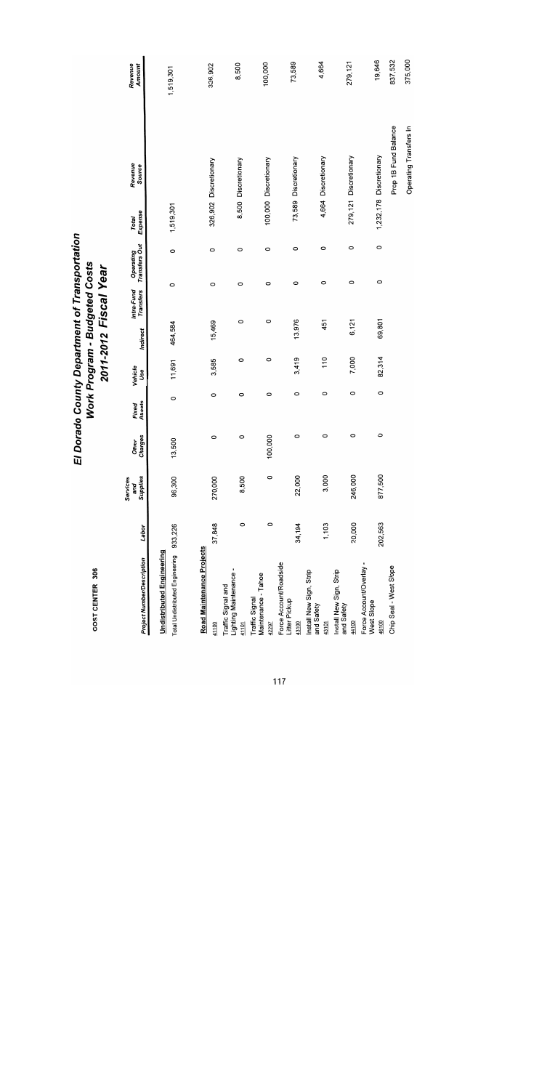| COST CENTER 306                                                     |         |                             | 可                |                 |                | Work Program - Budgeted Costs<br>2011-2012 Fiscal Year |                         | Dorado County Department of Transportation |                  |                         |                   |
|---------------------------------------------------------------------|---------|-----------------------------|------------------|-----------------|----------------|--------------------------------------------------------|-------------------------|--------------------------------------------|------------------|-------------------------|-------------------|
| <b>Project Number/Description</b>                                   | Labor   | Supplies<br>Services<br>and | Other<br>Charges | Fixed<br>Assets | Venicle<br>Use | Indirect                                               | Intra-Fund<br>Transfers | Operating<br>Transfers Out                 | Expense<br>Total | Revenue<br>Source       | Revenue<br>Amount |
| <b>Undistributed Engineering</b><br>Total Undistributed Engineering | 933,226 | 96,300                      | 500<br>5,        | 0               | 11,691         | 464,584                                                | 0                       | 0                                          | 1,519,301        |                         | 1,519,301         |
| Road Maintenance Projects<br>41100                                  | 37,848  | 270,000                     | 0                | $\circ$         | 3,585          | 15,469                                                 | 0                       | $\circ$                                    |                  | 326,902 Discretionary   | 326,902           |
| Lighting Maintenance -<br>Traffic Signal and<br>41101               | $\circ$ | 8,500                       | 0                | 0               | $\circ$        | $\circ$                                                | 0                       | O                                          |                  | 8,500 Discretionary     | 8,500             |
| Maintenance - Tahoe<br>Traffic Signal<br>42297                      | 0       | 0                           | 100,000          | $\circ$         | 0              | $\circ$                                                | $\circ$                 | 0                                          |                  | 100,000 Discretionary   | 100,000           |
| Force Account/Roadside<br>Litter Pickup<br>43100                    | 34,194  | 22,000                      | 0                | 0               | 3,419          | 13,976                                                 |                         | O<br>$\circ$                               |                  | 73,589 Discretionary    | 73,589            |
| Install New Sign, Strip<br>and Safety<br>43101                      | 1,103   | 3,000                       | 0                | 0               | 110            | 451                                                    |                         | $\circ$<br>$\circ$                         |                  | 4,664 Discretionary     | 4,664             |
| Install New Sign, Strip<br>and Safety<br>44100                      | 20,000  | 246,000                     | 0                | 0               | 7,000          | 6,121                                                  |                         | $\circ$<br>0                               |                  | 279,121 Discretionary   | 279, 121          |
| Force Account/Overlay -<br>West Slope<br>46100                      | 202,563 | 877,500                     | $\circ$          | 0               | 82,314         | 69,801                                                 |                         | $\circ$<br>0                               |                  | 1,232,178 Discretionary | 19,646            |
| Chip Seal - West Slope                                              |         |                             |                  |                 |                |                                                        |                         |                                            |                  | Prop 1B Fund Balance    | 837,532           |
|                                                                     |         |                             |                  |                 |                |                                                        |                         |                                            |                  | Operating Transfers In  | 375,000           |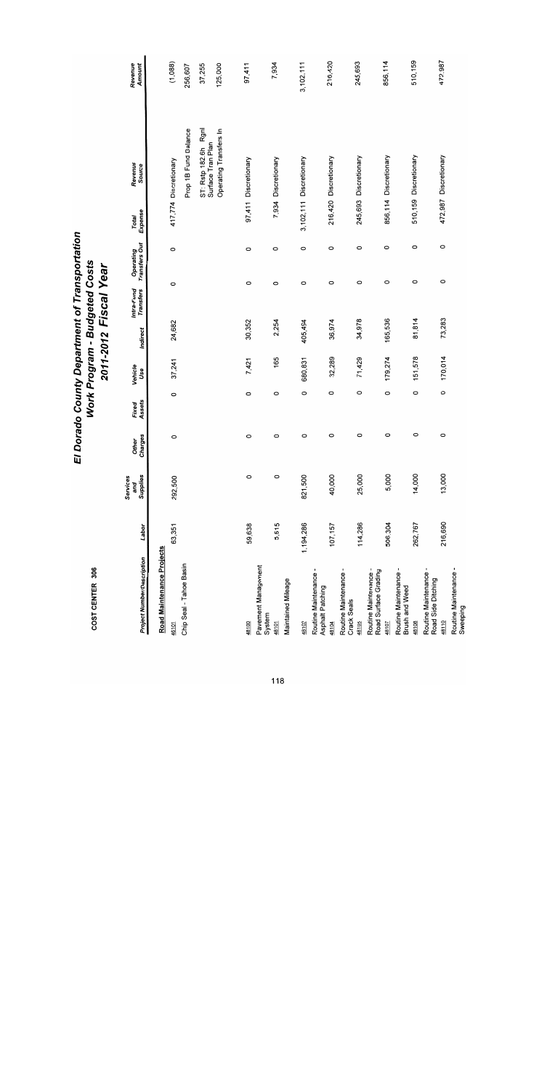| <b>Project Number/Description</b>              | Labor     | Supplies<br>Services<br>and | Charges<br><b>Other</b> | Assets<br>Fixed | Vehicle<br>Use | Indirect | Intra-Fund<br><b>Transfers</b> | Operating<br>Transfers Out | Expense<br>Total | Revenue<br>Source                            | Revenue<br>Amount |
|------------------------------------------------|-----------|-----------------------------|-------------------------|-----------------|----------------|----------|--------------------------------|----------------------------|------------------|----------------------------------------------|-------------------|
| Road Maintenance Projects                      |           |                             |                         |                 |                |          |                                |                            |                  |                                              |                   |
| 46101                                          | 63,351    | 292,500                     | 0                       | $\circ$         | 37,241         | 24,682   | $\circ$                        | $\circ$                    |                  | 417,774 Discretionary                        | (1,088)           |
| Chip Seal - Tahoe Basin                        |           |                             |                         |                 |                |          |                                |                            |                  | Prop 1B Fund Balance                         | 256,607           |
|                                                |           |                             |                         |                 |                |          |                                |                            |                  | Rgnl<br>Surface Tran Plan<br>ST: Rstp 182.6h | 37,255            |
|                                                |           |                             |                         |                 |                |          |                                |                            |                  | Operating Transfers In                       | 125,000           |
| 48100                                          | 59,638    | $\circ$                     | 0                       | $\circ$         | 7,421          | 30,352   | 0                              | $\circ$                    |                  | 97,411 Discretionary                         | 97,411            |
| Pavement Management<br>System                  |           |                             |                         |                 |                |          |                                |                            |                  |                                              |                   |
| 48101                                          | 5,515     | $\circ$                     | 0                       | 0               | 165            | 2,254    | O                              | $\circ$                    |                  | 7,934 Discretionary                          | 7,934             |
| Maintained Mileage                             |           |                             |                         |                 |                |          |                                |                            |                  |                                              |                   |
| 48102                                          | 1,194,286 | 821,500                     | 0                       | 0               | 680,831        | 405,494  | 0                              | $\circ$                    |                  | 3,102,111 Discretionary                      | 3,102,111         |
| Routine Maintenance -<br>Asphalt Patching      |           |                             |                         |                 |                |          |                                |                            |                  |                                              |                   |
| 48104                                          | 107,157   | 40,000                      | 0                       | 0               | 32,289         | 36,974   | $\circ$                        | $\circ$                    |                  | 216,420 Discretionary                        | 216,420           |
| Routine Maintenance -<br>Crack Seals           |           |                             |                         |                 |                |          |                                |                            |                  |                                              |                   |
| 48105                                          | 114,286   | 25,000                      | 0                       | 0               | 71,429         | 34,978   | 0                              | $\circ$                    |                  | 245,693 Discretionary                        | 245,693           |
| Routine Maintenance -<br>Road Surface Grading  |           |                             |                         |                 |                |          |                                |                            |                  |                                              |                   |
| 48107                                          | 506,304   | 5,000                       | O                       | 0               | 179,274        | 165,536  | 0                              | 0                          |                  | 856,114 Discretionary                        | 856,114           |
| Routine Maintenance -<br><b>Brush and Weed</b> |           |                             |                         |                 |                |          |                                |                            |                  |                                              |                   |
| 48108                                          | 262,767   | 14,000                      | $\circ$                 | $\circ$         | 151,578        | 81,814   | 0                              | 0                          | 510,159          | Discretionary                                | 510,159           |
| Routine Maintenance -<br>Road Side Ditching    |           |                             |                         |                 |                |          |                                |                            |                  |                                              |                   |
| 48110                                          | 216,690   | 13,000                      | 0                       | $\circ$         | 170,014        | 73,283   | $\circ$                        | 0                          |                  | 472,987 Discretionary                        | 472,987           |
| Routine Maintenance -<br>Sweeping              |           |                             |                         |                 |                |          |                                |                            |                  |                                              |                   |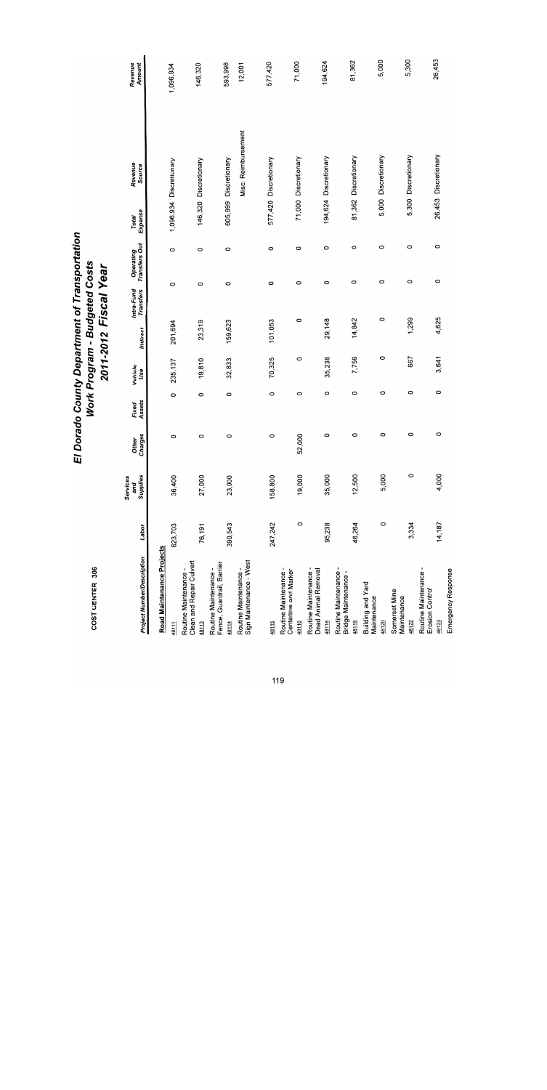| <b>Project Number/Description</b>                           | Labor   | Supplies<br>Services<br>and | Charges<br><b>Other</b> | Assets<br>Fixed | Vehicle<br>Use | Indirect | Intra-Fund<br><b>Transfers</b> | Operating<br>Transfers Out | Expense<br><b>Total</b> | Revenue<br>Source       | Revenue<br>Amount |
|-------------------------------------------------------------|---------|-----------------------------|-------------------------|-----------------|----------------|----------|--------------------------------|----------------------------|-------------------------|-------------------------|-------------------|
| Road Maintenance Projects                                   |         |                             |                         |                 |                |          |                                |                            |                         |                         |                   |
| 48111                                                       | 623,703 | 36,400                      | 0                       | 0               | 235, 137       | 201,694  | O                              | $\circ$                    |                         | 1,096,934 Discretionary | 1,096,934         |
| Clean and Repair Culvert<br>Routine Maintenance -           |         |                             |                         |                 |                |          |                                |                            |                         |                         |                   |
| 48113                                                       | 76,191  | 27,000                      | 0                       | $\circ$         | 19,810         | 23,319   | $\circ$                        | $\circ$                    |                         | 146,320 Discretionary   | 146,320           |
| Fence, Guardrail, Barrier<br>Routine Maintenance -<br>48114 | 390,543 | 23,000                      | 0                       | 0               | 32,833         | 159,623  | 0                              | $\circ$                    |                         | 605,999 Discretionary   | 593,998           |
| Sign Maintenance - West<br>Routine Maintenance -            |         |                             |                         |                 |                |          |                                |                            |                         | Misc: Reimbursement     | 12,001            |
|                                                             |         |                             |                         |                 |                |          |                                |                            |                         |                         | 577,420           |
| 48115                                                       | 247,242 | 158,800                     | 0                       | 0               | 70,325         | 101,053  | $\circ$                        | 0                          |                         | 577,420 Discretionary   |                   |
| Routine Maintenance -<br>Centerline and Marker              |         |                             |                         |                 |                |          |                                |                            |                         |                         |                   |
| 48116                                                       | $\circ$ | 19,000                      | 52,000                  | $\circ$         | 0              | 0        | O                              | $\circ$                    |                         | 71,000 Discretionary    | 71,000            |
| Routine Maintenance -<br>Dead Animal Removal                |         |                             |                         |                 |                |          |                                |                            |                         |                         |                   |
| 48118                                                       | 95,238  | 35,000                      | 0                       | 0               | 35,238         | 29,148   |                                | O<br>O                     |                         | 194,624 Discretionary   | 194,624           |
| Routine Maintenance<br>Bridge Maintenance -                 |         |                             |                         |                 |                |          |                                |                            |                         |                         |                   |
| 48119                                                       | 46,264  | 12,500                      | 0                       | 0               | 7,756          | 14,842   |                                | O<br>$\circ$               |                         | 81,362 Discretionary    | 81,362            |
| Building and Yard<br>Maintenance                            |         |                             |                         |                 |                |          |                                |                            |                         |                         |                   |
| 48120                                                       | 0       | 5,000                       | $\circ$                 | 0               | 0              | 0        |                                | $\circ$<br>$\circ$         |                         | 5,000 Discretionary     | 5,000             |
| Somerset Mine<br>Maintenance                                |         |                             |                         |                 |                |          |                                |                            |                         |                         |                   |
| 48122                                                       | 3,334   | 0                           | 0                       | O               | 667            | 1,299    |                                | $\circ$<br>$\circ$         |                         | 5,300 Discretionary     | 5,300             |
| Routine Maintenance -<br>Erosion Control                    |         |                             |                         |                 |                |          |                                |                            |                         |                         |                   |
| 48123                                                       | 14,187  | 4,000                       | 0                       | 0               | 3,641          | 4,625    |                                | O<br>$\circ$               |                         | 26,453 Discretionary    | 26,453            |
| Emergency Response                                          |         |                             |                         |                 |                |          |                                |                            |                         |                         |                   |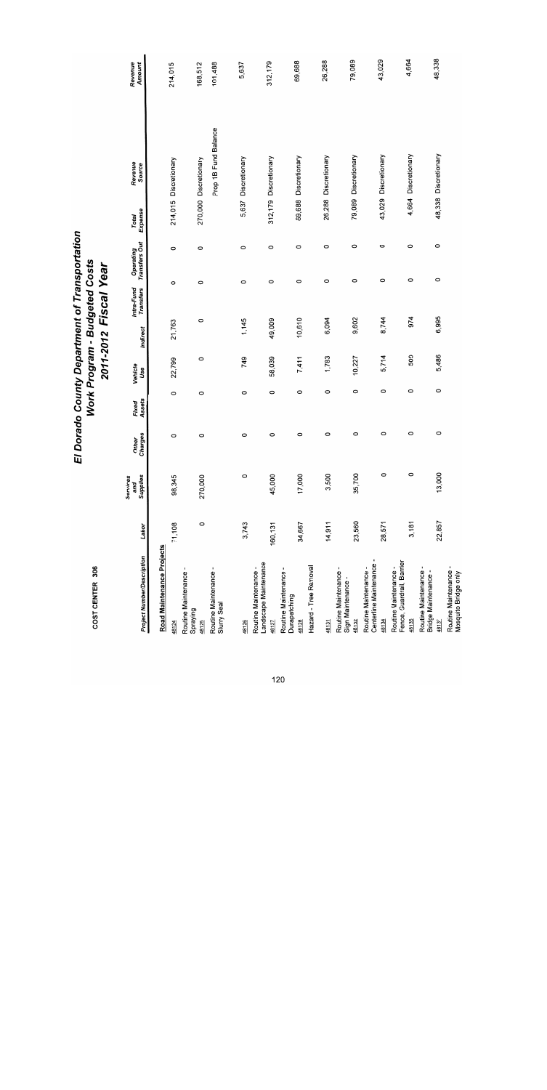| <b>Project Number/Description</b>                           | Labor   | Supplies<br>Services<br>and | Charges<br><b>Other</b> | Assets<br>Fixed | Vehicle<br>Use | Indirect | Intra-Fund<br>Transfers | Transfers Out<br>Operating | Expense<br>Total | Revenue<br>Source     | Revenue<br>Amount |
|-------------------------------------------------------------|---------|-----------------------------|-------------------------|-----------------|----------------|----------|-------------------------|----------------------------|------------------|-----------------------|-------------------|
| Road Maintenance Projects                                   |         |                             |                         |                 |                |          |                         |                            |                  |                       |                   |
| 48124                                                       | 71,108  | 98,345                      | 0                       | 0               | 22,799         | 21,763   | $\circ$                 | $\circ$                    |                  | 214,015 Discretionary | 214,015           |
| Routine Maintenance -<br>Spraying<br>48125                  | $\circ$ | 270,000                     | $\circ$                 | 0               | 0              | 0        | $\circ$                 | 0                          |                  | 270,000 Discretionary | 168,512           |
| Routine Maintenance -<br>Slurry Seal                        |         |                             |                         |                 |                |          |                         |                            |                  | Prop 1B Fund Balance  | 101,488           |
| 48126                                                       | 3,743   | 0                           | O                       | $\circ$         | 749            | 1,145    | $\circ$                 | $\circ$                    | 5,637            | Discretionary         | 5,637             |
| Landscape Maintenance<br>Routine Maintenance -<br>48127     | 160,131 | 45,000                      | 0                       | 0               | 58,039         | 49,009   | 0                       | $\circ$                    | 312,179          | Discretionary         | 312,179           |
| ٠<br>Routine Maintenance<br>Durapatching<br>48128           | 34,667  | 17,000                      | 0                       | 0               | 7,411          | 10,610   | O                       | O                          | 69,688           | Discretionary         | 69,688            |
| Hazard - Tree Removal                                       |         |                             |                         |                 |                |          |                         |                            |                  |                       |                   |
| 48131                                                       | 14,911  | 3,500                       | 0                       | 0               | 1,783          | 6,094    | O                       | O                          | 26,288           | Discretionary         | 26,288            |
| Routine Maintenance -<br>Sign Maintenance<br>48132          | 23,560  | 35,700                      | 0                       | 0               | 10,227         | 9,602    |                         | O<br>0                     | 79,089           | Discretionary         | 79,089            |
| Centerline Maintenance<br>Routine Maintenance -<br>48134    | 28,571  | $\circ$                     | 0                       | $\circ$         | 5,714          | 8,744    |                         | 0<br>0                     |                  | 43,029 Discretionary  | 43,029            |
| Fence, Guardrail, Barrier<br>Routine Maintenance -<br>48135 | 3,181   | $\circ$                     | 0                       | 0               | 509            | 974      |                         | $\circ$<br>0               |                  | 4,664 Discretionary   | 4,664             |
| Routine Maintenance<br>Bridge Maintenance -<br>48137        | 22,857  | 13,000                      | 0                       | 0               | 5,486          | 6,995    |                         | 0<br>O                     |                  | 48,338 Discretionary  | 48,338            |
| Routine Maintenance -<br>Mosquito Bridge only               |         |                             |                         |                 |                |          |                         |                            |                  |                       |                   |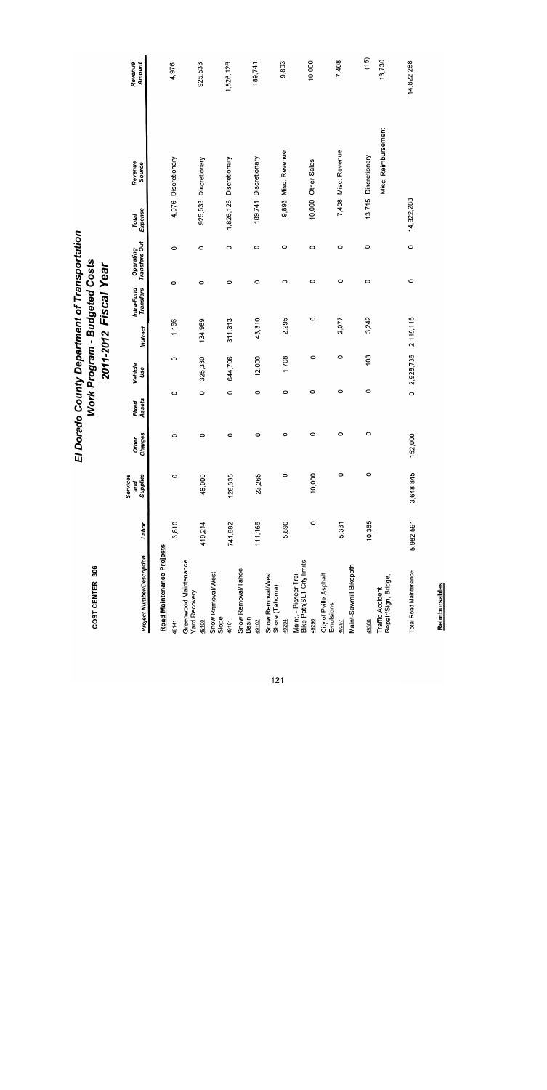# El Dorado County Department of Transportation<br>Work Program - Budgeted Costs<br>2011-2012 Fiscal Year

| <b>Project Number/Description</b>                   | Labor     | Supplies<br>Services<br>and | Charges<br><b>Other</b> | Assets<br>Fixed | Vehicle<br>Use | <b>Indirect</b> | Intra-Fund<br>Transfers | Transfers Out<br>Operating | Expense<br>Total | Revenue<br>Source       | Revenue<br>Amount |
|-----------------------------------------------------|-----------|-----------------------------|-------------------------|-----------------|----------------|-----------------|-------------------------|----------------------------|------------------|-------------------------|-------------------|
| Road Maintenance Projects                           |           |                             |                         |                 |                |                 |                         |                            |                  |                         |                   |
| 48141                                               | 3,810     | $\circ$                     | 0                       | 0               | 0              | 1,166           | 0                       | 0                          |                  | 4,976 Discretionary     | 4,976             |
| Greenwood Maintenance<br>Yard Recovery              |           |                             |                         |                 |                |                 |                         |                            |                  |                         |                   |
| 49100                                               | 419,214   | 46,000                      | 0                       | 0               | 325,330        | 134,989         | 0                       | 0                          |                  | 925,533 Discretionary   | 925,533           |
| Snow Removal/West<br>Slope                          |           |                             |                         |                 |                |                 |                         |                            |                  |                         |                   |
| 49101                                               | 741,682   | 128,335                     | 0                       | $\circ$         | 644,796        | 311,313         | 0                       | $\circ$                    |                  | 1,826,126 Discretionary | 1,826,126         |
| Snow Removal/Tahoe<br>Basin                         |           |                             |                         |                 |                |                 |                         |                            |                  |                         |                   |
| 49102                                               | 111,166   | 23,265                      | $\circ$                 | 0               | 12,000         | 43,310          | $\circ$                 | $\circ$                    |                  | 189,741 Discretionary   | 189,741           |
| Snow Removal/West<br>Shore (Tahoma)                 |           |                             |                         |                 |                |                 |                         |                            |                  |                         |                   |
| 49294                                               | 5,890     | $\circ$                     | 0                       | 0               | 1,708          | 2,295           | O                       | 0                          |                  | 9,893 Misc: Revenue     | 9,893             |
| Bike Path(SLT City limits<br>Maint. - Pioneer Trail |           |                             |                         |                 |                |                 |                         |                            |                  |                         |                   |
| 49296                                               | 0         | 10,000                      | 0                       | 0               | $\circ$        | 0               | 0                       | 0                          |                  | 10,000 Other Sales      | 10,000            |
| City of Pville Asphalt<br>Emulsions                 |           |                             |                         |                 |                |                 |                         |                            |                  |                         |                   |
| 49297                                               | 5,331     | $\circ$                     | $\circ$                 | 0               | $\circ$        | 2,077           | 0                       | $\circ$                    |                  | 7,408 Misc: Revenue     | 7,408             |
| Maint-Sawmill Bikepath                              |           |                             |                         |                 |                |                 |                         |                            |                  |                         |                   |
| 49300                                               | 10,365    | $\circ$                     | $\circ$                 | 0               | $\frac{8}{2}$  | 3,242           | $\circ$                 | 0                          |                  | 13,715 Discretionary    | (15)              |
| Repair/Sign, Bridge,<br><b>Traffic Accident</b>     |           |                             |                         |                 |                |                 |                         |                            |                  | Misc: Reimbursement     | 13,730            |
| <b>Total Road Maintenance</b>                       | 5,982,591 | 3,648,845                   | 152,000                 | $\circ$         | 2,928,736      | 2,110,116       |                         | 0<br>0                     | 14,822,288       |                         | 14,822,288        |

Reimbursables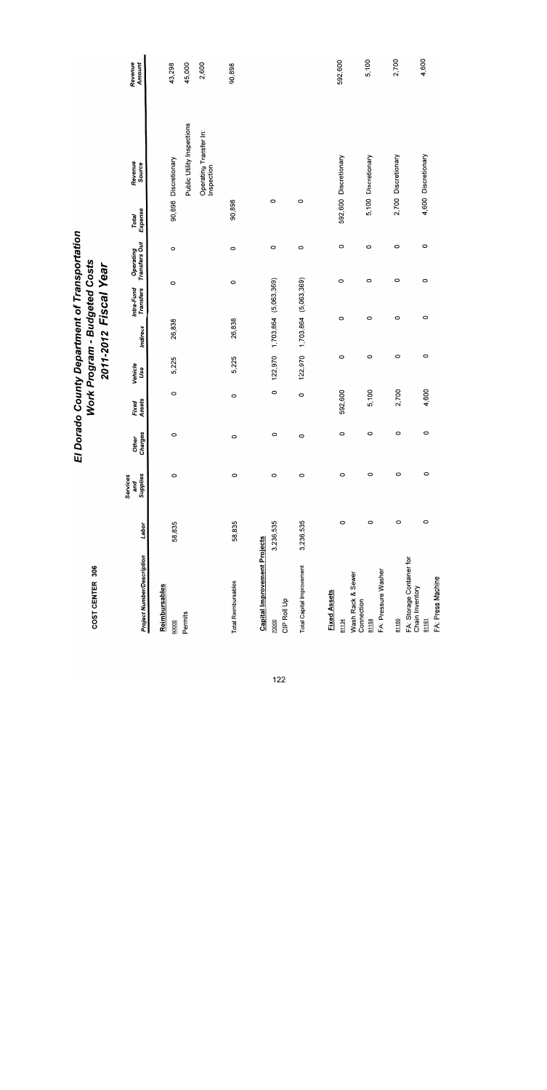| El Dorado County Department of Transportation | Work Program - Budgeted Costs | 2011-2012 Fiscal Year |
|-----------------------------------------------|-------------------------------|-----------------------|
|-----------------------------------------------|-------------------------------|-----------------------|

| COST CENTER 306                                       |           |                             |                         |                 |                |          | Work Program - Budgeted Costs<br>2011-2012 Fiscal Year |                            |                  |                                                                    |                   |
|-------------------------------------------------------|-----------|-----------------------------|-------------------------|-----------------|----------------|----------|--------------------------------------------------------|----------------------------|------------------|--------------------------------------------------------------------|-------------------|
| <b>Project Number/Description</b>                     | Labor     | Supplies<br>Services<br>and | Charges<br><b>Other</b> | Assets<br>Fixed | Vehicle<br>Use | Indirect | Intra-Fund<br>Transfers                                | Operating<br>Transfers Out | Expense<br>Total | Revenue<br>Source                                                  | Revenue<br>Amount |
| Reimbursables                                         |           |                             |                         |                 |                |          |                                                        |                            |                  |                                                                    | 43,298            |
| Permits<br>60000                                      | 58,835    | $\circ$                     | $\circ$                 | $\circ$         | 5,225          | 26,838   | $\circ$                                                | $\circ$                    |                  | 90,898 Discretionary                                               | 45,000            |
|                                                       |           |                             |                         |                 |                |          |                                                        |                            |                  | Public Utility Inspections<br>Operating Transfer In:<br>Inspection | 2,600             |
| <b>Total Reimbursables</b>                            | 58,835    | $\circ$                     | $\circ$                 | $\circ$         | 5,225          | 26,838   | 0                                                      | $\circ$                    | 90,898           |                                                                    | 90,898            |
| <b>Capital Improvement Projects</b>                   |           |                             |                         |                 |                |          |                                                        |                            |                  |                                                                    |                   |
| CIP Roll Up<br>70000                                  | 3,236,535 | $\circ$                     | $\circ$                 | $\circ$         | 122,970        |          | 1,703,864 (5,063,369)                                  | $\circ$                    | 0                |                                                                    |                   |
| Total Capital Improvement                             | 3,236,535 | $\circ$                     | $\circ$                 | $\circ$         | 122,970        |          | 1,703,864 (5,063,369)                                  | 0                          | $\circ$          |                                                                    |                   |
| <b>Fixed Assets</b>                                   |           |                             |                         |                 |                |          |                                                        |                            |                  |                                                                    |                   |
| 81134                                                 | $\circ$   | $\circ$                     | $\circ$                 | 592,600         | 0              | $\circ$  |                                                        | $\circ$<br>$\circ$         |                  | 592,600 Discretionary                                              | 592,600           |
| Wash Rack & Sewer<br>Connection<br>81159              | $\circ$   | $\circ$                     | 0                       | 5,100           | $\circ$        | $\circ$  |                                                        | 0<br>0                     |                  | 5,100 Discretionary                                                | 5,100             |
| FA: Pressure Washer                                   |           |                             |                         |                 |                |          |                                                        |                            |                  |                                                                    |                   |
| 81160                                                 | $\circ$   | 0                           | $\circ$                 | 2,700           | $\circ$        | $\circ$  |                                                        | $\circ$<br>0               |                  | 2,700 Discretionary                                                | 2,700             |
| FA: Storage Container for<br>Chain Inventory<br>81161 | $\circ$   | $\circ$                     | $\circ$                 | 4,600           | $\circ$        | $\circ$  |                                                        | $\circ$<br>$\circ$         |                  | 4,600 Discretionary                                                | 4,600             |
| FA: Press Machine                                     |           |                             |                         |                 |                |          |                                                        |                            |                  |                                                                    |                   |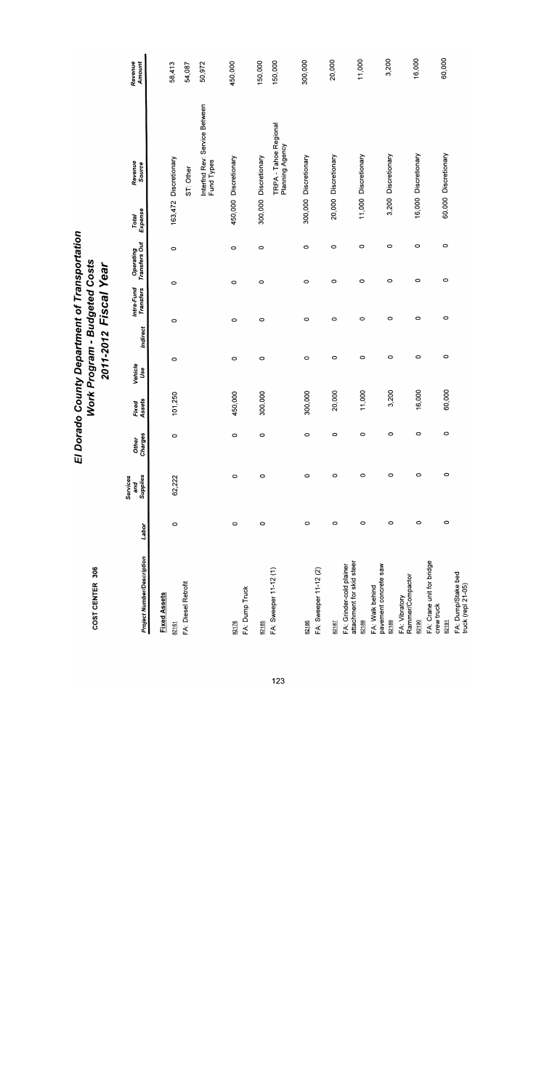| <b>Project Number/Description</b>                              | Labor   | Supplies<br>Services<br>and | Charges<br><b>Other</b> | Assets<br>Fixed | Vehicle<br>Use | Indirect | Intra-Fund<br>Transfers | Operating<br>Transfers Out | Expense<br>Total | Revenue<br>Source                           | Revenue<br>Amount |
|----------------------------------------------------------------|---------|-----------------------------|-------------------------|-----------------|----------------|----------|-------------------------|----------------------------|------------------|---------------------------------------------|-------------------|
| <b>Fixed Assets</b>                                            |         |                             |                         |                 |                |          |                         |                            |                  |                                             |                   |
| 82161                                                          | $\circ$ | 62,222                      | $\circ$                 | 101,250         | $\circ$        | 0        | $\circ$                 | $\circ$                    |                  | 163,472 Discretionary                       | 58,413            |
| FA: Diesel Retrofit                                            |         |                             |                         |                 |                |          |                         |                            |                  | ST: Other                                   | 54,087            |
|                                                                |         |                             |                         |                 |                |          |                         |                            |                  | Interfnd Rev: Service Between<br>Fund Types | 50,972            |
| FA: Dump Truck<br>82176                                        | $\circ$ | 0                           | 0                       | 450,000         | $\circ$        | $\circ$  |                         | $\circ$<br>$\circ$         |                  | 450,000 Discretionary                       | 450,000           |
| 82185                                                          | $\circ$ | $\circ$                     | 0                       | 300,000         | 0              | $\circ$  |                         | $\circ$<br>$\circ$         |                  | 300,000 Discretionary                       | 150,000           |
| FA: Sweeper 11-12 (1)                                          |         |                             |                         |                 |                |          |                         |                            |                  | TRPA - Tahoe Regional<br>Planning Agency    | 150,000           |
| 82186                                                          | $\circ$ | 0                           | $\circ$                 | 300,000         | 0              | $\circ$  |                         | $\circ$<br>$\circ$         |                  | 300,000 Discretionary                       | 300,000           |
| FA: Sweeper 11-12 (2)                                          |         |                             |                         |                 |                |          |                         |                            |                  |                                             |                   |
| 82187                                                          | $\circ$ | 0                           | $\circ$                 | 20,000          | $\circ$        | $\circ$  |                         | $\circ$<br>0               |                  | 20,000 Discretionary                        | 20,000            |
| attachment for skid steen<br>FA: Grinder-cold plainer<br>82188 | $\circ$ | $\circ$                     | $\circ$                 | 11,000          | $\circ$        | 0        |                         | $\circ$<br>$\circ$         |                  | 11,000 Discretionary                        | 11,000            |
| pavement concrete saw<br>FA: Walk behind                       |         |                             |                         |                 |                |          |                         |                            |                  |                                             |                   |
| 82189                                                          | $\circ$ | 0                           | $\circ$                 | 3,200           | $\circ$        | $\circ$  |                         | 0<br>$\circ$               |                  | 3,200 Discretionary                         | 3,200             |
| Rammer/Compactor<br>FA: Vibratory<br>82190                     | $\circ$ | $\circ$                     | $\circ$                 | 16,000          | $\circ$        |          | 0                       | $\circ$<br>$\circ$         |                  | 16,000 Discretionary                        | 16,000            |
| FA: Crane unit for bridge<br>crew truck<br>82191               | $\circ$ | $\circ$                     | 0                       | 60,000          | $\circ$        |          | $\circ$                 | $\circ$<br>$\circ$         |                  | 60,000 Discretionary                        | 60,000            |
| FA: Dump/Stake bed<br>truck (repl 21-05)                       |         |                             |                         |                 |                |          |                         |                            |                  |                                             |                   |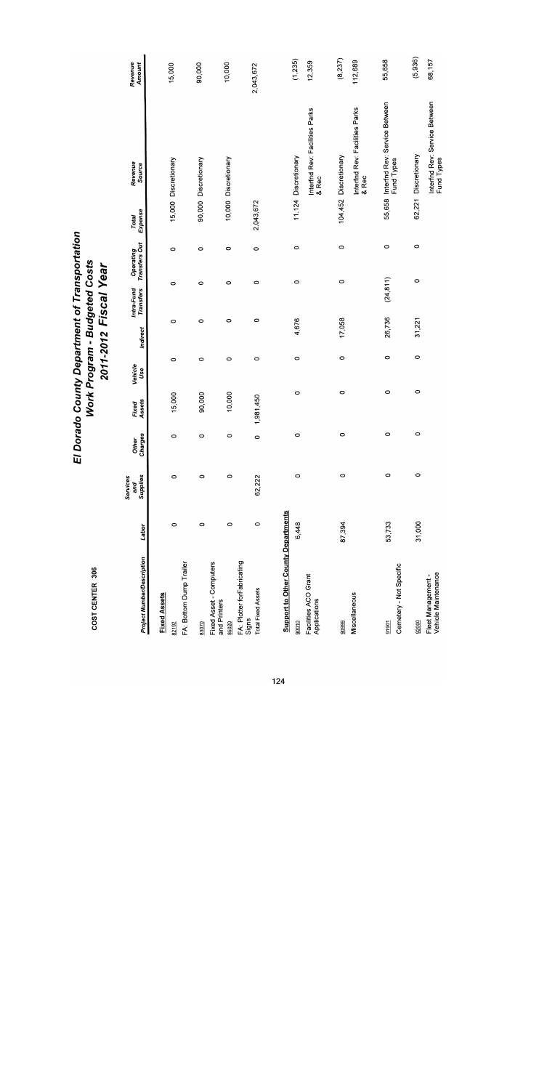| <b>Project Number/Description</b>          | Labor   | Supplies<br>Services<br>and | Charges<br><b>Other</b> | Assets<br>Fixed | Vehicle<br>Use | Indirect | Intra-Fund<br>Transfers | Operating<br>Transfers Out | Expense<br>Total | Revenue<br>Source                                  | Revenue<br>Amount |
|--------------------------------------------|---------|-----------------------------|-------------------------|-----------------|----------------|----------|-------------------------|----------------------------|------------------|----------------------------------------------------|-------------------|
| <b>Fixed Assets</b>                        |         |                             |                         |                 |                |          |                         |                            |                  |                                                    |                   |
| FA: Bottom Dump Trailer<br>82192           | $\circ$ | $\circ$                     | $\circ$                 | 15,000          | 0              | 0        | 0                       | $\circ$                    |                  | 15,000 Discretionary                               | 15,000            |
| 83070                                      | 0       | 0                           | 0                       | 90,000          | $\circ$        | $\circ$  | $\circ$                 | $\circ$                    |                  | 90,000 Discretionary                               | 90,000            |
| Fixed Asset - Computers<br>and Printers    |         |                             |                         |                 |                |          |                         | $\circ$                    |                  | 10,000 Discretionary                               | 10,000            |
| FA: Plotter forFabricating<br>85020        | $\circ$ | $\circ$                     | $\circ$                 | 10,000          | $\circ$        | $\circ$  | 0                       |                            |                  |                                                    |                   |
| <b>Total Fixed Assets</b><br>Signs         | $\circ$ | 62,222                      | $\circ$                 | 1,981,450       | $\circ$        | 0        | 0                       | $\circ$                    | 2,043,672        |                                                    | 2,043,672         |
| <b>Support to Other County Departments</b> |         |                             |                         |                 |                |          |                         |                            |                  |                                                    |                   |
| 90010                                      | 6,448   | $\circ$                     | $\circ$                 | $\circ$         | $\circ$        | 4,676    | 0                       | $\circ$                    |                  | 11,124 Discretionary                               | (1,235)           |
| Facilities ACO Grant<br>Applications       |         |                             |                         |                 |                |          |                         |                            |                  | Interfnd Rev: Facilities Parks<br>& Rec            | 12,359            |
| 90999                                      | 87,394  | 0                           | $\circ$                 | $\circ$         | 0              | 17,058   |                         | $\circ$<br>0               |                  | 104,452 Discretionary                              | (8,237)           |
| Miscellaneous                              |         |                             |                         |                 |                |          |                         |                            |                  | Interfnd Rev: Facilities Parks<br>& Rec            | 112,689           |
| Cemetery - Not Specific<br>91901           | 53,733  | $\circ$                     | $\circ$                 | $\circ$         | 0              | 26,736   | (24, 811)               | $\circ$                    |                  | 55,658 Interfnd Rev: Service Between<br>Fund Types | 55,658            |
| 92000                                      | 31,000  | $\circ$                     | 0                       | 0               | $\circ$        | 31,221   |                         | $\circ$<br>$\circ$         |                  | 62,221 Discretionary                               | (5,936)           |
| Vehicle Maintenance<br>Fleet Management -  |         |                             |                         |                 |                |          |                         |                            |                  | Interfnd Rev: Service Between<br>Fund Types        | 68,157            |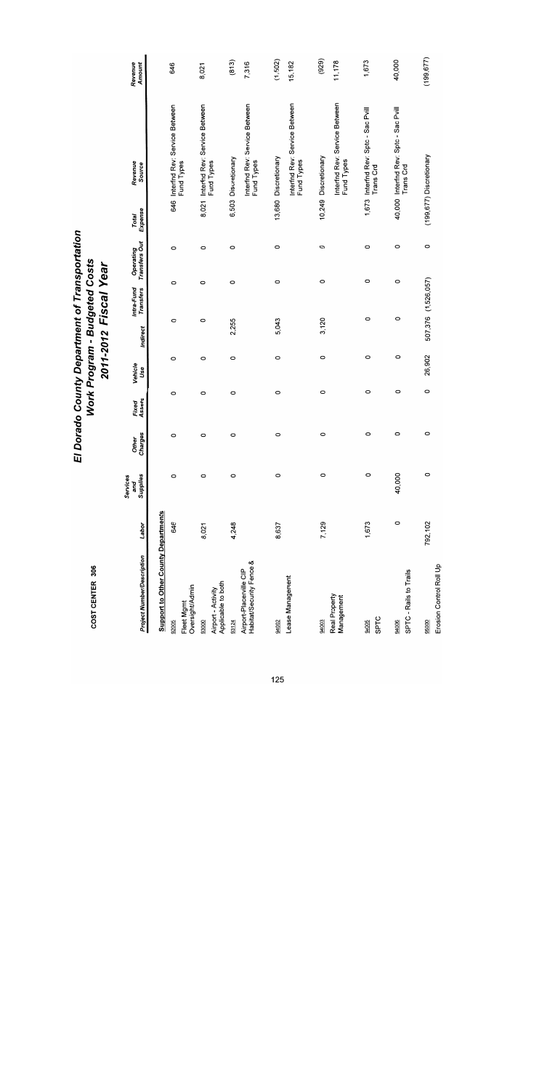| <b>Project Number/Description</b>                   | Labor   | Supplies<br>Services<br>and | Charges<br>Other | Assets<br>Fixed | Vehicle<br>Use | Indirect | Intra-Fund<br><b>Transfers</b> | Operating<br>Transfers Out | Expense<br>Total | Revenue<br>Source                                  | Revenue<br>Amount |
|-----------------------------------------------------|---------|-----------------------------|------------------|-----------------|----------------|----------|--------------------------------|----------------------------|------------------|----------------------------------------------------|-------------------|
| <b>Support to Other County Departments</b>          |         |                             |                  |                 |                |          |                                |                            |                  |                                                    |                   |
| Fleet Mgmt<br>92005                                 | 646     | $\circ$                     | 0                | 0               | $\circ$        | $\circ$  | $\circ$                        | O                          |                  | 646 Interfnd Rev: Service Between<br>Fund Types    | 646               |
| Oversight/Admin                                     |         |                             |                  |                 |                |          |                                |                            |                  |                                                    |                   |
| 93000                                               | 8,021   | $\circ$                     | 0                | 0               | $\circ$        | $\circ$  | 0                              | $\circ$                    | 8,021            | Interfnd Rev: Service Between<br>Fund Types        | 8,021             |
| Applicable to both<br>Airport - Activity            |         |                             |                  |                 |                |          |                                |                            |                  |                                                    |                   |
| 93124                                               | 4,248   | $\circ$                     | 0                | $\circ$         | $\circ$        | 2,255    | 0                              | 0                          |                  | 6,503 Discretionary                                | (813)             |
| Habitat/Security Fence &<br>Airport-Placerville CIP |         |                             |                  |                 |                |          |                                |                            |                  | Interfnd Rev: Service Between<br>Fund Types        | 7,316             |
| 94002                                               | 8,637   | $\circ$                     | $\circ$          | $\circ$         | O              | 5,043    | 0                              | $\circ$                    |                  | 13,680 Discretionary                               | (1,502)           |
| Lease Management                                    |         |                             |                  |                 |                |          |                                |                            |                  | Interfnd Rev: Service Between<br>Fund Types        | 15,182            |
| 94003                                               | 7,129   | 0                           | 0                | 0               | O              | 3,120    | $\circ$                        | O                          |                  | 10,249 Discretionary                               | (929)             |
| Real Property<br>Management                         |         |                             |                  |                 |                |          |                                |                            |                  | Interfnd Rev: Service Between<br>Fund Types        | 11,178            |
| SPTC<br>94005                                       | 1,673   | 0                           | 0                | 0               | $\circ$        | 0        | $\circ$                        | $\circ$                    |                  | 1,673 Interfnd Rev: Sptc - Sac Pvill<br>Trans Crd  | 1,673             |
| SPTC - Rails to Trails<br>94006                     | 0       | 40,000                      | 0                | 0               | 0              | $\circ$  | $\circ$                        | $\circ$                    |                  | 40,000 Interfnd Rev: Sptc - Sac Pvill<br>Trans Crd | 40,000            |
| Erosion Control Roll Up<br>95000                    | 792,102 | $\circ$                     | $\circ$          | $\circ$         | 26,902         |          | 507,376 (1,526,057)            | 0                          |                  | (199,677) Discretionary                            | (199, 677)        |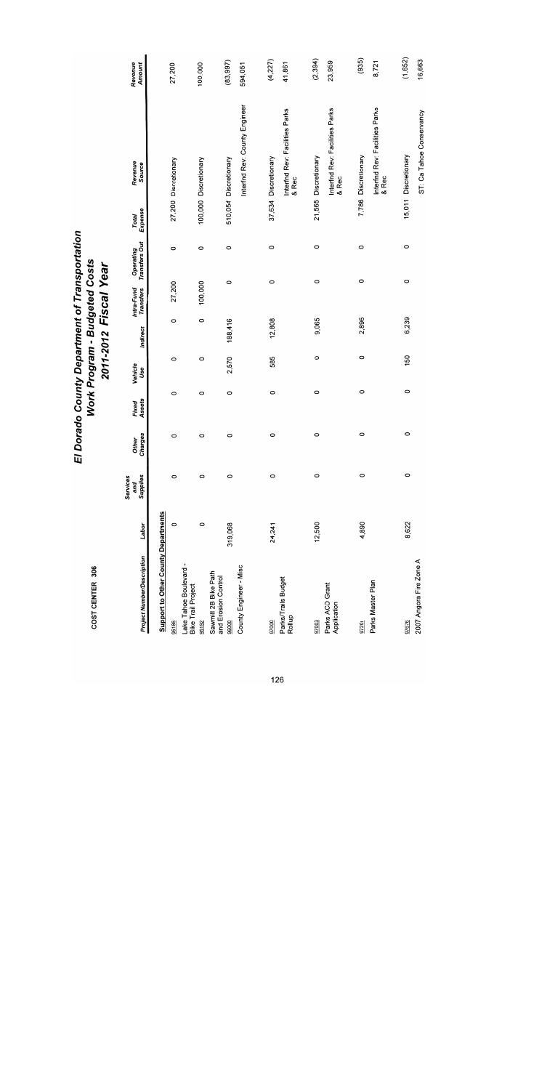| COST CENTER 306                                              |         |                             | EI               |                 |                | Work Program - Budgeted Costs<br>2011-2012 Fiscal Year |                                | Dorado County Department of Transportation |                  |                                                                         |                    |
|--------------------------------------------------------------|---------|-----------------------------|------------------|-----------------|----------------|--------------------------------------------------------|--------------------------------|--------------------------------------------|------------------|-------------------------------------------------------------------------|--------------------|
| <b>Project Number/Description</b>                            | Labor   | Supplies<br>Services<br>and | Charges<br>Other | Assets<br>Fixed | Vehicle<br>Use | Indirect                                               | Intra-Fund<br><b>Transfers</b> | <b>Transfers Out</b><br>Operating          | Expense<br>Total | Revenue<br>Source                                                       | Revenue<br>Amount  |
| <b>Support to Other County Departments</b><br>95186          | $\circ$ | $\circ$                     | $\circ$          | $\circ$         | O              | 0                                                      | 27,200                         | $\circ$                                    |                  | 27,200 Discretionary                                                    | 27,200             |
| Lake Tahoe Boulevard -<br><b>Bike Trail Project</b><br>95192 | $\circ$ | $\circ$                     | O                | O               | 0              | $\circ$                                                | 100,000                        | $\circ$                                    |                  | 100,000 Discretionary                                                   | 100,000            |
| Sawmill 2B Bike Path<br>and Erosion Control<br>96000         | 319,068 | $\circ$                     | 0                | 0               | 2,570          | 188,416                                                | 0                              | $\circ$                                    |                  | 510,054 Discretionary                                                   | (83, 997)          |
| County Engineer - Misc                                       |         |                             |                  |                 |                |                                                        |                                |                                            |                  | Interfnd Rev: County Engineer                                           | 594,051            |
| Parks/Trails Budget<br>Rollup<br>97000                       | 24,241  | $\circ$                     | O                | $\circ$         | 585            | 12,808                                                 | O                              | $\circ$                                    |                  | Interfnd Rev: Facilities Parks<br>37,634 Discretionary                  | (4,227)<br>41,861  |
| Parks ACO Grant<br>Application<br>97003                      | 12,500  | $\circ$                     | $\circ$          | $\circ$         | $\circ$        | 9,065                                                  | $\circ$                        | $\circ$                                    |                  | Interfnd Rev: Facilities Parks<br>21,565 Discretionary<br>& Rec         | (2, 394)<br>23,959 |
| Parks Master Plan<br>97201                                   | 4,890   | $\circ$                     | 0                | 0               | $\circ$        | 2,896                                                  | $\circ$                        | $\circ$                                    |                  | Interfnd Rev: Facilities Parks<br>7,786 Discretionary<br>& Rec<br>& Rec | (935)<br>8,721     |
| 2007 Angora Fire Zone A<br>97676                             | 8,622   | $\circ$                     | $\circ$          | $\circ$         | 150            | 6,239                                                  | $\circ$                        | $\circ$                                    |                  | ST: Ca Tahoe Conservancy<br>15,011 Discretionary                        | (1,652)<br>16,663  |

16,663

ST: Ca Tahoe Conservancy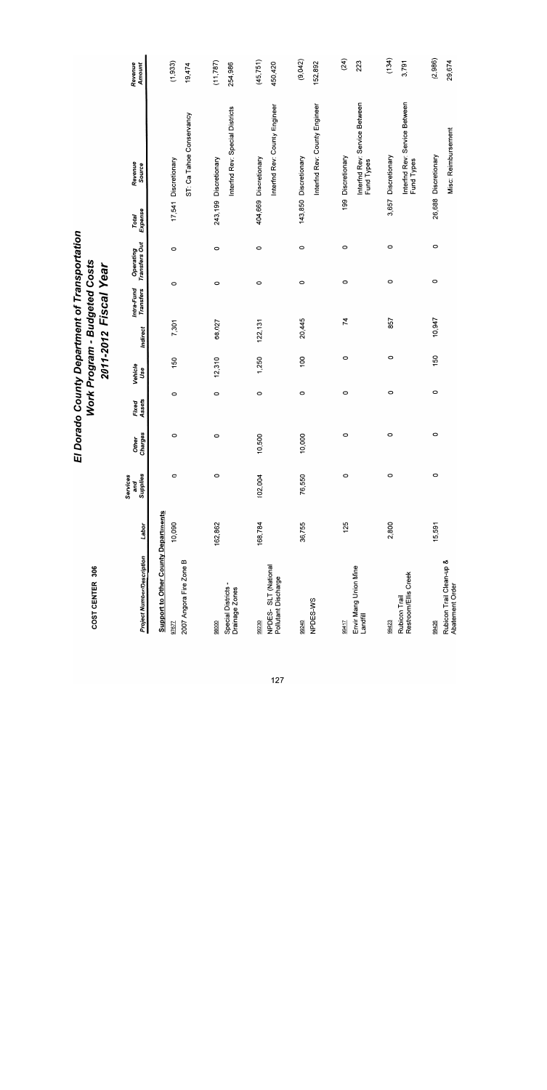| COST CENTER 306                                     |         |                             | EI                      |                 | Work Program - Budgeted Costs |          | 2011-2012 Fiscal Year   | Dorado County Department of Transportation |                  |                                             |                   |
|-----------------------------------------------------|---------|-----------------------------|-------------------------|-----------------|-------------------------------|----------|-------------------------|--------------------------------------------|------------------|---------------------------------------------|-------------------|
| <b>Project Number/Description</b>                   | Labor   | Supplies<br>Services<br>pue | Charges<br><b>Other</b> | Fixed<br>Assets | Vehicle<br>Use                | Indirect | Intra-Fund<br>Transfers | Operating<br>Transfers Out                 | Expense<br>Total | Revenue<br>Source                           | Revenue<br>Amount |
| <b>Support to Other County Departments</b><br>97677 | 10,090  | $\circ$                     | 0                       | O               | 150                           | 7,301    | $\circ$                 | $\circ$                                    |                  | 17,541 Discretionary                        | (1,933)           |
| 2007 Angora Fire Zone B                             |         |                             |                         |                 |                               |          |                         |                                            |                  | ST: Ca Tahoe Conservancy                    | 19,474            |
| 98000                                               | 162,862 | $\circ$                     | $\circ$                 | $\circ$         | 12,310                        | 68,027   | $\circ$                 | $\circ$                                    |                  | 243,199 Discretionary                       | (11, 787)         |
| Special Districts -<br>Drainage Zones               |         |                             |                         |                 |                               |          |                         |                                            |                  | Interfnd Rev: Special Districts             | 254,986           |
| 99230                                               | 168,784 | 102,004                     | 10,500                  | $\circ$         | 1,250                         | 122, 131 | $\circ$                 | O                                          |                  | 404,669 Discretionary                       | (45, 751)         |
| NPDES-SLT (National<br>Pollutant Discharge          |         |                             |                         |                 |                               |          |                         |                                            |                  | Interfnd Rev: County Engineer               | 450,420           |
| 99240                                               | 36,755  | 76,550                      | 10,000                  | $\circ$         | 100                           | 20,445   | $\circ$                 | $\circ$                                    |                  | 143,850 Discretionary                       | (9,042)           |
| NPDES-WS                                            |         |                             |                         |                 |                               |          |                         |                                            |                  | Interfnd Rev: County Engineer               | 152,892           |
| 99417                                               | 125     | $\circ$                     | $\circ$                 | $\circ$         | 0                             | 74       |                         | 0<br>O                                     |                  | 199 Discretionary                           | (24)              |
| Envir Mang Union Mine<br>Landfill                   |         |                             |                         |                 |                               |          |                         |                                            |                  | Interfnd Rev: Service Between<br>Fund Types | 223               |
| 99423                                               | 2,800   | $\circ$                     | $\circ$                 | 0               | 0                             | 857      |                         | $\circ$<br>0                               |                  | 3,657 Discretionary                         | (134)             |
| Restroom/Ellis Creek<br>Rubicon Trail               |         |                             |                         |                 |                               |          |                         |                                            |                  | Interfnd Rev: Service Between<br>Fund Types | 3,791             |
| 99426                                               | 15,591  | $\circ$                     | $\circ$                 | $\circ$         | 150                           | 10,947   |                         | $\circ$<br>$\circ$                         |                  | 26,688 Discretionary                        | (2,986)           |
| Rubicon Trail Clean-up &<br>Abatement Order         |         |                             |                         |                 |                               |          |                         |                                            |                  | Misc: Reimbursement                         | 29,674            |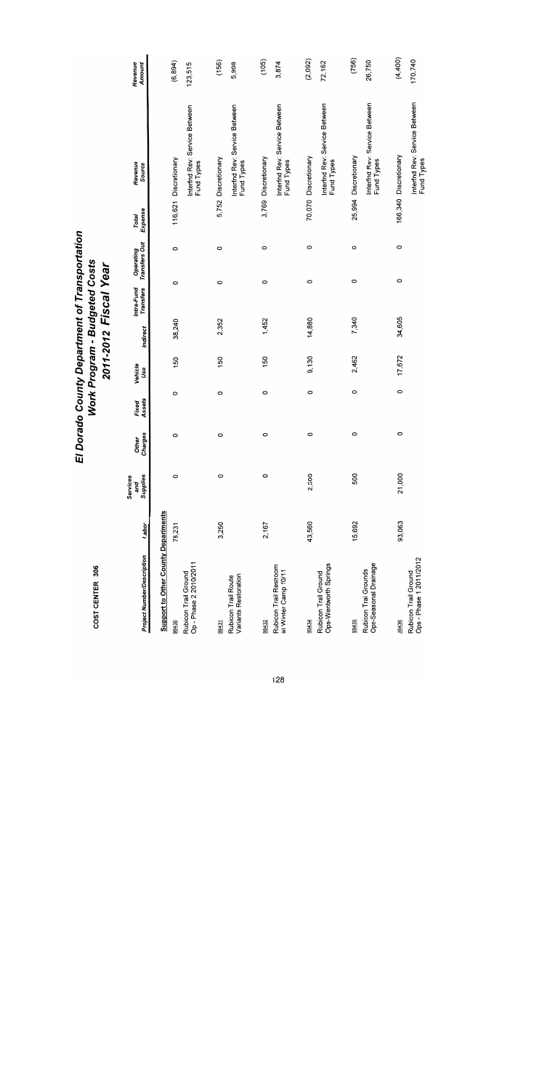| <b>Project Number/Description</b>               | Labor  | Supplies<br>Services<br>and | Other<br>Charges | Assets<br>Fixed | Vehicle<br>Use | Indirect | Intra-Fund<br>Transfers | Operating<br>Transfers Out | Expense<br>Total | Revenue<br>Source                           | Revenue<br>Amount |
|-------------------------------------------------|--------|-----------------------------|------------------|-----------------|----------------|----------|-------------------------|----------------------------|------------------|---------------------------------------------|-------------------|
| <b>Support to Other County Departments</b>      |        |                             |                  |                 |                |          |                         |                            |                  |                                             |                   |
| 99430                                           | 78,231 | 0                           | O                | $\circ$         | 150            | 38,240   | 0                       | $\circ$                    |                  | 116,621 Discretionary                       | (6, 894)          |
| Op - Phase 2 2010/2011<br>Rubicon Trail Ground  |        |                             |                  |                 |                |          |                         |                            |                  | Interfnd Rev: Service Between<br>Fund Types | 123,515           |
| 99431                                           | 3,250  | $\circ$                     | $\circ$          | $\circ$         | 150            | 2,352    |                         | 0<br>0                     | 5,752            | Discretionary                               | (156)             |
| Variants Restoration<br>Rubicon Trail Route     |        |                             |                  |                 |                |          |                         |                            |                  | Interfnd Rev: Service Between<br>Fund Types | 5,908             |
| 99432                                           | 2,167  | 0                           | 0                | O               | 150            | 1,452    |                         | O<br>$\circ$               |                  | 3,769 Discretionary                         | (105)             |
| Rubicon Trail Restroom<br>at Winter Camp 10/11  |        |                             |                  |                 |                |          |                         |                            |                  | Interfnd Rev: Service Between<br>Fund Types | 3,874             |
| 994.34                                          | 43,560 | 2,500                       | 0                | 0               | 9,130          | 14,880   |                         | $\circ$<br>O               |                  | 70,070 Discretionary                        | (2,092)           |
| Ops-Wentworth Springs<br>Rubicon Trail Ground   |        |                             |                  |                 |                |          |                         |                            |                  | Interfnd Rev: Service Between<br>Fund Types | 72,162            |
| 99435                                           | 15,692 | 500                         | 0                | $\circ$         | 2,462          | 7,340    |                         | O<br>0                     |                  | 25,994 Discretionary                        | (756)             |
| Ops-Seasonal Drainage<br>Rubicon Trai Grounds   |        |                             |                  |                 |                |          |                         |                            |                  | Interfnd Rev: Service Between<br>Fund Types | 26,750            |
| 99436                                           | 93,063 | 21,000                      | 0                | 0               | 17,672         | 34,605   |                         | 0<br>$\circ$               |                  | 166,340 Discretionary                       | (4,400)           |
| Ops - Phase 1 2011/2012<br>Rubicon Trail Ground |        |                             |                  |                 |                |          |                         |                            |                  | Interfnd Rev: Service Between<br>Fund Types | 170,740           |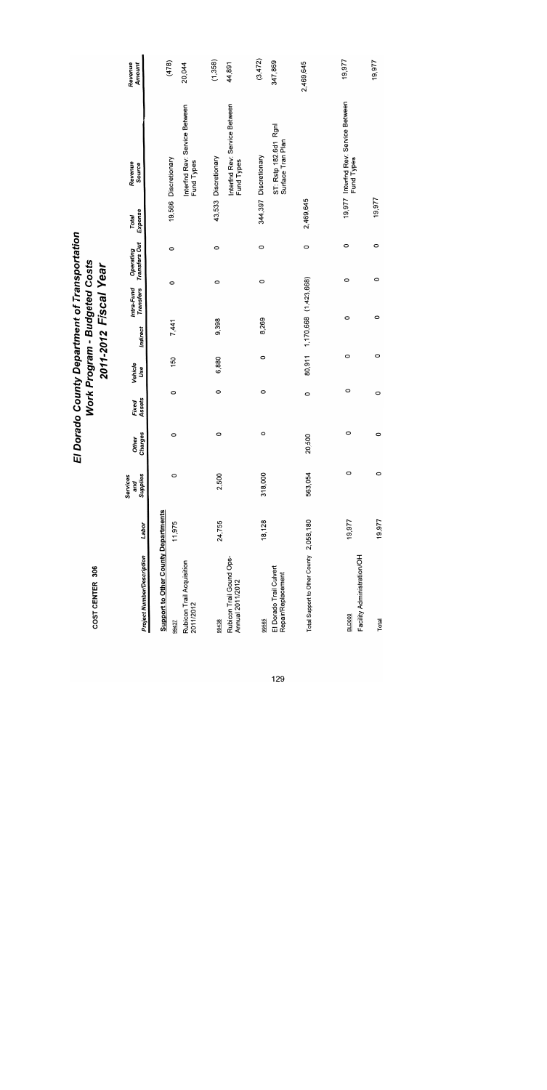| COST CENTER 306                                                                               |        | ū                           |                  |                 | Work Program - Budgeted Costs |          | 2011-2012 Fiscal Year        | Dorado County Department of Transportation |                  |                                                                     |                    |
|-----------------------------------------------------------------------------------------------|--------|-----------------------------|------------------|-----------------|-------------------------------|----------|------------------------------|--------------------------------------------|------------------|---------------------------------------------------------------------|--------------------|
| <b>Project Number/Description</b>                                                             | Labor  | Supplies<br>Services<br>and | Charges<br>Other | Assets<br>Fixed | Vehicle<br>Use                | Indirect | Transfers<br>Intra-Fund      | <b>Transfers Out</b><br>Operating          | Expense<br>Total | Revenue<br>Source                                                   | Revenue<br>Amount  |
| <b>Support to Other County Departments</b><br>Rubicon Trail Acquisition<br>2011/2012<br>99437 | 11,975 | $\circ$                     | 0                | O               | 150                           | 7,441    | 0                            | 0                                          |                  | Interfnd Rev: Service Between<br>19,566 Discretionary<br>Fund Types | (478)<br>20,044    |
| Rubicon Trail Gound Ops-<br>Annual 2011/2012<br>99438                                         | 24,755 | 2,500                       | 0                | $\circ$         | 6,880                         | 9,398    | $\circ$                      | 0                                          |                  | Interfnd Rev: Service Between<br>43,533 Discretionary<br>Fund Types | (1,358)<br>44,891  |
| El Dorado Trail Culvert<br>Repair/Replacement<br>99565                                        | 18,128 | 318,000                     | $\circ$          | 0               | 0                             | 8,269    | 0                            | $\circ$                                    |                  | ST: Rstp 182.6d1 Rgnl<br>Surface Tran Plan<br>344,397 Discretionary | (3,472)<br>347,869 |
| Total Support to Other County 2,058,180                                                       |        | 563,054                     | 20,500           | 0               |                               |          | 80,911 1,170,668 (1,423,668) | $\circ$                                    | 2,469,645        |                                                                     | 2,469,645          |
| Facility Administration/OH<br><b>BLD000</b>                                                   | 19,977 | $\circ$                     | 0                | 0               | $\circ$                       | 0        |                              | 0<br>0                                     |                  | 19,977 Interfnd Rev: Service Between<br>Fund Types                  | 19,977             |
| Total                                                                                         | 19,977 | $\circ$                     | $\circ$          | 0               | O                             | $\circ$  |                              | 0<br>0                                     | 19,977           |                                                                     | 19,977             |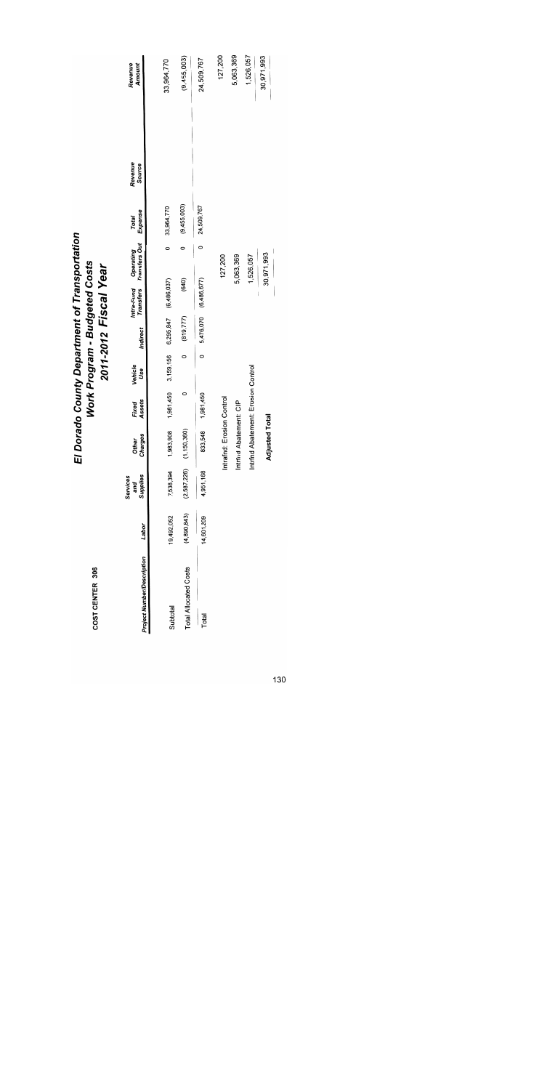| COST CENTER 306                          |             |                             | 可                         |                            | Work Program - Budgeted Costs | 2011-2012 Fiscal Year |                                   | Dorado County Department of Transportation |                  |                   |                   |
|------------------------------------------|-------------|-----------------------------|---------------------------|----------------------------|-------------------------------|-----------------------|-----------------------------------|--------------------------------------------|------------------|-------------------|-------------------|
| <b>Project Number/Description</b>        | Labor       | and<br>Supplies<br>Services | Other<br>Charges          | Assets<br>Fixed            | Vehicle<br>Use                | Indirect              | Intra-Fund Operating<br>Transfers | Transfers Out                              | Total<br>Expense | Revenue<br>Source | Revenue<br>Amount |
|                                          | 19,492,052  | 7,538,394                   | 1,983,908                 | 1,981,450                  | 3,159,156                     | 6,295,847             | (6,486,037)                       | c                                          | 33,964,770       |                   | 33,964,770        |
| <b>Total Allocated Costs</b><br>Subtotal | (4,890,843) | (2,587,226)                 | 50,360)<br>Ξ              | 0                          | 0                             | (819.777)             | (640)                             | 0                                          | (9,455,003)      |                   | (9,455,003)       |
| Total                                    | 14,601,209  | 4,951,168                   | 833,548                   | 1,981,450                  |                               | 5,476,070             | (6,486,677)                       | 0                                          | 24,509.767       |                   | 24,509,767        |
|                                          |             |                             | Intrafnd: Erosion Control |                            |                               |                       |                                   | 127,200                                    |                  |                   | 127,200           |
|                                          |             |                             | Abatement: CIP<br>Intrfnd |                            |                               |                       |                                   | 5,063,369                                  |                  |                   | 5,063,369         |
|                                          |             |                             | Intrfnd                   | Abatement: Erosion Control |                               |                       |                                   | 1,526,057                                  |                  |                   | 1,526,057         |
|                                          |             |                             | <b>Adjusted Total</b>     |                            |                               |                       |                                   | 30,971,993                                 |                  |                   | 30,971,993        |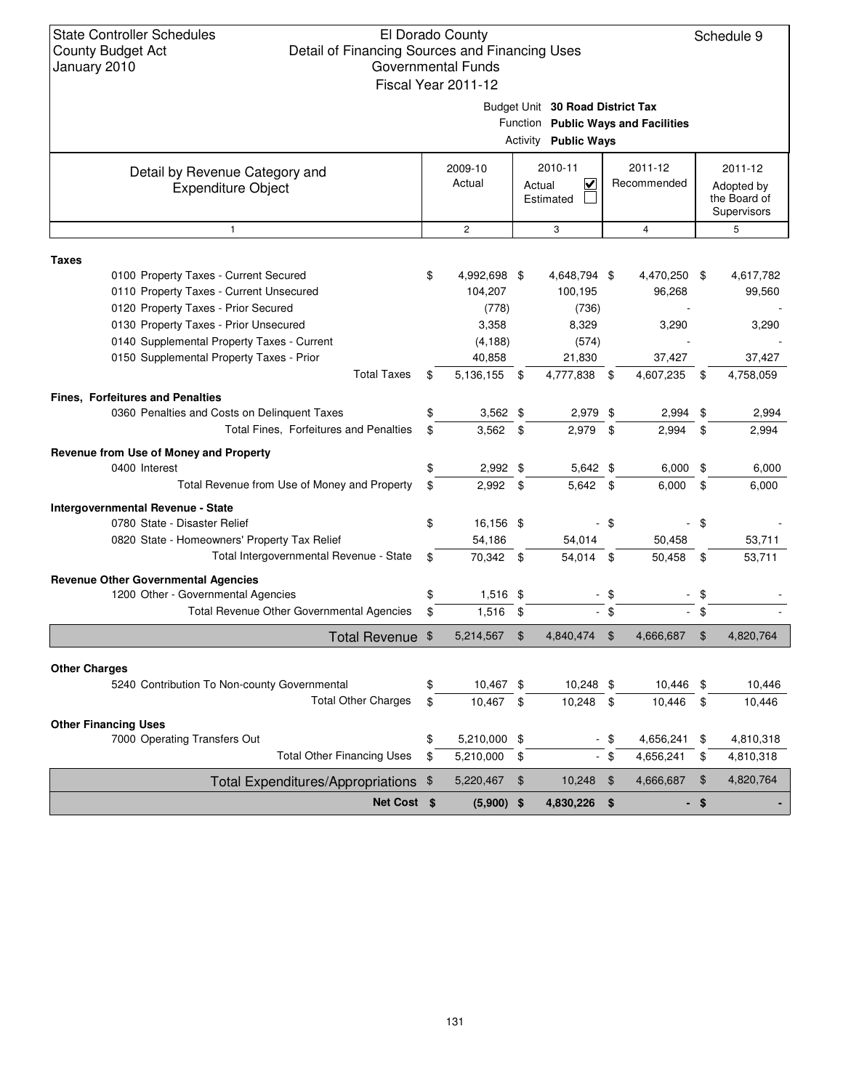#### El Dorado County Detail of Financing Sources and Financing Uses Governmental Funds

Schedule 9

| oounty Duuyet Act<br>Detail of Financing Sources and Financing Oses<br>January 2010                                     | Governmental Funds<br>Fiscal Year 2011-12 |        |                                                                 |                |                                     |     |                                                      |
|-------------------------------------------------------------------------------------------------------------------------|-------------------------------------------|--------|-----------------------------------------------------------------|----------------|-------------------------------------|-----|------------------------------------------------------|
|                                                                                                                         |                                           |        | Budget Unit 30 Road District Tax<br><b>Activity Public Ways</b> |                | Function Public Ways and Facilities |     |                                                      |
| Detail by Revenue Category and<br><b>Expenditure Object</b>                                                             | 2009-10<br>Actual                         | Actual | 2010-11<br>V<br>Estimated                                       |                | 2011-12<br>Recommended              |     | 2011-12<br>Adopted by<br>the Board of<br>Supervisors |
| $\mathbf{1}$                                                                                                            | $\mathbf{2}^{\prime}$                     |        | 3                                                               |                | 4                                   |     | 5                                                    |
| Taxes                                                                                                                   |                                           |        |                                                                 |                |                                     |     |                                                      |
| 0100 Property Taxes - Current Secured<br>0110 Property Taxes - Current Unsecured<br>0120 Property Taxes - Prior Secured | \$<br>4,992,698 \$<br>104,207<br>(778)    |        | 4,648,794 \$<br>100,195<br>(736)                                |                | 4,470,250<br>96,268                 | -\$ | 4,617,782<br>99,560                                  |
| 0130 Property Taxes - Prior Unsecured<br>0140 Supplemental Property Taxes - Current                                     | 3,358<br>(4, 188)                         |        | 8,329<br>(574)                                                  |                | 3,290                               |     | 3,290                                                |
| 0150 Supplemental Property Taxes - Prior                                                                                | 40,858                                    |        | 21,830                                                          |                | 37,427                              |     | 37,427                                               |
| <b>Total Taxes</b>                                                                                                      | \$<br>5,136,155                           | - \$   | 4,777,838                                                       | \$             | 4,607,235                           | \$  | 4,758,059                                            |
| <b>Fines, Forfeitures and Penalties</b>                                                                                 |                                           |        |                                                                 |                |                                     |     |                                                      |
| 0360 Penalties and Costs on Delinquent Taxes                                                                            | \$<br>$3,562$ \$                          |        | 2,979 \$                                                        |                | 2,994                               | \$  | 2,994                                                |
| Total Fines, Forfeitures and Penalties                                                                                  | \$<br>$3,562$ \$                          |        | 2,979 \$                                                        |                | 2,994                               | \$  | 2,994                                                |
| Revenue from Use of Money and Property<br>0400 Interest                                                                 | \$<br>$2,992$ \$                          |        | 5,642 \$                                                        |                | $6,000$ \$                          |     | 6,000                                                |
| Total Revenue from Use of Money and Property                                                                            | \$<br>$2,992$ \$                          |        | 5,642 \$                                                        |                | 6,000                               | \$  | 6,000                                                |
| Intergovernmental Revenue - State                                                                                       |                                           |        |                                                                 |                |                                     |     |                                                      |
| 0780 State - Disaster Relief                                                                                            | \$<br>16,156 \$                           |        |                                                                 | -\$            |                                     | \$  |                                                      |
| 0820 State - Homeowners' Property Tax Relief                                                                            | 54,186                                    |        | 54,014                                                          |                | 50,458                              |     | 53,711                                               |
| Total Intergovernmental Revenue - State                                                                                 | \$<br>70,342 \$                           |        | 54,014                                                          | \$             | 50,458                              | \$  | 53,711                                               |
| <b>Revenue Other Governmental Agencies</b>                                                                              |                                           |        |                                                                 |                |                                     |     |                                                      |
| 1200 Other - Governmental Agencies                                                                                      | \$<br>$1,516$ \$                          |        |                                                                 | - \$           |                                     | \$  |                                                      |
| Total Revenue Other Governmental Agencies                                                                               | \$<br>$1,516$ \$                          |        |                                                                 | $-$ \$         |                                     | \$  |                                                      |
| Total Revenue \$                                                                                                        | 5,214,567                                 | \$     | 4,840,474                                                       | $\mathfrak{F}$ | 4,666,687                           | \$  | 4,820,764                                            |
|                                                                                                                         |                                           |        |                                                                 |                |                                     |     |                                                      |
| <b>Other Charges</b><br>5240 Contribution To Non-county Governmental                                                    | \$<br>10,467 \$                           |        | 10,248 \$                                                       |                | 10,446                              | \$  | 10,446                                               |
| <b>Total Other Charges</b>                                                                                              | \$<br>10,467                              | \$     | 10,248                                                          | \$             | 10,446                              | \$  | 10,446                                               |
| <b>Other Financing Uses</b>                                                                                             |                                           |        |                                                                 |                |                                     |     |                                                      |
| 7000 Operating Transfers Out                                                                                            | \$<br>5,210,000 \$                        |        |                                                                 | - \$           | 4,656,241                           | \$  | 4,810,318                                            |
| <b>Total Other Financing Uses</b>                                                                                       | \$<br>5,210,000                           | \$     |                                                                 | - \$           | 4,656,241                           | \$  | 4,810,318                                            |
| <b>Total Expenditures/Appropriations</b>                                                                                | \$<br>5,220,467                           | \$     | 10,248                                                          | \$             | 4,666,687                           | \$  | 4,820,764                                            |

131

**Net Cost**  $\ \ \ $$  (5,900)  $\ \ \ $$  4,830,226  $\ \ \ $$  -  $\ \ \ $$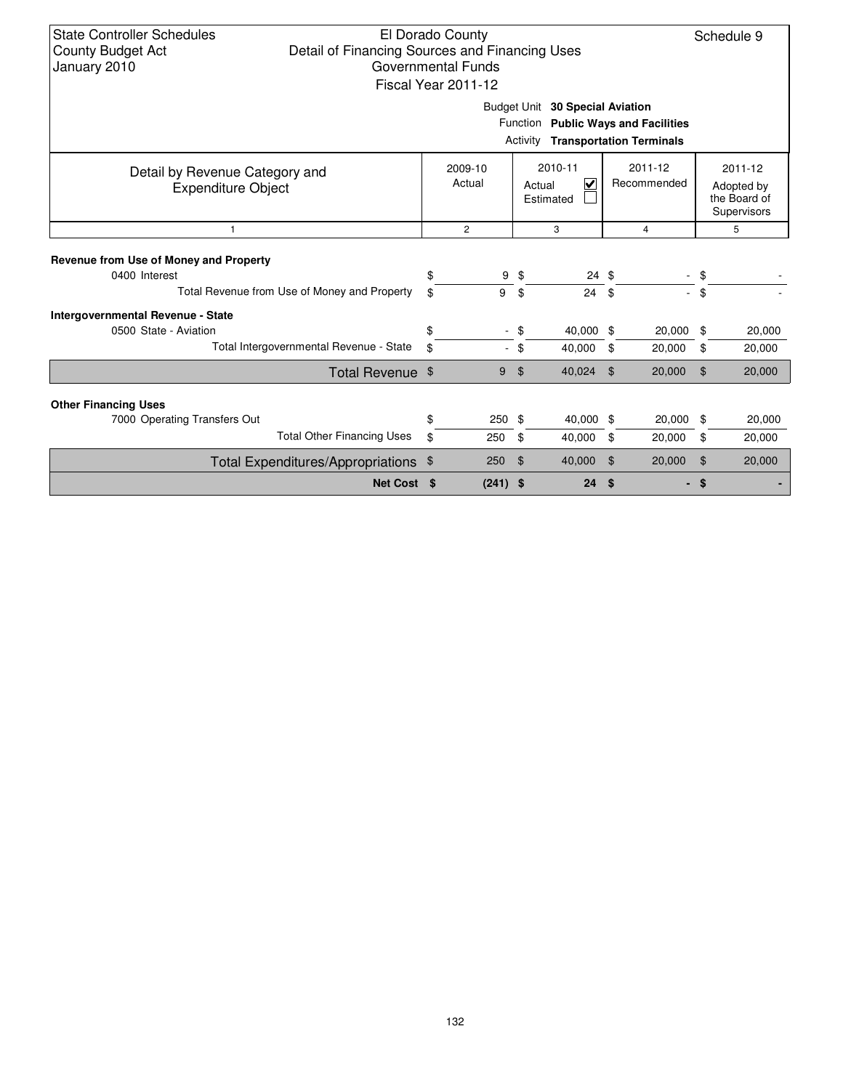| <b>State Controller Schedules</b><br>Detail of Financing Sources and Financing Uses<br><b>County Budget Act</b><br><b>Governmental Funds</b><br>January 2010 | El Dorado County<br>Fiscal Year 2011-12 |            |        |                                     |                                                                                 |                | Schedule 9                                           |
|--------------------------------------------------------------------------------------------------------------------------------------------------------------|-----------------------------------------|------------|--------|-------------------------------------|---------------------------------------------------------------------------------|----------------|------------------------------------------------------|
|                                                                                                                                                              |                                         |            |        | Budget Unit 30 Special Aviation     | Function Public Ways and Facilities<br><b>Activity Transportation Terminals</b> |                |                                                      |
| Detail by Revenue Category and<br><b>Expenditure Object</b>                                                                                                  | 2009-10<br>Actual                       |            |        | 2010-11<br>V<br>Actual<br>Estimated | 2011-12<br>Recommended                                                          |                | 2011-12<br>Adopted by<br>the Board of<br>Supervisors |
| $\mathbf{1}$                                                                                                                                                 | $\overline{2}$                          |            |        | 3                                   | $\overline{4}$                                                                  |                | 5                                                    |
| Revenue from Use of Money and Property<br>0400 Interest                                                                                                      | \$                                      | 9          | \$     | $24 \text{ } $$                     |                                                                                 | \$             |                                                      |
| Total Revenue from Use of Money and Property                                                                                                                 | \$                                      | 9          | \$     | 24S                                 |                                                                                 | \$             |                                                      |
| <b>Intergovernmental Revenue - State</b><br>0500 State - Aviation                                                                                            | \$                                      |            | \$     | 40,000 \$                           | 20,000                                                                          | \$             | 20,000                                               |
| Total Intergovernmental Revenue - State                                                                                                                      | \$                                      |            | $-$ \$ | 40,000                              | \$<br>20,000                                                                    | \$             | 20,000                                               |
| Total Revenue \$                                                                                                                                             |                                         | 9          | \$     | 40,024                              | 20,000<br>$\mathfrak{L}$                                                        | \$             | 20,000                                               |
| <b>Other Financing Uses</b>                                                                                                                                  |                                         |            |        |                                     |                                                                                 |                |                                                      |
| 7000 Operating Transfers Out                                                                                                                                 | \$                                      | 250        | \$     | 40,000 \$                           | 20,000                                                                          | \$             | 20,000                                               |
| <b>Total Other Financing Uses</b>                                                                                                                            | \$                                      | 250        | \$     | 40,000                              | \$<br>20,000                                                                    | \$             | 20,000                                               |
| Total Expenditures/Appropriations \$                                                                                                                         |                                         | 250        | \$     | 40,000                              | 20,000<br>\$                                                                    | $\mathfrak{L}$ | 20,000                                               |
| Net Cost \$                                                                                                                                                  |                                         | $(241)$ \$ |        | 24                                  | \$                                                                              | -\$            |                                                      |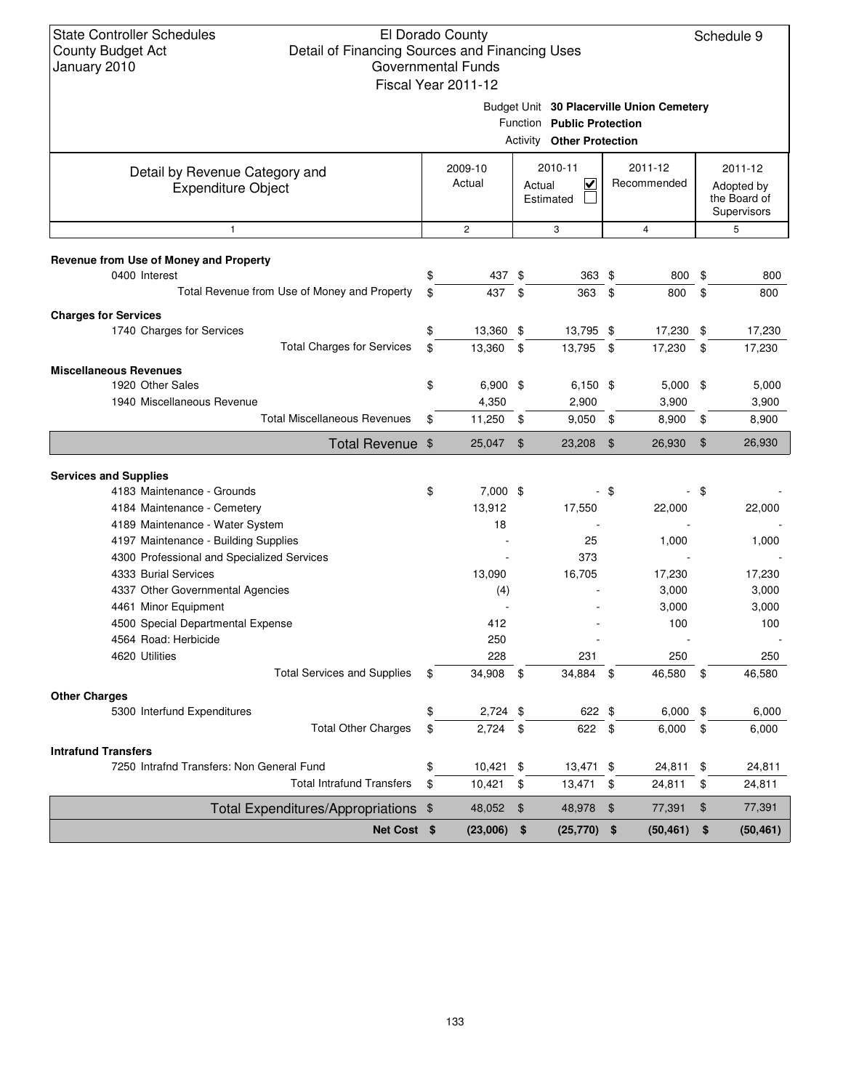#### El Dorado County Detail of Financing Sources and Financing Uses Governmental Funds Fiscal Year 2011-12

Schedule 9

Budget Unit **30 Placerville Union Cemetery**

Function **Public Protection**

|                                                             |                     |               | <b>Activity Other Protection</b>    |               |                        |               |                                                      |
|-------------------------------------------------------------|---------------------|---------------|-------------------------------------|---------------|------------------------|---------------|------------------------------------------------------|
| Detail by Revenue Category and<br><b>Expenditure Object</b> | 2009-10<br>Actual   |               | 2010-11<br>V<br>Actual<br>Estimated |               | 2011-12<br>Recommended |               | 2011-12<br>Adopted by<br>the Board of<br>Supervisors |
| $\mathbf{1}$                                                | $\overline{c}$      |               | 3                                   |               | $\overline{4}$         |               | 5                                                    |
| Revenue from Use of Money and Property                      |                     |               |                                     |               |                        |               |                                                      |
| 0400 Interest                                               | \$<br>437 \$        |               | 363 \$                              |               | 800                    | \$            | 800                                                  |
| Total Revenue from Use of Money and Property                | \$<br>437           | \$            | 363                                 | \$            | 800                    | \$            | 800                                                  |
| <b>Charges for Services</b>                                 |                     |               |                                     |               |                        |               |                                                      |
| 1740 Charges for Services                                   | \$<br>13,360 \$     |               | 13,795 \$                           |               | 17,230                 | \$            | 17,230                                               |
| <b>Total Charges for Services</b>                           | \$<br>13,360        | $\sqrt{3}$    | 13,795                              | $\mathbf{\$}$ | 17,230                 | \$            | 17,230                                               |
|                                                             |                     |               |                                     |               |                        |               |                                                      |
| <b>Miscellaneous Revenues</b><br>1920 Other Sales           | \$                  |               |                                     |               |                        |               |                                                      |
| 1940 Miscellaneous Revenue                                  | $6,900$ \$<br>4,350 |               | $6,150$ \$<br>2,900                 |               | $5,000$ \$<br>3,900    |               | 5,000<br>3,900                                       |
| <b>Total Miscellaneous Revenues</b>                         | \$<br>11,250        | \$            | $9,050$ \$                          |               | 8,900                  | \$            | 8,900                                                |
|                                                             |                     |               |                                     |               |                        |               |                                                      |
| Total Revenue \$                                            | 25,047              | \$            | 23,208                              | $\frac{1}{2}$ | 26,930                 | $\frac{1}{2}$ | 26,930                                               |
| <b>Services and Supplies</b>                                |                     |               |                                     |               |                        |               |                                                      |
| 4183 Maintenance - Grounds                                  | \$<br>7,000 \$      |               |                                     | - \$          | ÷,                     | - \$          |                                                      |
| 4184 Maintenance - Cemetery                                 | 13,912              |               | 17,550                              |               | 22,000                 |               | 22,000                                               |
| 4189 Maintenance - Water System                             | 18                  |               |                                     |               |                        |               |                                                      |
| 4197 Maintenance - Building Supplies                        |                     |               | 25                                  |               | 1,000                  |               | 1,000                                                |
| 4300 Professional and Specialized Services                  |                     |               | 373                                 |               |                        |               |                                                      |
| 4333 Burial Services                                        | 13,090              |               | 16,705                              |               | 17,230                 |               | 17,230                                               |
| 4337 Other Governmental Agencies                            | (4)                 |               |                                     |               | 3,000                  |               | 3,000                                                |
| 4461 Minor Equipment                                        |                     |               |                                     |               | 3,000                  |               | 3,000                                                |
| 4500 Special Departmental Expense                           | 412                 |               |                                     |               | 100                    |               | 100                                                  |
| 4564 Road: Herbicide                                        | 250                 |               |                                     |               |                        |               |                                                      |
| 4620 Utilities                                              | 228                 |               | 231                                 |               | 250                    |               | 250                                                  |
| <b>Total Services and Supplies</b>                          | \$<br>34,908        | -\$           | 34,884                              | \$            | 46,580                 | \$            | 46,580                                               |
| <b>Other Charges</b>                                        |                     |               |                                     |               |                        |               |                                                      |
| 5300 Interfund Expenditures                                 | \$<br>$2,724$ \$    |               | 622 \$                              |               | 6,000                  | \$            | 6,000                                                |
| <b>Total Other Charges</b>                                  | \$<br>2,724         | - \$          | 622                                 | \$            | 6,000                  | \$            | 6,000                                                |
| <b>Intrafund Transfers</b>                                  |                     |               |                                     |               |                        |               |                                                      |
| 7250 Intrafnd Transfers: Non General Fund                   | \$<br>10,421        | \$            | 13,471                              | \$            | 24,811                 | \$            | 24,811                                               |
| <b>Total Intrafund Transfers</b>                            | \$<br>10,421        | \$            | 13,471                              | \$            | 24,811                 | \$            | 24,811                                               |
| <b>Total Expenditures/Appropriations</b>                    | \$<br>48,052        | $\frac{1}{2}$ | 48,978                              | $\frac{1}{2}$ | 77,391                 | \$            | 77,391                                               |
| Net Cost \$                                                 | (23,006)            | \$            | (25, 770)                           | \$            | (50, 461)              | \$            | (50, 461)                                            |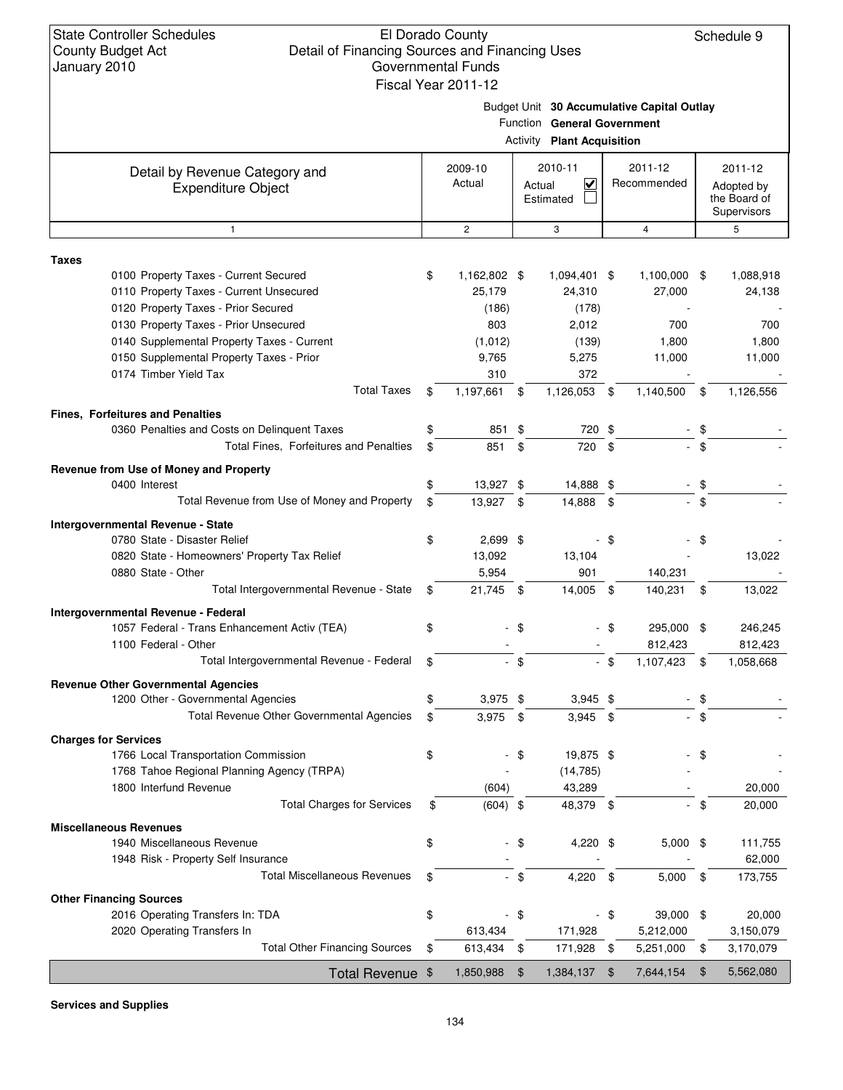#### El Dorado County Detail of Financing Sources and Financing Uses Governmental Funds Fiscal Year 2011-12

Schedule 9

| -- |                                            |  |
|----|--------------------------------------------|--|
|    | Budget Unit 30 Accumulative Capital Outlay |  |

|              |                                                             |                    | Activity | Function General Government<br><b>Plant Acquisition</b>   |        |                        |        |                                                      |
|--------------|-------------------------------------------------------------|--------------------|----------|-----------------------------------------------------------|--------|------------------------|--------|------------------------------------------------------|
|              |                                                             |                    |          |                                                           |        |                        |        |                                                      |
|              | Detail by Revenue Category and<br><b>Expenditure Object</b> | 2009-10<br>Actual  |          | 2010-11<br>$\overline{\mathsf{v}}$<br>Actual<br>Estimated |        | 2011-12<br>Recommended |        | 2011-12<br>Adopted by<br>the Board of<br>Supervisors |
|              | $\mathbf{1}$                                                | $\mathbf{2}$       |          | 3                                                         |        | 4                      |        | 5                                                    |
| <b>Taxes</b> |                                                             |                    |          |                                                           |        |                        |        |                                                      |
|              | 0100 Property Taxes - Current Secured                       | \$<br>1,162,802 \$ |          | 1,094,401 \$                                              |        | 1,100,000 \$           |        | 1,088,918                                            |
|              | 0110 Property Taxes - Current Unsecured                     | 25,179             |          | 24,310                                                    |        | 27,000                 |        | 24,138                                               |
|              | 0120 Property Taxes - Prior Secured                         | (186)              |          | (178)                                                     |        |                        |        |                                                      |
|              | 0130 Property Taxes - Prior Unsecured                       | 803                |          | 2,012                                                     |        | 700                    |        | 700                                                  |
|              | 0140 Supplemental Property Taxes - Current                  | (1,012)            |          | (139)                                                     |        | 1,800                  |        | 1,800                                                |
|              | 0150 Supplemental Property Taxes - Prior                    | 9,765              |          | 5,275                                                     |        | 11,000                 |        | 11,000                                               |
|              | 0174 Timber Yield Tax                                       | 310                |          | 372                                                       |        |                        |        |                                                      |
|              | <b>Total Taxes</b>                                          | \$<br>1,197,661    | \$       | 1,126,053 \$                                              |        | 1,140,500              | \$     | 1,126,556                                            |
|              | <b>Fines, Forfeitures and Penalties</b>                     |                    |          |                                                           |        |                        |        |                                                      |
|              | 0360 Penalties and Costs on Delinquent Taxes                | 851                | \$       | 720 \$                                                    |        |                        | \$     |                                                      |
|              | Total Fines, Forfeitures and Penalties                      | \$<br>851          | \$       | 720                                                       | -\$    |                        | $-$ \$ |                                                      |
|              |                                                             |                    |          |                                                           |        |                        |        |                                                      |
|              | Revenue from Use of Money and Property<br>0400 Interest     | \$<br>13,927 \$    |          | 14,888 \$                                                 |        |                        | \$     |                                                      |
|              | Total Revenue from Use of Money and Property                | \$<br>13,927 \$    |          | 14,888 \$                                                 |        | $\sim$                 | \$     |                                                      |
|              |                                                             |                    |          |                                                           |        |                        |        |                                                      |
|              | <b>Intergovernmental Revenue - State</b>                    |                    |          |                                                           |        |                        |        |                                                      |
|              | 0780 State - Disaster Relief                                | \$<br>$2,699$ \$   |          |                                                           | \$     |                        | \$     |                                                      |
|              | 0820 State - Homeowners' Property Tax Relief                | 13,092             |          | 13,104                                                    |        |                        |        | 13,022                                               |
|              | 0880 State - Other                                          | 5,954              |          | 901                                                       |        | 140,231                |        |                                                      |
|              | Total Intergovernmental Revenue - State                     | \$<br>21,745 \$    |          | 14,005                                                    | - \$   | 140,231                | \$     | 13,022                                               |
|              | Intergovernmental Revenue - Federal                         |                    |          |                                                           |        |                        |        |                                                      |
|              | 1057 Federal - Trans Enhancement Activ (TEA)                | \$                 | - \$     |                                                           | - \$   | 295,000 \$             |        | 246,245                                              |
|              | 1100 Federal - Other                                        |                    |          |                                                           |        | 812,423                |        | 812,423                                              |
|              | Total Intergovernmental Revenue - Federal                   | \$                 | $-$ \$   |                                                           | $-$ \$ | 1,107,423              | - \$   | 1,058,668                                            |
|              | <b>Revenue Other Governmental Agencies</b>                  |                    |          |                                                           |        |                        |        |                                                      |
|              | 1200 Other - Governmental Agencies                          | \$<br>$3,975$ \$   |          | $3,945$ \$                                                |        |                        | \$     |                                                      |
|              | <b>Total Revenue Other Governmental Agencies</b>            | \$<br>3,975        | \$       | $3,945$ \$                                                |        |                        | \$     |                                                      |
|              | <b>Charges for Services</b>                                 |                    |          |                                                           |        |                        |        |                                                      |
|              | 1766 Local Transportation Commission                        | \$                 | \$       | 19,875 \$                                                 |        |                        | \$     |                                                      |
|              | 1768 Tahoe Regional Planning Agency (TRPA)                  |                    |          | (14, 785)                                                 |        |                        |        |                                                      |
|              | 1800 Interfund Revenue                                      | (604)              |          | 43,289                                                    |        |                        |        | 20,000                                               |
|              | <b>Total Charges for Services</b>                           | \$<br>$(604)$ \$   |          | 48,379 \$                                                 |        |                        | - \$   | 20,000                                               |
|              | <b>Miscellaneous Revenues</b>                               |                    |          |                                                           |        |                        |        |                                                      |
|              | 1940 Miscellaneous Revenue                                  | \$                 | $-$ \$   | 4,220 \$                                                  |        | $5,000$ \$             |        | 111,755                                              |
|              | 1948 Risk - Property Self Insurance                         |                    |          |                                                           |        |                        |        | 62,000                                               |
|              | <b>Total Miscellaneous Revenues</b>                         | \$                 | $-$ \$   | 4,220 \$                                                  |        | $5,000$ \$             |        | 173,755                                              |
|              | <b>Other Financing Sources</b>                              |                    |          |                                                           |        |                        |        |                                                      |
|              | 2016 Operating Transfers In: TDA                            | \$                 | - \$     |                                                           | - \$   | 39,000 \$              |        | 20,000                                               |
|              | 2020 Operating Transfers In                                 | 613,434            |          | 171,928                                                   |        | 5,212,000              |        | 3,150,079                                            |
|              | <b>Total Other Financing Sources</b>                        | \$<br>613,434 \$   |          | 171,928 \$                                                |        | 5,251,000              | \$     | 3,170,079                                            |
|              |                                                             |                    |          |                                                           |        |                        |        |                                                      |
|              | Total Revenue \$                                            | 1,850,988          | \$       | 1,384,137 \$                                              |        | 7,644,154              | \$     | 5,562,080                                            |

**Services and Supplies**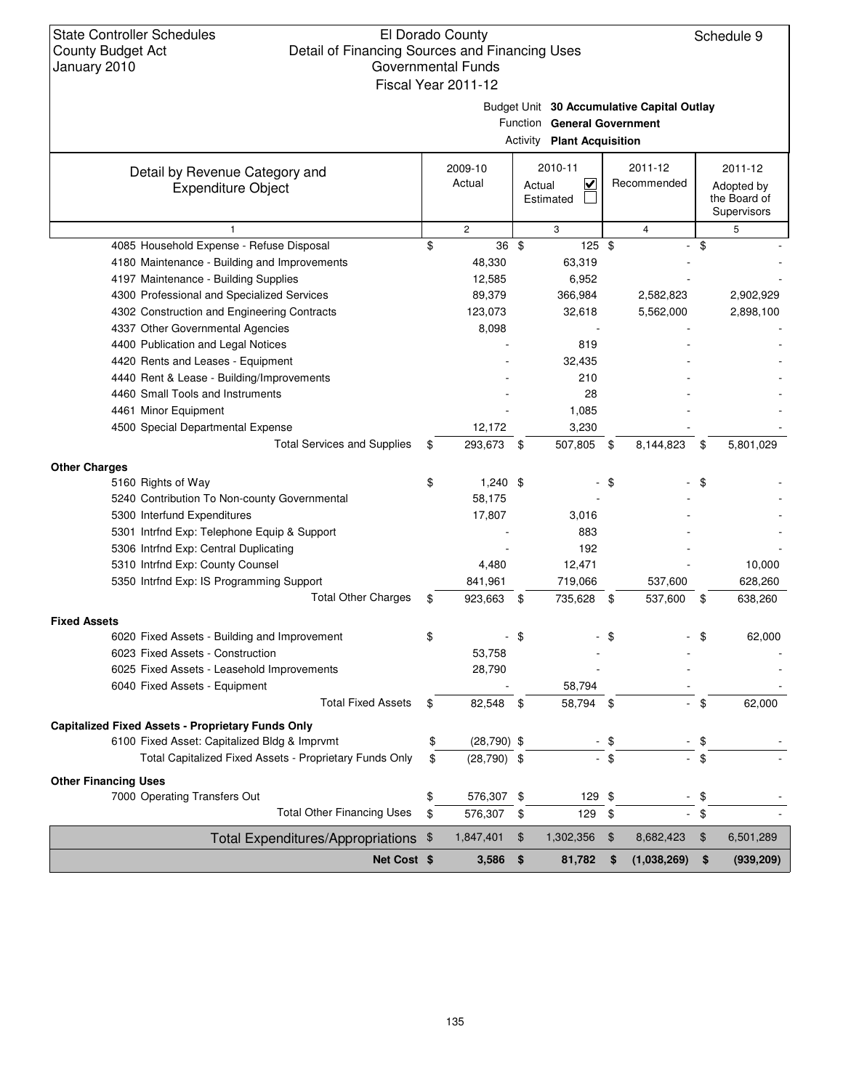#### El Dorado County Detail of Financing Sources and Financing Uses Governmental Funds Fiscal Year 2011-12

Schedule 9

Budget Unit **30 Accumulative Capital Outlay**

| Function General Government |  |
|-----------------------------|--|

|                                                             |                     | <b>Activity Plant Acquisition</b>                         |        |                        |            |                                                      |
|-------------------------------------------------------------|---------------------|-----------------------------------------------------------|--------|------------------------|------------|------------------------------------------------------|
| Detail by Revenue Category and<br><b>Expenditure Object</b> | 2009-10<br>Actual   | 2010-11<br>$\overline{\mathsf{v}}$<br>Actual<br>Estimated |        | 2011-12<br>Recommended |            | 2011-12<br>Adopted by<br>the Board of<br>Supervisors |
| $\mathbf{1}$                                                | $\mathbf{2}$        | 3                                                         |        | $\overline{4}$         |            | 5                                                    |
| 4085 Household Expense - Refuse Disposal                    | \$<br>36 \$         | $125$ \$                                                  |        | ÷.                     | \$         |                                                      |
| 4180 Maintenance - Building and Improvements                | 48,330              | 63,319                                                    |        |                        |            |                                                      |
| 4197 Maintenance - Building Supplies                        | 12,585              | 6,952                                                     |        |                        |            |                                                      |
| 4300 Professional and Specialized Services                  | 89,379              | 366,984                                                   |        | 2,582,823              |            | 2,902,929                                            |
| 4302 Construction and Engineering Contracts                 | 123,073             | 32,618                                                    |        | 5,562,000              |            | 2,898,100                                            |
| 4337 Other Governmental Agencies                            | 8,098               |                                                           |        |                        |            |                                                      |
| 4400 Publication and Legal Notices                          |                     | 819                                                       |        |                        |            |                                                      |
| 4420 Rents and Leases - Equipment                           |                     | 32,435                                                    |        |                        |            |                                                      |
| 4440 Rent & Lease - Building/Improvements                   |                     | 210                                                       |        |                        |            |                                                      |
| 4460 Small Tools and Instruments                            |                     | 28                                                        |        |                        |            |                                                      |
| 4461 Minor Equipment                                        |                     | 1,085                                                     |        |                        |            |                                                      |
| 4500 Special Departmental Expense                           | 12,172              | 3,230                                                     |        |                        |            |                                                      |
| <b>Total Services and Supplies</b>                          | \$<br>293,673       | 507,805 \$<br>- \$                                        |        | 8,144,823              | \$         | 5,801,029                                            |
| <b>Other Charges</b>                                        |                     |                                                           |        |                        |            |                                                      |
| 5160 Rights of Way                                          | \$<br>$1,240$ \$    |                                                           | \$     |                        | \$         |                                                      |
| 5240 Contribution To Non-county Governmental                | 58,175              |                                                           |        |                        |            |                                                      |
| 5300 Interfund Expenditures                                 | 17,807              | 3,016                                                     |        |                        |            |                                                      |
| 5301 Intrfnd Exp: Telephone Equip & Support                 |                     | 883                                                       |        |                        |            |                                                      |
| 5306 Intrfnd Exp: Central Duplicating                       |                     | 192                                                       |        |                        |            |                                                      |
| 5310 Intrfnd Exp: County Counsel                            | 4,480               | 12,471                                                    |        |                        |            | 10,000                                               |
| 5350 Intrfnd Exp: IS Programming Support                    | 841,961             | 719,066                                                   |        | 537,600                |            | 628,260                                              |
| <b>Total Other Charges</b>                                  | \$<br>923,663       | 735,628 \$<br>- \$                                        |        | 537,600                | $\sqrt{3}$ | 638,260                                              |
| <b>Fixed Assets</b>                                         |                     |                                                           |        |                        |            |                                                      |
| 6020 Fixed Assets - Building and Improvement                | \$                  | \$                                                        | \$     |                        | \$         | 62,000                                               |
| 6023 Fixed Assets - Construction                            | 53,758              |                                                           |        |                        |            |                                                      |
| 6025 Fixed Assets - Leasehold Improvements                  | 28,790              |                                                           |        |                        |            |                                                      |
| 6040 Fixed Assets - Equipment                               |                     | 58,794                                                    |        |                        |            |                                                      |
| <b>Total Fixed Assets</b>                                   | \$<br>82,548        | \$<br>58,794                                              | -\$    |                        | \$         | 62,000                                               |
| <b>Capitalized Fixed Assets - Proprietary Funds Only</b>    |                     |                                                           |        |                        |            |                                                      |
| 6100 Fixed Asset: Capitalized Bldg & Imprvmt                | \$<br>$(28,790)$ \$ |                                                           | \$     |                        | \$         |                                                      |
| Total Capitalized Fixed Assets - Proprietary Funds Only     | \$<br>$(28,790)$ \$ |                                                           | $-$ \$ |                        | $-$ \$     |                                                      |
| <b>Other Financing Uses</b>                                 |                     |                                                           |        |                        |            |                                                      |
| 7000 Operating Transfers Out                                | \$<br>576,307 \$    | 129 \$                                                    |        | $\blacksquare$         | \$         |                                                      |
| <b>Total Other Financing Uses</b>                           | \$<br>576,307       | \$<br>129                                                 | \$     |                        | $-$ \$     |                                                      |
| Total Expenditures/Appropriations \$                        | 1,847,401           | \$<br>1,302,356                                           | \$     | 8,682,423              | \$         | 6,501,289                                            |
| Net Cost \$                                                 | 3,586               | $\sqrt{ }$<br>81,782                                      | \$     | (1,038,269)            | \$         | (939, 209)                                           |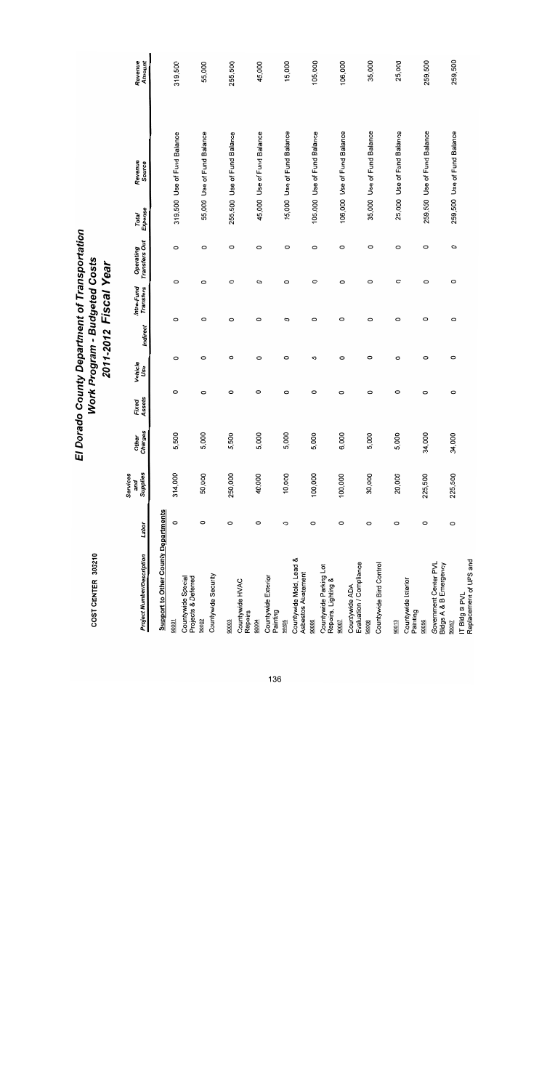| <b>Project Number/Description</b>              | Labor   | Supplies<br>Services<br>and | Other<br>Charges      | Assets<br>Fixed | Vehicle<br>Use | Indirect | Intra-Fund<br><b>Transfers</b> | <b>Transfers Out</b><br>Operating | Expense<br>Total | Revenue<br>Source           | Revenue<br>Amount |
|------------------------------------------------|---------|-----------------------------|-----------------------|-----------------|----------------|----------|--------------------------------|-----------------------------------|------------------|-----------------------------|-------------------|
| <b>Support to Other County Departments</b>     |         |                             |                       |                 |                |          |                                |                                   |                  |                             |                   |
| 90001                                          | $\circ$ | 314,000                     | 500<br><b>u</b> )     | $\circ$         | 0              | $\circ$  | $\circ$                        | O                                 |                  | 319,500 Use of Fund Balance | 319,500           |
| Countywide Special<br>Projects & Deferred      |         |                             |                       |                 |                |          |                                |                                   |                  |                             |                   |
| 90002                                          | O       | 50,000                      | 5,000<br>დ            | 0               | O              | O        | $\circ$                        | 0                                 |                  | 55,000 Use of Fund Balance  | 55,000            |
| Countywide Security                            |         |                             |                       |                 |                |          |                                |                                   |                  |                             |                   |
| 90003                                          | 0       | 250,000                     | 500<br>დ              | $\circ$         | O              | O        | $\circ$                        | O                                 |                  | 255,500 Use of Fund Balance | 255,500           |
| Countywide HVAC<br>Repairs                     |         |                             |                       |                 |                |          |                                |                                   |                  |                             |                   |
| 90004                                          | O       | 40,000                      | 000<br>5              | O               | O              | O        | O                              | $\circ$                           |                  | 45,000 Use of Fund Balance  | 45,000            |
| Countywide Exterior<br>Painting                |         |                             |                       |                 |                |          |                                |                                   |                  |                             |                   |
| 90005                                          | O       | 10,000                      | 000<br>ഗ              | 0               | 0              | O        | $\circ$                        | O                                 |                  | 15,000 Use of Fund Balance  | 15,000            |
| Countywide Mold, Lead &<br>Asbestos Abatement  |         |                             |                       |                 |                |          |                                |                                   |                  |                             |                   |
| 90006                                          | 0       | 100,000                     | $\overline{000}$<br>ഗ | $\circ$         | O              | O        | 0                              | 0                                 |                  | 105,000 Use of Fund Balance | 105,000           |
| Countywide Parking Lot<br>Repairs, Lighting &  |         |                             |                       |                 |                |          |                                |                                   |                  |                             |                   |
| 90007                                          | 0       | 100,000                     | ,000<br>ဖ             | O               | O              | O        | $\circ$                        | 0                                 |                  | 106,000 Use of Fund Balance | 106,000           |
| Evaluation / Compliance<br>Countywide ADA      |         |                             |                       |                 |                |          |                                |                                   |                  |                             |                   |
| 90008                                          | 0       | 30,000                      | $\overline{000}$<br>ഗ | 0               | O              | O        | $\circ$                        | O                                 |                  | 35,000 Use of Fund Balance  | 35,000            |
| Countywide Bird Control                        |         |                             |                       |                 |                |          |                                |                                   |                  |                             |                   |
| 90013                                          | O       | 20,000                      | 000<br>ယ              | 0               | $\circ$        | 0        | 0                              | 0                                 |                  | 25,000 Use of Fund Balance  | 25,000            |
| Countywide Interior<br>Painting                |         |                             |                       |                 |                |          |                                |                                   |                  |                             |                   |
| 90056                                          | $\circ$ | 225,500                     | 000<br>ž              | O               | $\circ$        | O        | 0                              | 0                                 |                  | 259,500 Use of Fund Balance | 259,500           |
| Government Center PVL<br>Bldgs A & B Emergency |         |                             |                       |                 |                |          |                                |                                   |                  |                             |                   |
| 90057                                          | $\circ$ | 225,500                     | ,000<br>ž             | $\circ$         | 0              | 0        | 0                              | 0                                 |                  | 259,500 Use of Fund Balance | 259,500           |
| Replacement of UPS and<br>IT Bidg B PVL        |         |                             |                       |                 |                |          |                                |                                   |                  |                             |                   |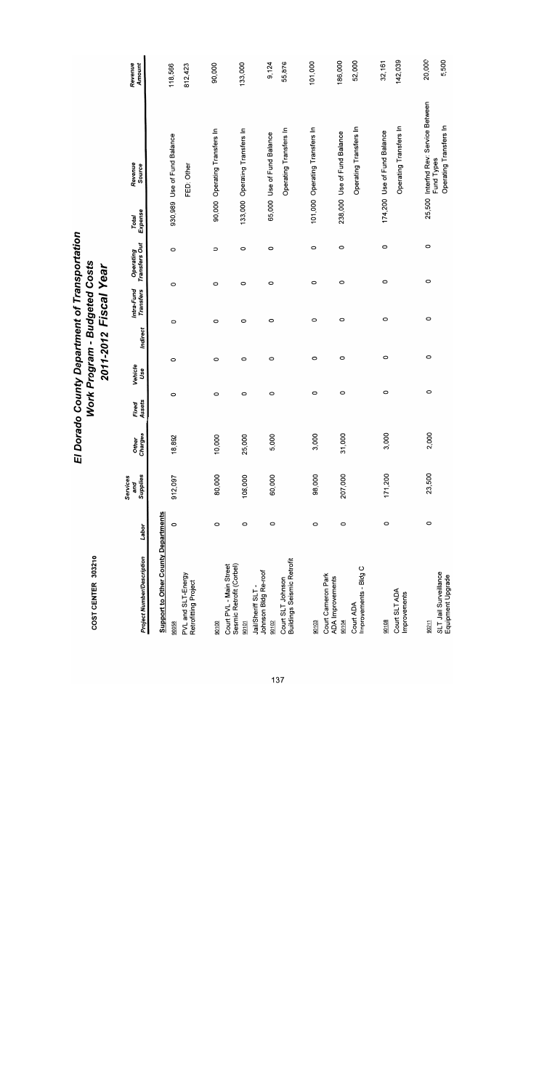| COST CENTER 303210                                           |         |                             |                         |                 |                |          | Work Program - Budgeted Costs<br>2011-2012 Fiscal Year |                            |                  |                                      |                   |
|--------------------------------------------------------------|---------|-----------------------------|-------------------------|-----------------|----------------|----------|--------------------------------------------------------|----------------------------|------------------|--------------------------------------|-------------------|
| <b>Project Number/Description</b>                            | Labor   | Supplies<br>Services<br>and | Charges<br><b>Other</b> | Assets<br>Fixed | Vehicle<br>Use | Indirect | Intra-Fund<br>Transfers                                | Operating<br>Transfers Out | Expense<br>Total | Revenue<br>Source                    | Revenue<br>Amount |
| <b>Support to Other County Departments</b>                   |         |                             |                         |                 |                |          |                                                        |                            |                  |                                      | 118,566           |
| 90058                                                        | 0       | 912,097                     | 18,892                  | $\circ$         | O              | $\circ$  |                                                        | $\circ$<br>O               |                  | 930,989 Use of Fund Balance          |                   |
| PVL and SLT-Energy<br>Retrofitting Project                   |         |                             |                         |                 |                |          |                                                        |                            |                  | FED: Other                           | 812,423           |
| 90100                                                        | 0       | 80,000                      | 10,000                  | $\circ$         | 0              | $\circ$  |                                                        | $\circ$<br>$\circ$         |                  | 90,000 Operating Transfers In        | 90,000            |
| Sesmic Retrofit (Corbel)<br>Court PVL - Main Street<br>90101 | $\circ$ | 108,000                     | 25,000                  | 0               | $\circ$        | O        |                                                        | O<br>O                     |                  | 133,000 Operating Transfers In       | 133,000           |
| Johnson Bidg Re-roof<br>Jail/Sheriff SLT -<br>90102          | $\circ$ | 60,000                      | 5,000                   | 0               | O              |          | O                                                      | $\circ$<br>0               |                  | 65,000 Use of Fund Balance           | 9,124             |
| <b>Buildings Seismic Retrofit</b><br>Court SLT Johnson       |         |                             |                         |                 |                |          |                                                        |                            |                  | Operating Transfers In               | 55,876            |
| 90103                                                        | 0       | 98,000                      | 3,000                   | 0               | 0              |          | $\circ$                                                | 0<br>0                     |                  | 101,000 Operating Transfers In       | 101,000           |
| Court Cameron Park<br><b>ADA</b> Improvements<br>90104       | O       | 207,000                     | 31,000                  | O               | O              |          | $\circ$                                                | $\circ$<br>O               |                  | 238,000 Use of Fund Balance          | 186,000           |
| Improvements - Bldg C<br>Court ADA                           |         |                             |                         |                 |                |          |                                                        |                            |                  | Operating Transfers In               | 52,000            |
| 90108                                                        | $\circ$ | 171,200                     | 3,000                   | $\circ$         | O              |          | $\circ$                                                | 0<br>$\circ$               |                  | 174,200 Use of Fund Balance          | 32,161            |
| Court SLT ADA<br>Improvements                                |         |                             |                         |                 |                |          |                                                        |                            |                  | Operating Transfers In               | 142,039           |
| 90211                                                        | 0       | 23,500                      | 2,000                   | $\circ$         | 0              |          | $\circ$                                                | $\circ$<br>$\circ$         |                  | 25,500 Interfnd Rev: Service Between | 20,000            |
| SLT Jail Surveillance<br>Equipment Upgrade                   |         |                             |                         |                 |                |          |                                                        |                            |                  | Operating Transfers In<br>Fund Types | 5,500             |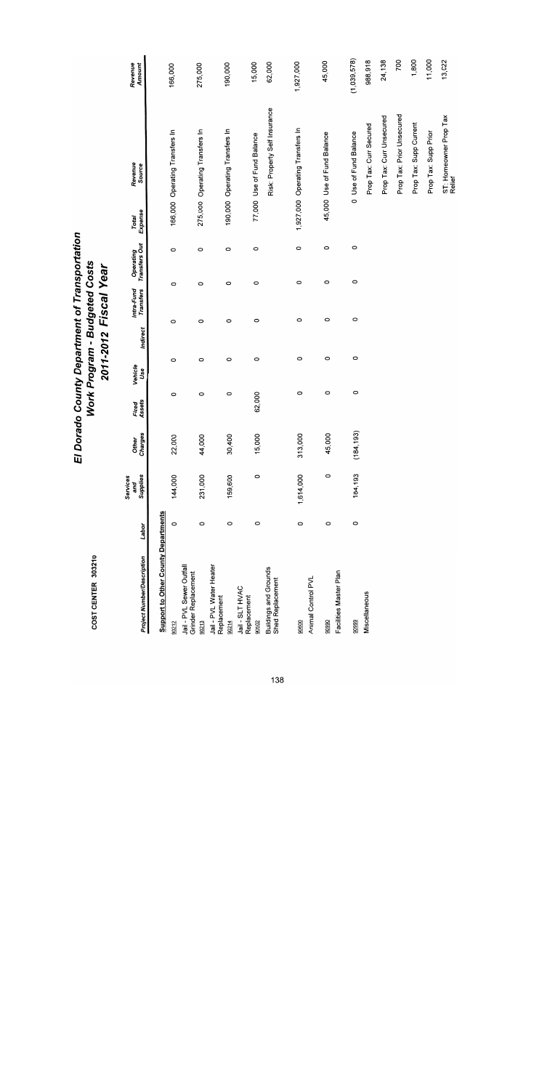| <b>Project Number/Description</b>                | Labor   | Supplies<br>Services<br>and | Charges<br><b>Other</b> | Assets<br>Fixed | Vehicle<br>Use | Indirect | <b>Transfers</b><br>Intra-Fund | Operating<br>Transfers Out | Expense<br>Total | Revenue<br>Source                | Revenue<br>Amount |
|--------------------------------------------------|---------|-----------------------------|-------------------------|-----------------|----------------|----------|--------------------------------|----------------------------|------------------|----------------------------------|-------------------|
| <b>Support to Other County Departments</b>       |         |                             |                         |                 |                |          |                                |                            |                  |                                  |                   |
| 90212                                            | 0       | 144,000                     | 22,000                  | 0               | O              | $\circ$  | O                              | $\circ$                    |                  | 166,000 Operating Transfers In   | 166,000           |
| Jail - PVL Sewer Outfall<br>Grinder Replacement  |         |                             |                         |                 |                |          |                                |                            |                  |                                  |                   |
| 90213                                            | $\circ$ | 231,000                     | 44,000                  | 0               | 0              | O        | O                              | $\circ$                    |                  | 275,000 Operating Transfers In   | 275,000           |
| Jail - PVL Water Heater<br>Replacement           |         |                             |                         |                 |                |          |                                |                            |                  |                                  |                   |
| 90214                                            | $\circ$ | 159,600                     | 30,400                  | $\circ$         | $\circ$        | 0        | 0                              | 0                          |                  | 190,000 Operating Transfers In   | 190,000           |
| Jail - SLT HVAC<br>Replacement                   |         |                             |                         |                 |                |          |                                |                            |                  |                                  |                   |
| 90502                                            | 0       | 0                           | 15,000                  | 62,000          | $\circ$        | $\circ$  | 0                              | $\circ$                    |                  | 77,000 Use of Fund Balance       | 15,000            |
| <b>Buildings and Grounds</b><br>Shed Replacement |         |                             |                         |                 |                |          |                                |                            |                  | Risk: Property Self Insurance    | 62,000            |
|                                                  |         |                             |                         |                 |                |          |                                |                            |                  |                                  | 1,927,000         |
| 90600                                            | $\circ$ | 1,614,000                   | 313,000                 | 0               | O              | 0        | 0                              | $\circ$                    |                  | 1,927,000 Operating Transfers In |                   |
| Animal Control PVL                               |         |                             |                         |                 |                |          |                                |                            |                  |                                  |                   |
| 90990                                            | $\circ$ | 0                           | 45,000                  | 0               | 0              | 0        |                                | O<br>0                     |                  | 45,000 Use of Fund Balance       | 45,000            |
| Facilities Master Plan                           |         |                             |                         |                 |                |          |                                |                            |                  |                                  |                   |
| 90999                                            | $\circ$ | 184,193                     | 84,193)<br>J            | $\circ$         | $\circ$        | $\circ$  |                                | 0<br>$\circ$               |                  | 0 Use of Fund Balance            | (1,039,578)       |
| Miscellaneous                                    |         |                             |                         |                 |                |          |                                |                            |                  | Prop Tax: Curr Secured           | 988,918           |
|                                                  |         |                             |                         |                 |                |          |                                |                            |                  | Prop Tax: Curr Unsecured         | 24,138            |
|                                                  |         |                             |                         |                 |                |          |                                |                            |                  | Prop Tax: Prior Unsecured        | 700               |
|                                                  |         |                             |                         |                 |                |          |                                |                            |                  | Prop Tax: Supp Current           | 1,800             |
|                                                  |         |                             |                         |                 |                |          |                                |                            |                  | Prop Tax: Supp Prior             | 11,000            |
|                                                  |         |                             |                         |                 |                |          |                                |                            |                  | ST: Homeowner Prop Tax<br>Relief | 13,022            |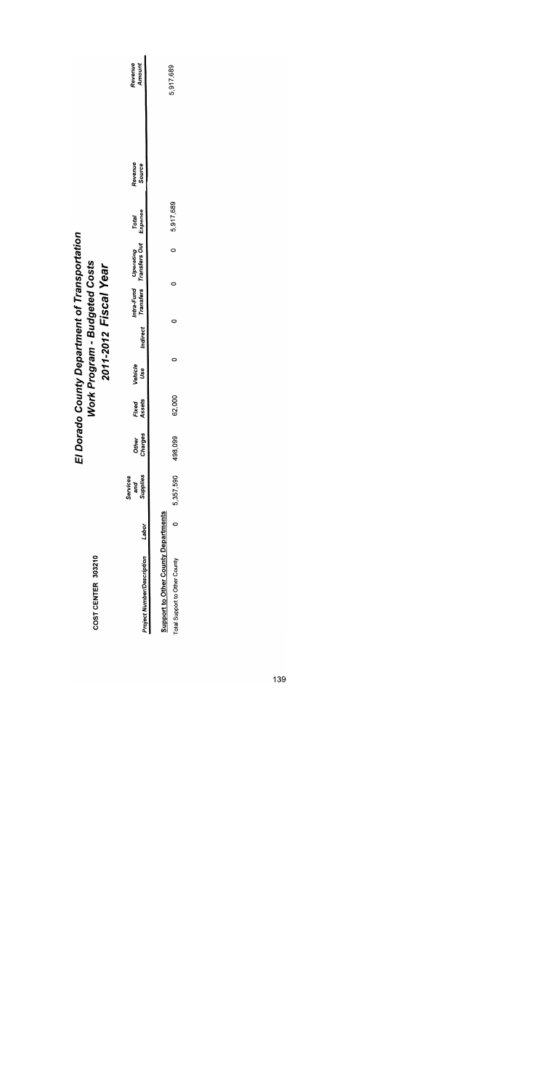|                                                        | Revenue<br>Amount                               | 5,917,689                                                                   |
|--------------------------------------------------------|-------------------------------------------------|-----------------------------------------------------------------------------|
|                                                        | Revenue<br>Source                               |                                                                             |
|                                                        | Total<br>Expense                                | 5,917,689                                                                   |
| Dorado County Department of Transportation             | Intra-Fund Operating<br>Transfers Transfers Out | $\circ$                                                                     |
| Work Program - Budgeted Costs<br>2011-2012 Fiscal Year |                                                 | 0<br>0                                                                      |
|                                                        | Indirect                                        |                                                                             |
|                                                        | Vehicle<br>Use                                  | 0                                                                           |
|                                                        | Assets<br>Fixed                                 | 62,000                                                                      |
| ū                                                      | Charges<br>Other                                | 498,099                                                                     |
|                                                        | and<br>Supplies<br>Services                     | 5,357,590                                                                   |
|                                                        | Labor                                           | o                                                                           |
| COST CENTER 303210                                     | Project Number/Description                      | <b>Support to Other County Departments</b><br>Total Support to Other County |